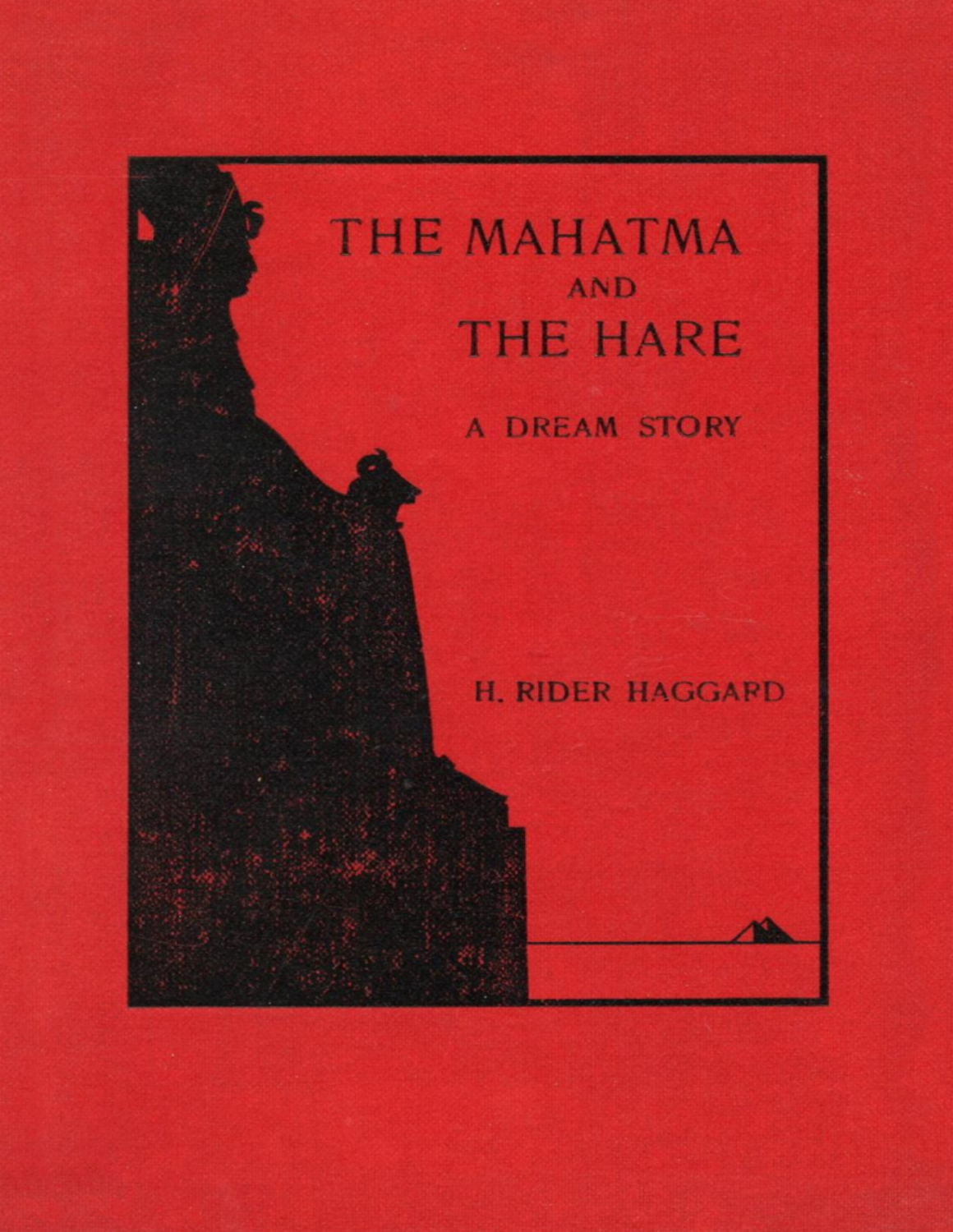# THE MAHATMA AND **THE HARE**

## **A DREAM STORY**

**H. RIDER HAGGARD**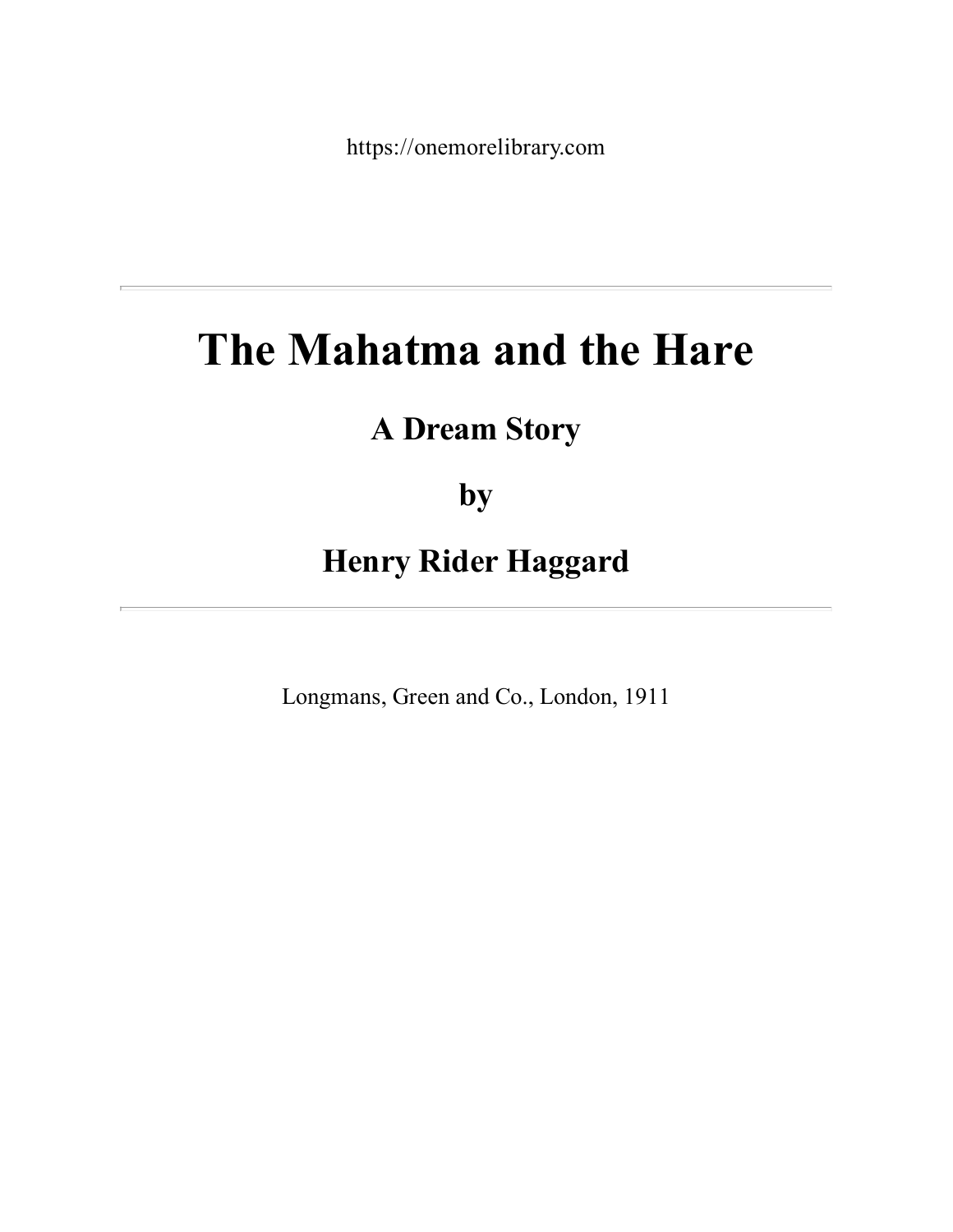https://onemorelibrary.com

## **The Mahatma and the Hare**

## **A Dream Story**

**by**

**Henry Rider Haggard**

Longmans, Green and Co., London, 1911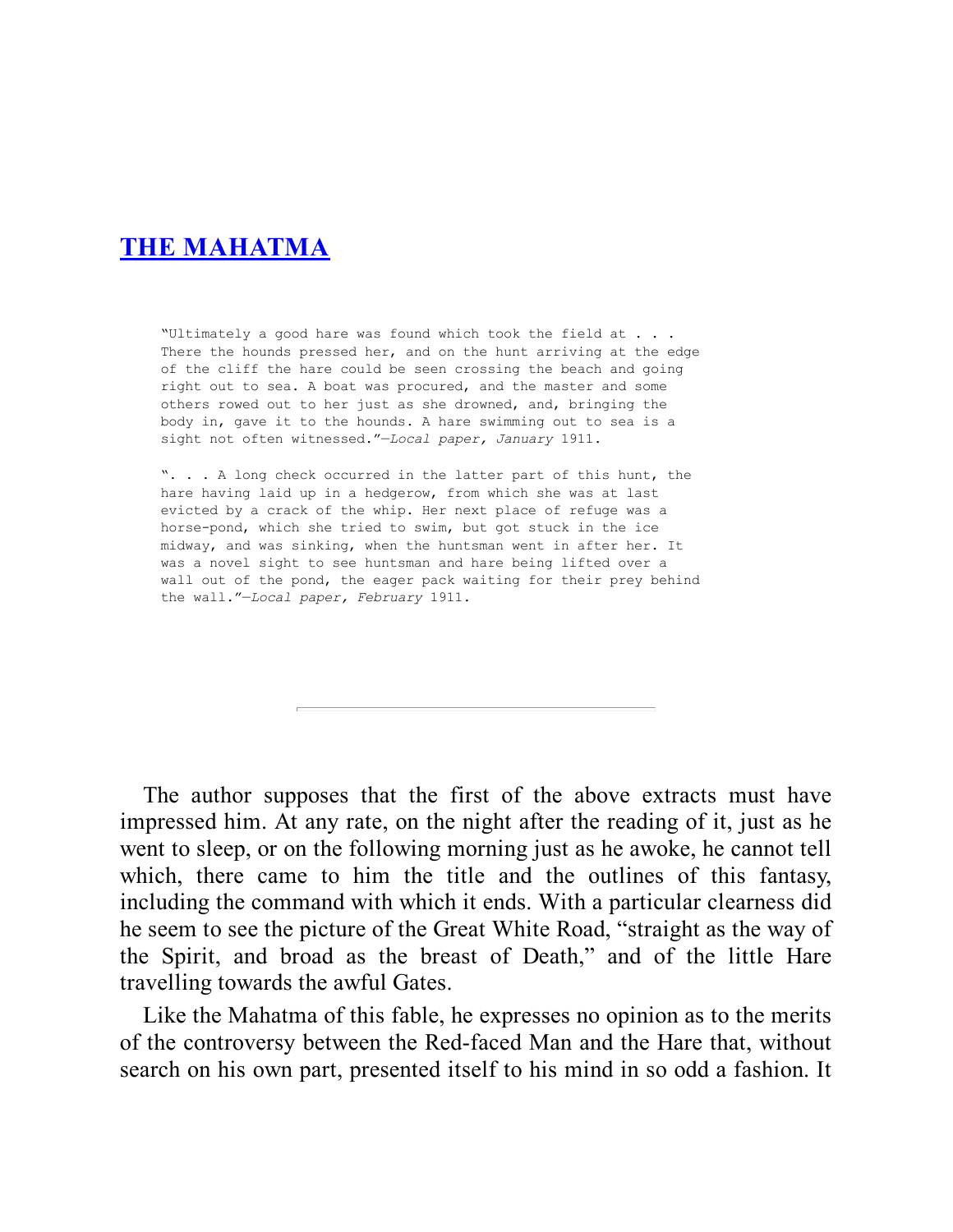#### **THE [MAHATMA](#page-3-0)**

"Ultimately a good hare was found which took the field at . . . There the hounds pressed her, and on the hunt arriving at the edge of the cliff the hare could be seen crossing the beach and going right out to sea. A boat was procured, and the master and some others rowed out to her just as she drowned, and, bringing the body in, gave it to the hounds. A hare swimming out to sea is a sight not often witnessed."—*Local paper, January* 1911.

". . . A long check occurred in the latter part of this hunt, the hare having laid up in a hedgerow, from which she was at last evicted by a crack of the whip. Her next place of refuge was a horse-pond, which she tried to swim, but got stuck in the ice midway, and was sinking, when the huntsman went in after her. It was a novel sight to see huntsman and hare being lifted over a wall out of the pond, the eager pack waiting for their prey behind the wall."—*Local paper, February* 1911.

The author supposes that the first of the above extracts must have impressed him. At any rate, on the night after the reading of it, just as he went to sleep, or on the following morning just as he awoke, he cannot tell which, there came to him the title and the outlines of this fantasy, including the command with which it ends. With a particular clearness did he seem to see the picture of the Great White Road, "straight as the way of the Spirit, and broad as the breast of Death," and of the little Hare travelling towards the awful Gates.

Like the Mahatma of this fable, he expresses no opinion as to the merits of the controversy between the Red-faced Man and the Hare that, without search on his own part, presented itself to his mind in so odd a fashion. It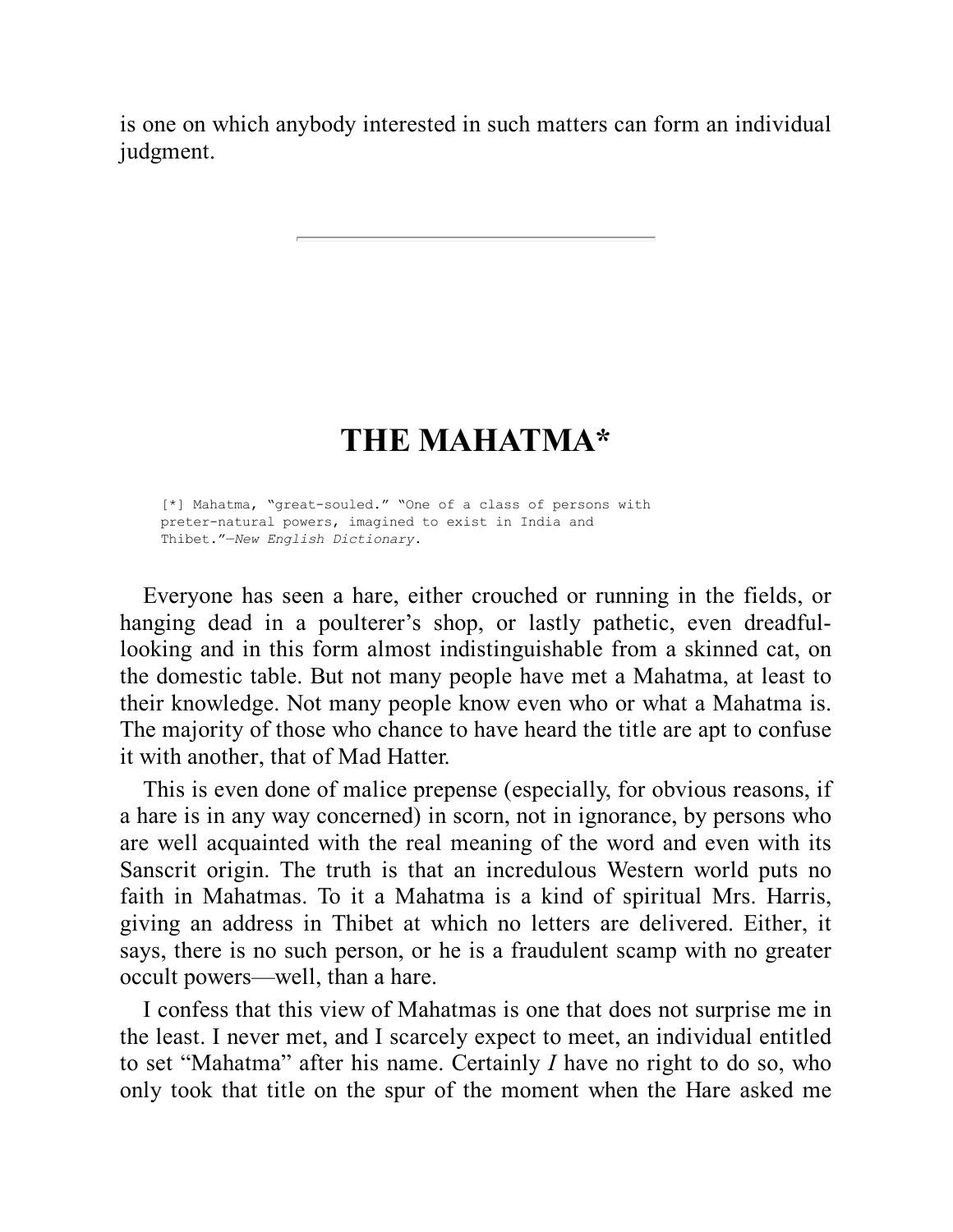<span id="page-3-0"></span>is one on which anybody interested in such matters can form an individual judgment.

## **THE MAHATMA\***

[\*] Mahatma, "great-souled." "One of a class of persons with preter-natural powers, imagined to exist in India and Thibet."—*New English Dictionary*.

Everyone has seen a hare, either crouched or running in the fields, or hanging dead in a poulterer's shop, or lastly pathetic, even dreadfullooking and in this form almost indistinguishable from a skinned cat, on the domestic table. But not many people have met a Mahatma, at least to their knowledge. Not many people know even who or what a Mahatma is. The majority of those who chance to have heard the title are apt to confuse it with another, that of Mad Hatter.

This is even done of malice prepense (especially, for obvious reasons, if a hare is in any way concerned) in scorn, not in ignorance, by persons who are well acquainted with the real meaning of the word and even with its Sanscrit origin. The truth is that an incredulous Western world puts no faith in Mahatmas. To it a Mahatma is a kind of spiritual Mrs. Harris, giving an address in Thibet at which no letters are delivered. Either, it says, there is no such person, or he is a fraudulent scamp with no greater occult powers—well, than a hare.

I confess that this view of Mahatmas is one that does not surprise me in the least. I never met, and I scarcely expect to meet, an individual entitled to set "Mahatma" after his name. Certainly *I* have no right to do so, who only took that title on the spur of the moment when the Hare asked me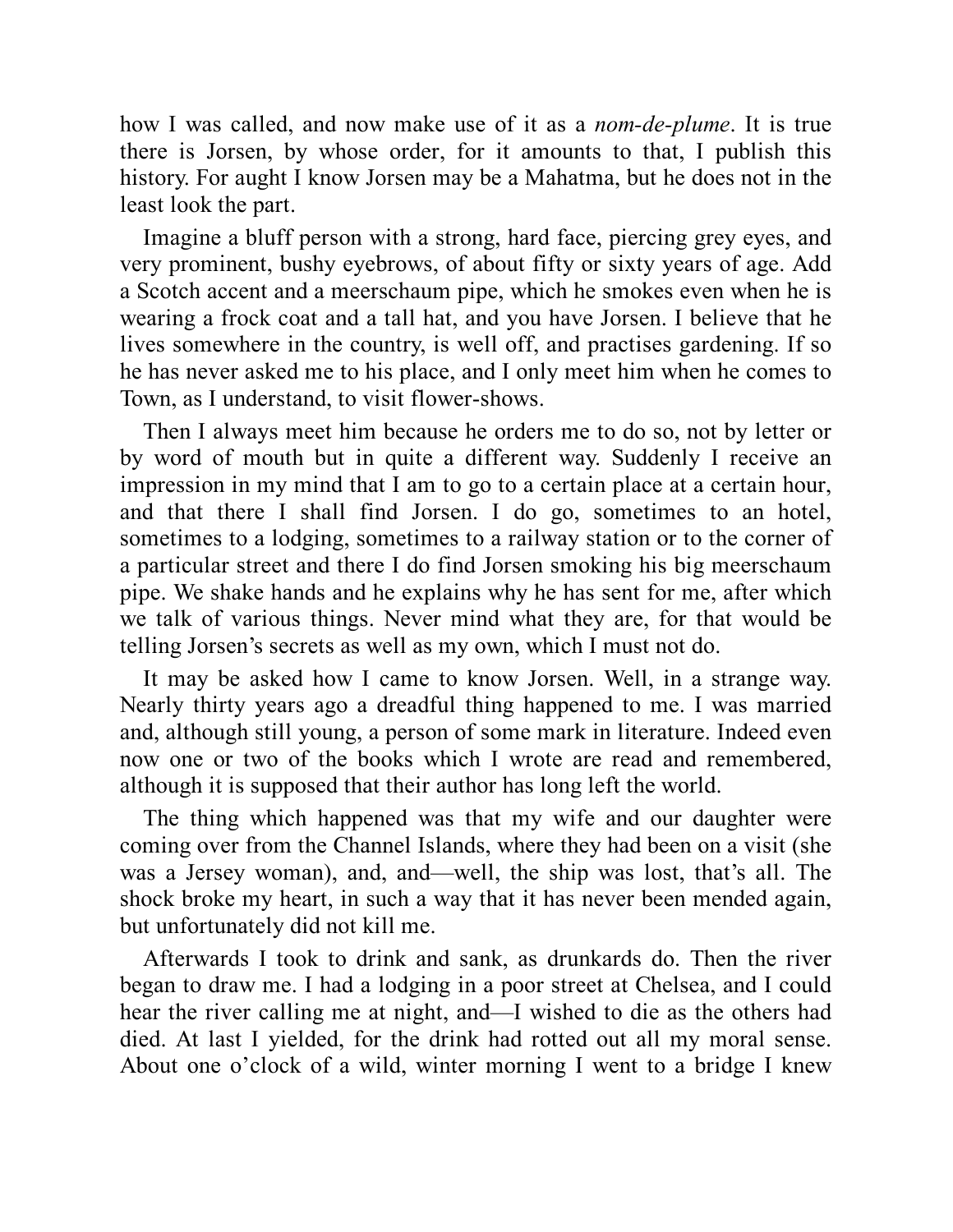how I was called, and now make use of it as a *nom-de-plume*. It is true there is Jorsen, by whose order, for it amounts to that, I publish this history. For aught I know Jorsen may be a Mahatma, but he does not in the least look the part.

Imagine a bluff person with a strong, hard face, piercing grey eyes, and very prominent, bushy eyebrows, of about fifty or sixty years of age. Add a Scotch accent and a meerschaum pipe, which he smokes even when he is wearing a frock coat and a tall hat, and you have Jorsen. I believe that he lives somewhere in the country, is well off, and practises gardening. If so he has never asked me to his place, and I only meet him when he comes to Town, as I understand, to visit flower-shows.

Then I always meet him because he orders me to do so, not by letter or by word of mouth but in quite a different way. Suddenly I receive an impression in my mind that I am to go to a certain place at a certain hour, and that there I shall find Jorsen. I do go, sometimes to an hotel, sometimes to a lodging, sometimes to a railway station or to the corner of a particular street and there I do find Jorsen smoking his big meerschaum pipe. We shake hands and he explains why he has sent for me, after which we talk of various things. Never mind what they are, for that would be telling Jorsen's secrets as well as my own, which I must not do.

It may be asked how I came to know Jorsen. Well, in a strange way. Nearly thirty years ago a dreadful thing happened to me. I was married and, although still young, a person of some mark in literature. Indeed even now one or two of the books which I wrote are read and remembered, although it is supposed that their author has long left the world.

The thing which happened was that my wife and our daughter were coming over from the Channel Islands, where they had been on a visit (she was a Jersey woman), and, and—well, the ship was lost, that's all. The shock broke my heart, in such a way that it has never been mended again, but unfortunately did not kill me.

Afterwards I took to drink and sank, as drunkards do. Then the river began to draw me. I had a lodging in a poor street at Chelsea, and I could hear the river calling me at night, and—I wished to die as the others had died. At last I yielded, for the drink had rotted out all my moral sense. About one o'clock of a wild, winter morning I went to a bridge I knew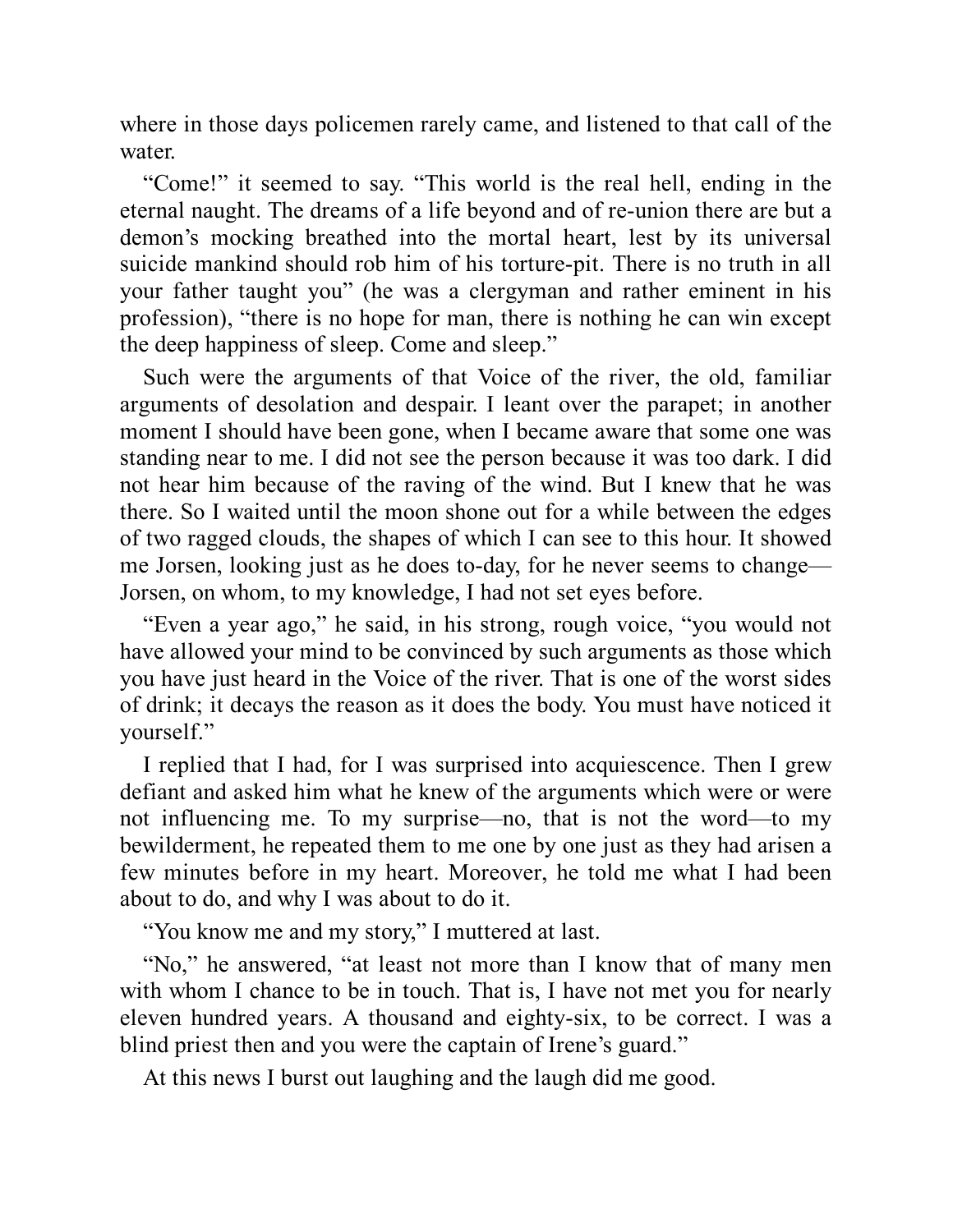where in those days policemen rarely came, and listened to that call of the water.

"Come!" it seemed to say. "This world is the real hell, ending in the eternal naught. The dreams of a life beyond and of re-union there are but a demon's mocking breathed into the mortal heart, lest by its universal suicide mankind should rob him of his torture-pit. There is no truth in all your father taught you" (he was a clergyman and rather eminent in his profession), "there is no hope for man, there is nothing he can win except the deep happiness of sleep. Come and sleep."

Such were the arguments of that Voice of the river, the old, familiar arguments of desolation and despair. I leant over the parapet; in another moment I should have been gone, when I became aware that some one was standing near to me. I did not see the person because it was too dark. I did not hear him because of the raving of the wind. But I knew that he was there. So I waited until the moon shone out for a while between the edges of two ragged clouds, the shapes of which I can see to this hour. It showed me Jorsen, looking just as he does to-day, for he never seems to change— Jorsen, on whom, to my knowledge, I had not set eyes before.

"Even a year ago," he said, in his strong, rough voice, "you would not have allowed your mind to be convinced by such arguments as those which you have just heard in the Voice of the river. That is one of the worst sides of drink; it decays the reason as it does the body. You must have noticed it yourself."

I replied that I had, for I was surprised into acquiescence. Then I grew defiant and asked him what he knew of the arguments which were or were not influencing me. To my surprise—no, that is not the word—to my bewilderment, he repeated them to me one by one just as they had arisen a few minutes before in my heart. Moreover, he told me what I had been about to do, and why I was about to do it.

"You know me and my story," I muttered at last.

"No," he answered, "at least not more than I know that of many men with whom I chance to be in touch. That is, I have not met you for nearly eleven hundred years. A thousand and eighty-six, to be correct. I was a blind priest then and you were the captain of Irene's guard."

At this news I burst out laughing and the laugh did me good.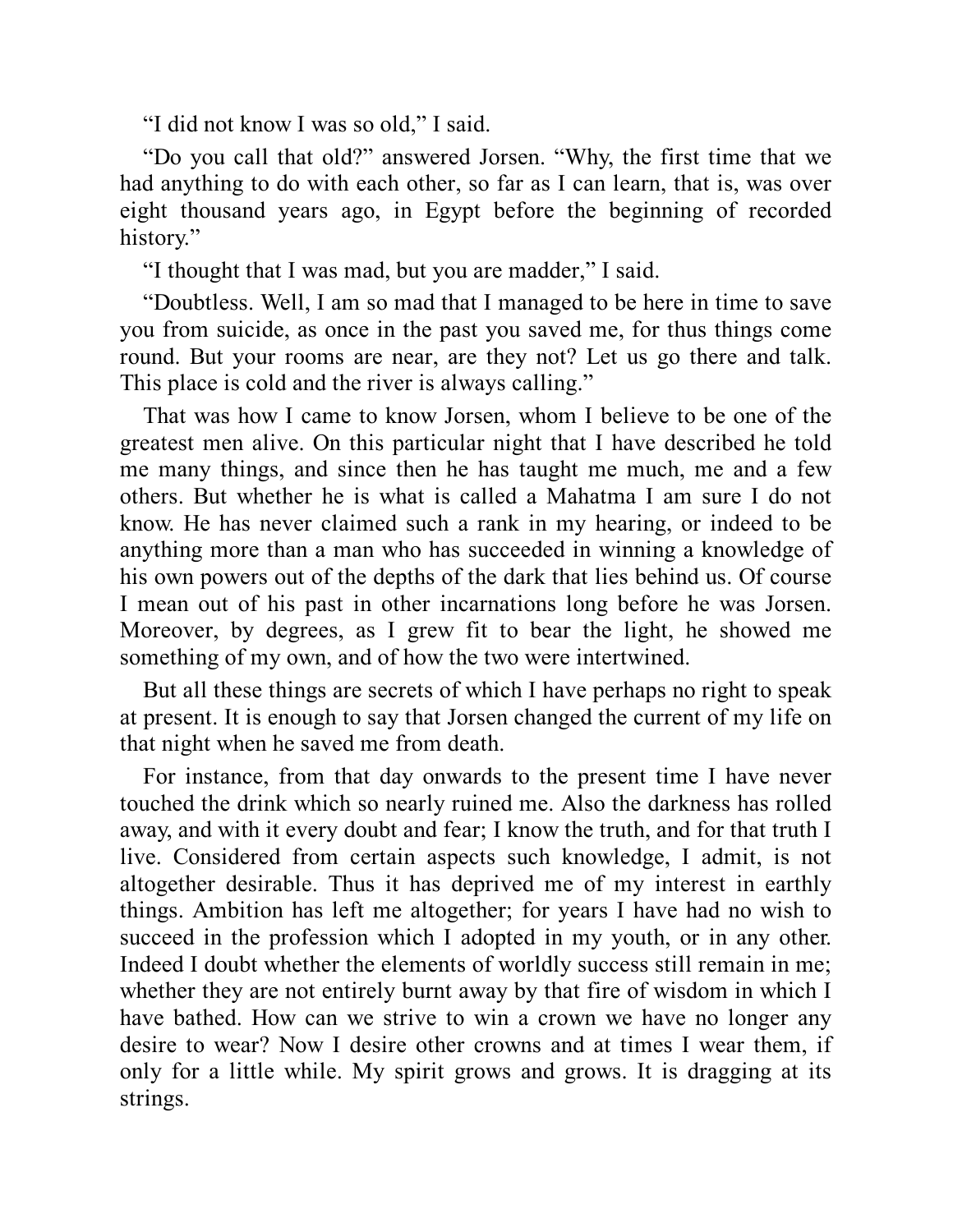"I did not know I was so old," I said.

"Do you call that old?" answered Jorsen. "Why, the first time that we had anything to do with each other, so far as I can learn, that is, was over eight thousand years ago, in Egypt before the beginning of recorded history."

"I thought that I was mad, but you are madder," I said.

"Doubtless. Well, I am so mad that I managed to be here in time to save you from suicide, as once in the past you saved me, for thus things come round. But your rooms are near, are they not? Let us go there and talk. This place is cold and the river is always calling."

That was how I came to know Jorsen, whom I believe to be one of the greatest men alive. On this particular night that I have described he told me many things, and since then he has taught me much, me and a few others. But whether he is what is called a Mahatma I am sure I do not know. He has never claimed such a rank in my hearing, or indeed to be anything more than a man who has succeeded in winning a knowledge of his own powers out of the depths of the dark that lies behind us. Of course I mean out of his past in other incarnations long before he was Jorsen. Moreover, by degrees, as I grew fit to bear the light, he showed me something of my own, and of how the two were intertwined.

But all these things are secrets of which I have perhaps no right to speak at present. It is enough to say that Jorsen changed the current of my life on that night when he saved me from death.

For instance, from that day onwards to the present time I have never touched the drink which so nearly ruined me. Also the darkness has rolled away, and with it every doubt and fear; I know the truth, and for that truth I live. Considered from certain aspects such knowledge, I admit, is not altogether desirable. Thus it has deprived me of my interest in earthly things. Ambition has left me altogether; for years I have had no wish to succeed in the profession which I adopted in my youth, or in any other. Indeed I doubt whether the elements of worldly success still remain in me; whether they are not entirely burnt away by that fire of wisdom in which I have bathed. How can we strive to win a crown we have no longer any desire to wear? Now I desire other crowns and at times I wear them, if only for a little while. My spirit grows and grows. It is dragging at its strings.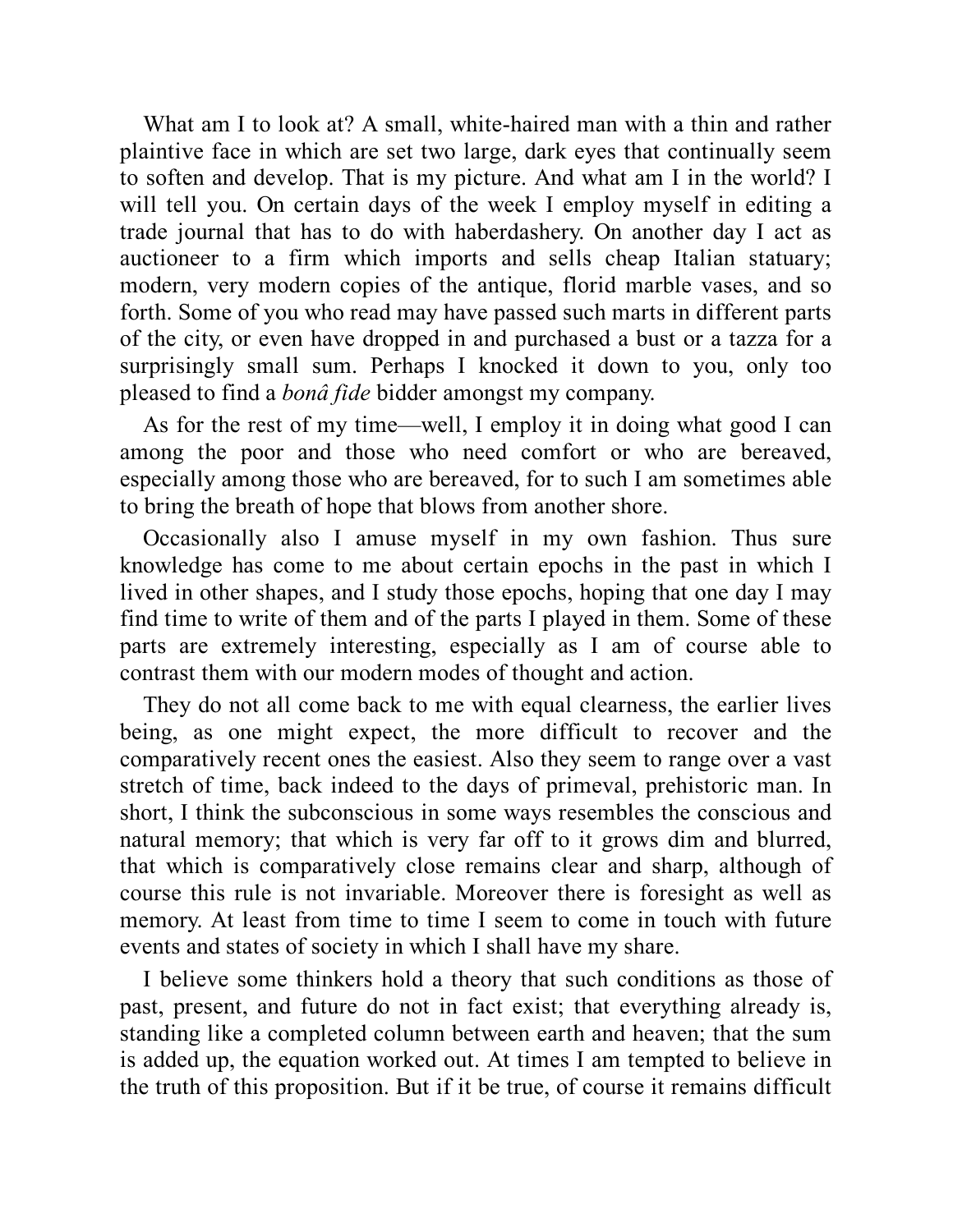What am I to look at? A small, white-haired man with a thin and rather plaintive face in which are set two large, dark eyes that continually seem to soften and develop. That is my picture. And what am I in the world? I will tell you. On certain days of the week I employ myself in editing a trade journal that has to do with haberdashery. On another day I act as auctioneer to a firm which imports and sells cheap Italian statuary; modern, very modern copies of the antique, florid marble vases, and so forth. Some of you who read may have passed such marts in different parts of the city, or even have dropped in and purchased a bust or a tazza for a surprisingly small sum. Perhaps I knocked it down to you, only too pleased to find a *bonâ fide* bidder amongst my company.

As for the rest of my time—well, I employ it in doing what good I can among the poor and those who need comfort or who are bereaved, especially among those who are bereaved, for to such I am sometimes able to bring the breath of hope that blows from another shore.

Occasionally also I amuse myself in my own fashion. Thus sure knowledge has come to me about certain epochs in the past in which I lived in other shapes, and I study those epochs, hoping that one day I may find time to write of them and of the parts I played in them. Some of these parts are extremely interesting, especially as I am of course able to contrast them with our modern modes of thought and action.

They do not all come back to me with equal clearness, the earlier lives being, as one might expect, the more difficult to recover and the comparatively recent ones the easiest. Also they seem to range over a vast stretch of time, back indeed to the days of primeval, prehistoric man. In short, I think the subconscious in some ways resembles the conscious and natural memory; that which is very far off to it grows dim and blurred, that which is comparatively close remains clear and sharp, although of course this rule is not invariable. Moreover there is foresight as well as memory. At least from time to time I seem to come in touch with future events and states of society in which I shall have my share.

I believe some thinkers hold a theory that such conditions as those of past, present, and future do not in fact exist; that everything already is, standing like a completed column between earth and heaven; that the sum is added up, the equation worked out. At times I am tempted to believe in the truth of this proposition. But if it be true, of course it remains difficult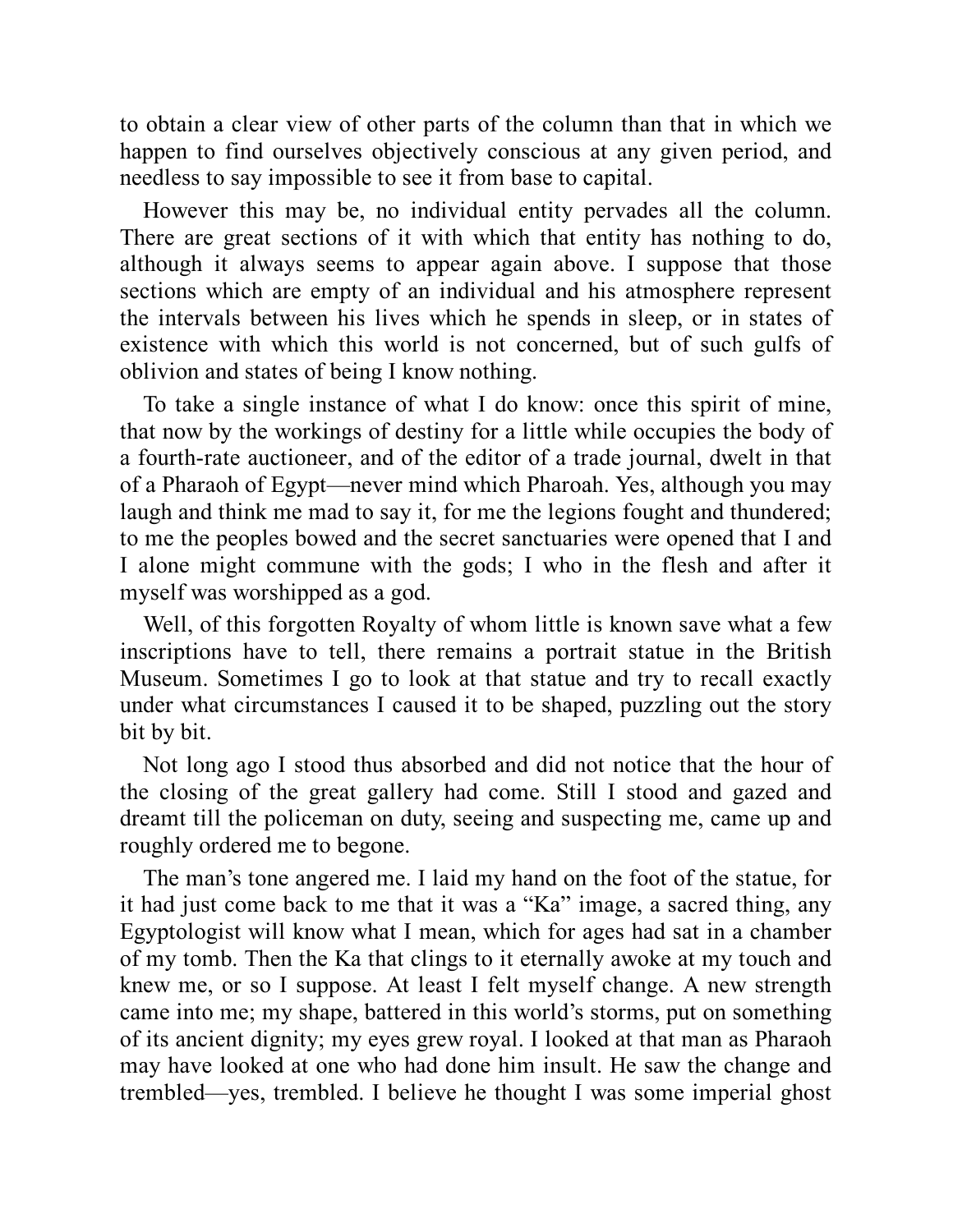to obtain a clear view of other parts of the column than that in which we happen to find ourselves objectively conscious at any given period, and needless to say impossible to see it from base to capital.

However this may be, no individual entity pervades all the column. There are great sections of it with which that entity has nothing to do, although it always seems to appear again above. I suppose that those sections which are empty of an individual and his atmosphere represent the intervals between his lives which he spends in sleep, or in states of existence with which this world is not concerned, but of such gulfs of oblivion and states of being I know nothing.

To take a single instance of what I do know: once this spirit of mine, that now by the workings of destiny for a little while occupies the body of a fourth-rate auctioneer, and of the editor of a trade journal, dwelt in that of a Pharaoh of Egypt—never mind which Pharoah. Yes, although you may laugh and think me mad to say it, for me the legions fought and thundered; to me the peoples bowed and the secret sanctuaries were opened that I and I alone might commune with the gods; I who in the flesh and after it myself was worshipped as a god.

Well, of this forgotten Royalty of whom little is known save what a few inscriptions have to tell, there remains a portrait statue in the British Museum. Sometimes I go to look at that statue and try to recall exactly under what circumstances I caused it to be shaped, puzzling out the story bit by bit.

Not long ago I stood thus absorbed and did not notice that the hour of the closing of the great gallery had come. Still I stood and gazed and dreamt till the policeman on duty, seeing and suspecting me, came up and roughly ordered me to begone.

The man's tone angered me. I laid my hand on the foot of the statue, for it had just come back to me that it was a "Ka" image, a sacred thing, any Egyptologist will know what I mean, which for ages had sat in a chamber of my tomb. Then the Ka that clings to it eternally awoke at my touch and knew me, or so I suppose. At least I felt myself change. A new strength came into me; my shape, battered in this world's storms, put on something of its ancient dignity; my eyes grew royal. I looked at that man as Pharaoh may have looked at one who had done him insult. He saw the change and trembled—yes, trembled. I believe he thought I was some imperial ghost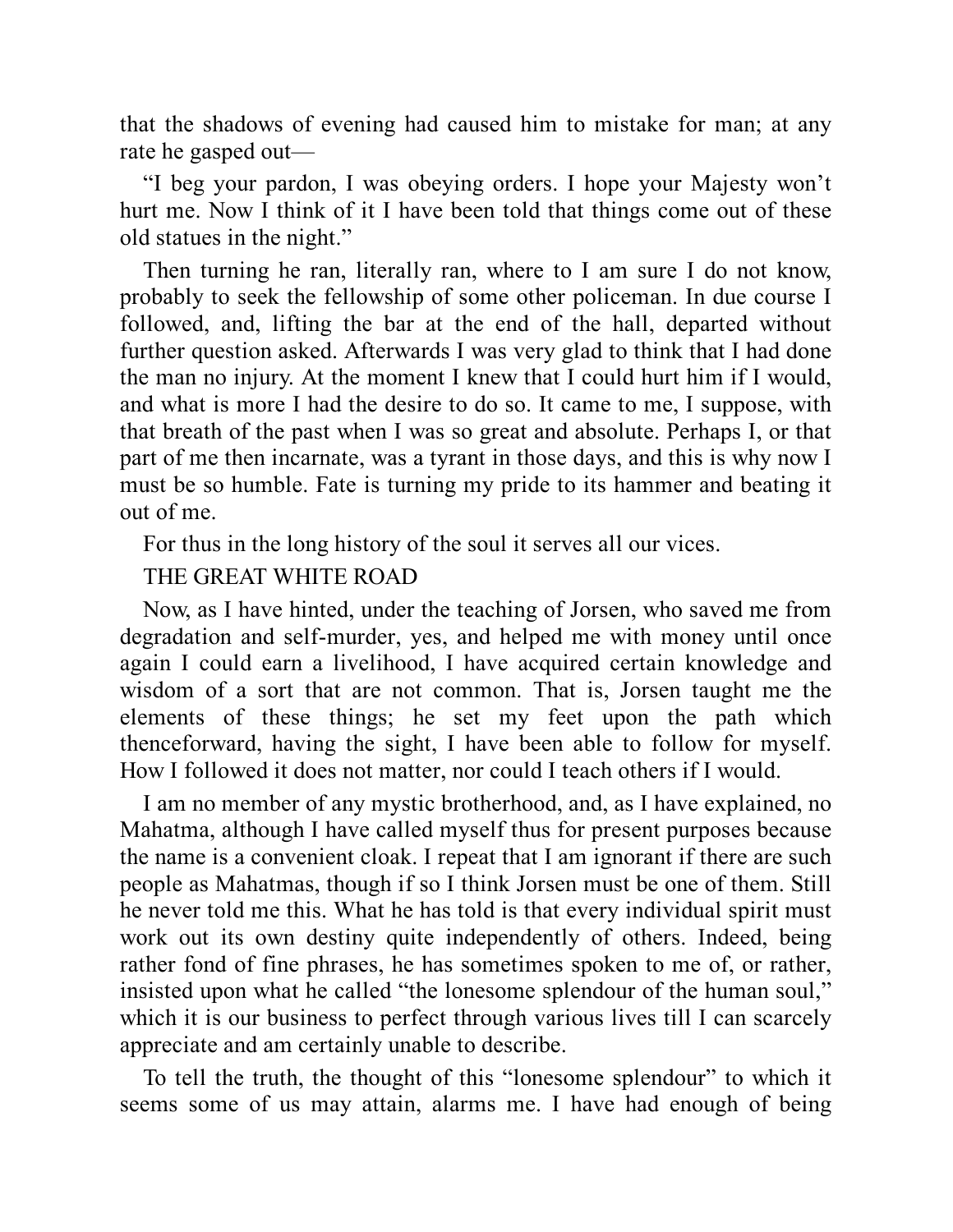that the shadows of evening had caused him to mistake for man; at any rate he gasped out—

"I beg your pardon, I was obeying orders. I hope your Majesty won't hurt me. Now I think of it I have been told that things come out of these old statues in the night."

Then turning he ran, literally ran, where to I am sure I do not know, probably to seek the fellowship of some other policeman. In due course I followed, and, lifting the bar at the end of the hall, departed without further question asked. Afterwards I was very glad to think that I had done the man no injury. At the moment I knew that I could hurt him if I would, and what is more I had the desire to do so. It came to me, I suppose, with that breath of the past when I was so great and absolute. Perhaps I, or that part of me then incarnate, was a tyrant in those days, and this is why now I must be so humble. Fate is turning my pride to its hammer and beating it out of me.

For thus in the long history of the soul it serves all our vices.

#### THE GREAT WHITE ROAD

Now, as I have hinted, under the teaching of Jorsen, who saved me from degradation and self-murder, yes, and helped me with money until once again I could earn a livelihood, I have acquired certain knowledge and wisdom of a sort that are not common. That is, Jorsen taught me the elements of these things; he set my feet upon the path which thenceforward, having the sight, I have been able to follow for myself. How I followed it does not matter, nor could I teach others if I would.

I am no member of any mystic brotherhood, and, as I have explained, no Mahatma, although I have called myself thus for present purposes because the name is a convenient cloak. I repeat that I am ignorant if there are such people as Mahatmas, though if so I think Jorsen must be one of them. Still he never told me this. What he has told is that every individual spirit must work out its own destiny quite independently of others. Indeed, being rather fond of fine phrases, he has sometimes spoken to me of, or rather, insisted upon what he called "the lonesome splendour of the human soul," which it is our business to perfect through various lives till I can scarcely appreciate and am certainly unable to describe.

To tell the truth, the thought of this "lonesome splendour" to which it seems some of us may attain, alarms me. I have had enough of being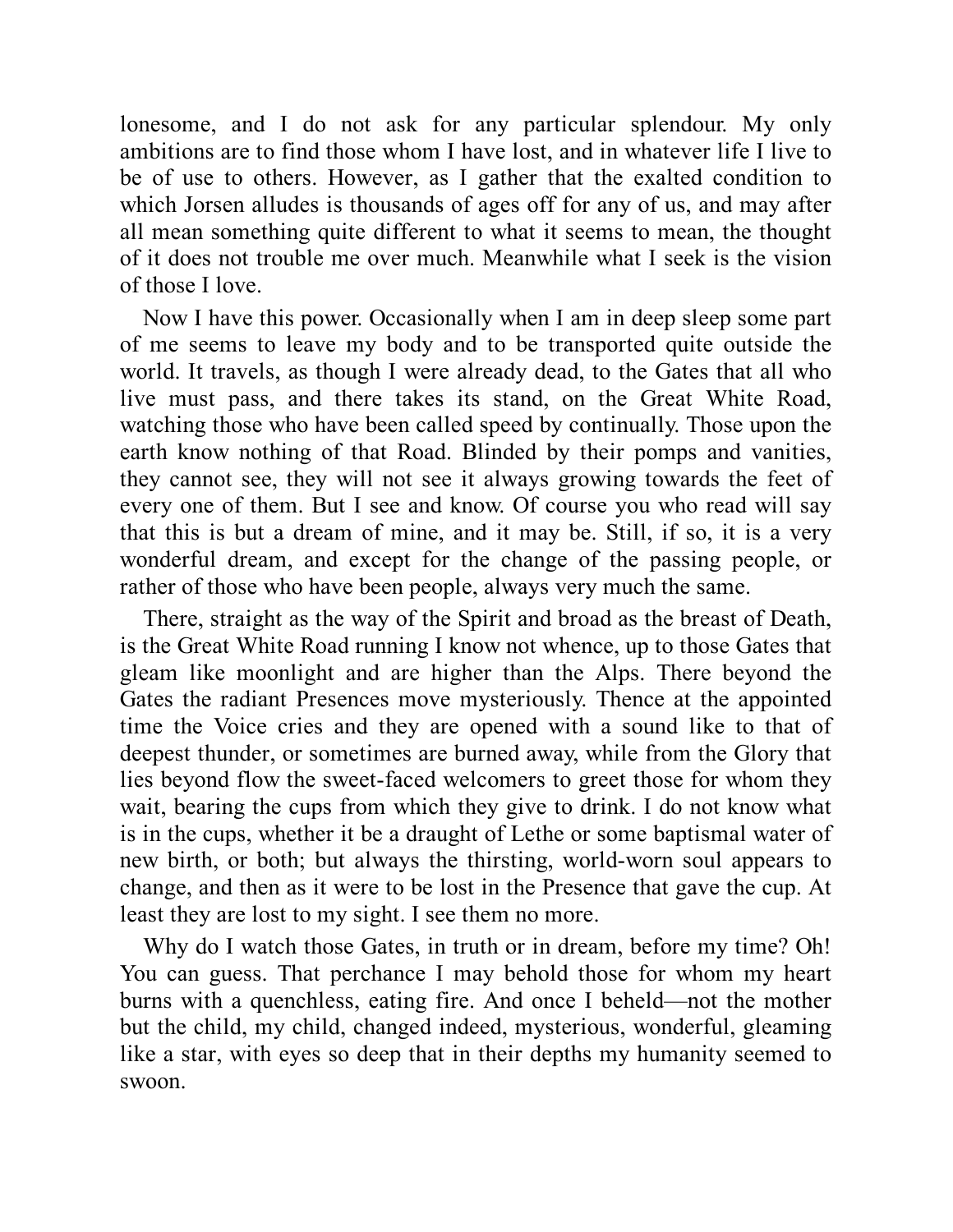lonesome, and I do not ask for any particular splendour. My only ambitions are to find those whom I have lost, and in whatever life I live to be of use to others. However, as I gather that the exalted condition to which Jorsen alludes is thousands of ages off for any of us, and may after all mean something quite different to what it seems to mean, the thought of it does not trouble me over much. Meanwhile what I seek is the vision of those I love.

Now I have this power. Occasionally when I am in deep sleep some part of me seems to leave my body and to be transported quite outside the world. It travels, as though I were already dead, to the Gates that all who live must pass, and there takes its stand, on the Great White Road, watching those who have been called speed by continually. Those upon the earth know nothing of that Road. Blinded by their pomps and vanities, they cannot see, they will not see it always growing towards the feet of every one of them. But I see and know. Of course you who read will say that this is but a dream of mine, and it may be. Still, if so, it is a very wonderful dream, and except for the change of the passing people, or rather of those who have been people, always very much the same.

There, straight as the way of the Spirit and broad as the breast of Death, is the Great White Road running I know not whence, up to those Gates that gleam like moonlight and are higher than the Alps. There beyond the Gates the radiant Presences move mysteriously. Thence at the appointed time the Voice cries and they are opened with a sound like to that of deepest thunder, or sometimes are burned away, while from the Glory that lies beyond flow the sweet-faced welcomers to greet those for whom they wait, bearing the cups from which they give to drink. I do not know what is in the cups, whether it be a draught of Lethe or some baptismal water of new birth, or both; but always the thirsting, world-worn soul appears to change, and then as it were to be lost in the Presence that gave the cup. At least they are lost to my sight. I see them no more.

Why do I watch those Gates, in truth or in dream, before my time? Oh! You can guess. That perchance I may behold those for whom my heart burns with a quenchless, eating fire. And once I beheld—not the mother but the child, my child, changed indeed, mysterious, wonderful, gleaming like a star, with eyes so deep that in their depths my humanity seemed to swoon.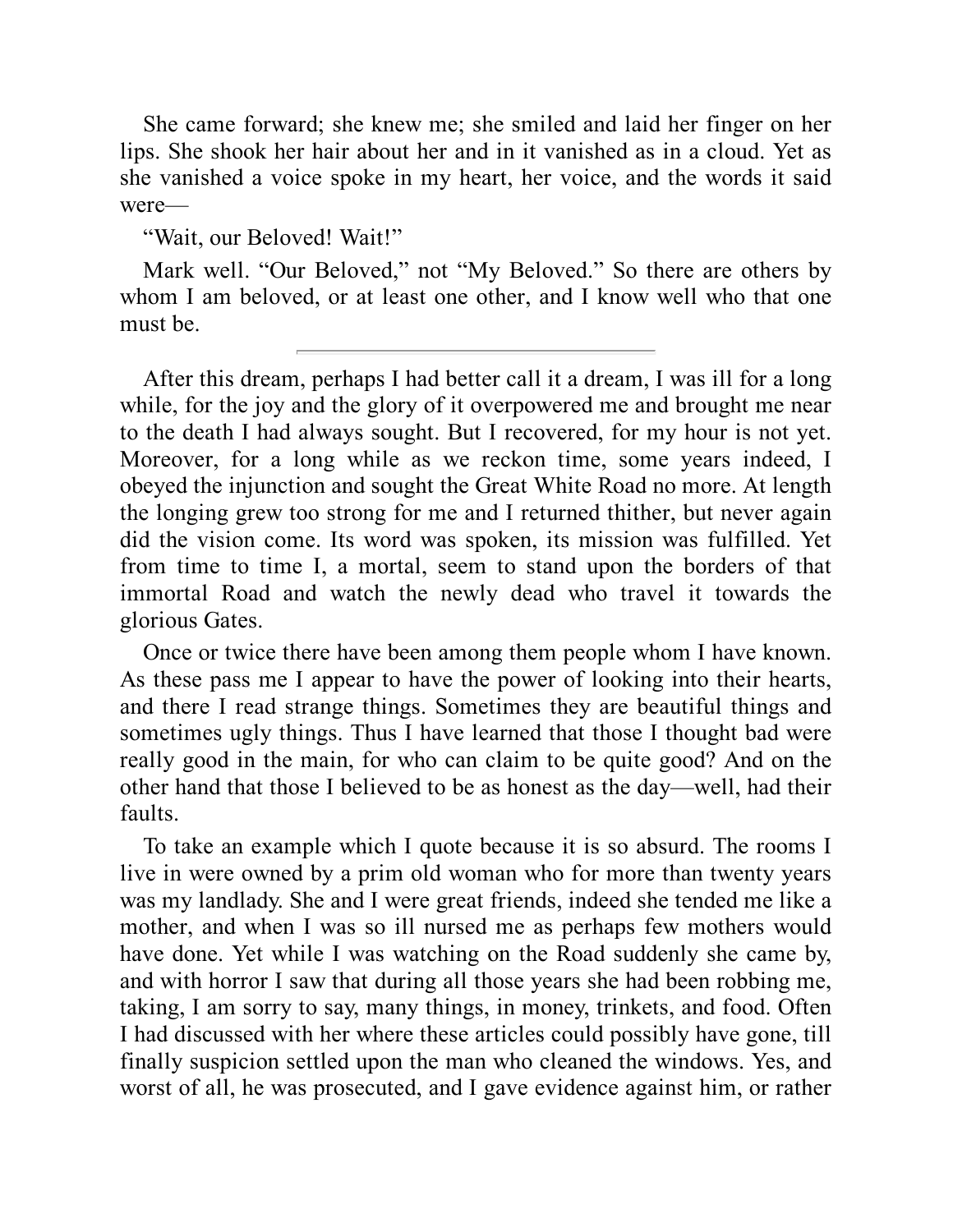She came forward; she knew me; she smiled and laid her finger on her lips. She shook her hair about her and in it vanished as in a cloud. Yet as she vanished a voice spoke in my heart, her voice, and the words it said were—

"Wait, our Beloved! Wait!"

Mark well. "Our Beloved," not "My Beloved." So there are others by whom I am beloved, or at least one other, and I know well who that one must be.

After this dream, perhaps I had better call it a dream, I was ill for a long while, for the joy and the glory of it overpowered me and brought me near to the death I had always sought. But I recovered, for my hour is not yet. Moreover, for a long while as we reckon time, some years indeed, I obeyed the injunction and sought the Great White Road no more. At length the longing grew too strong for me and I returned thither, but never again did the vision come. Its word was spoken, its mission was fulfilled. Yet from time to time I, a mortal, seem to stand upon the borders of that immortal Road and watch the newly dead who travel it towards the glorious Gates.

Once or twice there have been among them people whom I have known. As these pass me I appear to have the power of looking into their hearts, and there I read strange things. Sometimes they are beautiful things and sometimes ugly things. Thus I have learned that those I thought bad were really good in the main, for who can claim to be quite good? And on the other hand that those I believed to be as honest as the day—well, had their faults.

To take an example which I quote because it is so absurd. The rooms I live in were owned by a prim old woman who for more than twenty years was my landlady. She and I were great friends, indeed she tended me like a mother, and when I was so ill nursed me as perhaps few mothers would have done. Yet while I was watching on the Road suddenly she came by, and with horror I saw that during all those years she had been robbing me, taking, I am sorry to say, many things, in money, trinkets, and food. Often I had discussed with her where these articles could possibly have gone, till finally suspicion settled upon the man who cleaned the windows. Yes, and worst of all, he was prosecuted, and I gave evidence against him, or rather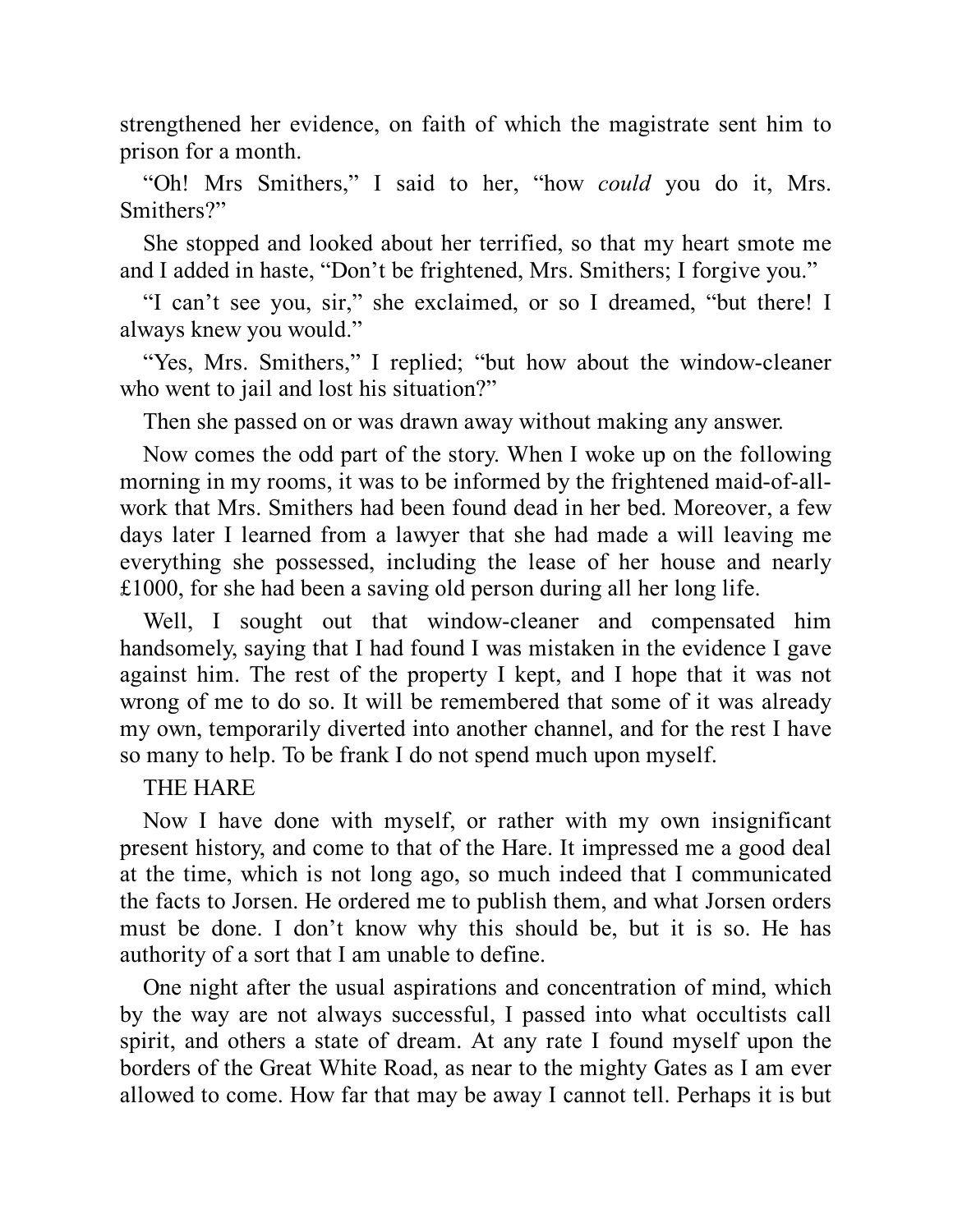strengthened her evidence, on faith of which the magistrate sent him to prison for a month.

"Oh! Mrs Smithers," I said to her, "how *could* you do it, Mrs. Smithers?"

She stopped and looked about her terrified, so that my heart smote me and I added in haste, "Don't be frightened, Mrs. Smithers; I forgive you."

"I can't see you, sir," she exclaimed, or so I dreamed, "but there! I always knew you would."

"Yes, Mrs. Smithers," I replied; "but how about the window-cleaner who went to jail and lost his situation?"

Then she passed on or was drawn away without making any answer.

Now comes the odd part of the story. When I woke up on the following morning in my rooms, it was to be informed by the frightened maid-of-allwork that Mrs. Smithers had been found dead in her bed. Moreover, a few days later I learned from a lawyer that she had made a will leaving me everything she possessed, including the lease of her house and nearly £1000, for she had been a saving old person during all her long life.

Well, I sought out that window-cleaner and compensated him handsomely, saying that I had found I was mistaken in the evidence I gave against him. The rest of the property I kept, and I hope that it was not wrong of me to do so. It will be remembered that some of it was already my own, temporarily diverted into another channel, and for the rest I have so many to help. To be frank I do not spend much upon myself.

#### THE HARE

Now I have done with myself, or rather with my own insignificant present history, and come to that of the Hare. It impressed me a good deal at the time, which is not long ago, so much indeed that I communicated the facts to Jorsen. He ordered me to publish them, and what Jorsen orders must be done. I don't know why this should be, but it is so. He has authority of a sort that I am unable to define.

One night after the usual aspirations and concentration of mind, which by the way are not always successful, I passed into what occultists call spirit, and others a state of dream. At any rate I found myself upon the borders of the Great White Road, as near to the mighty Gates as I am ever allowed to come. How far that may be away I cannot tell. Perhaps it is but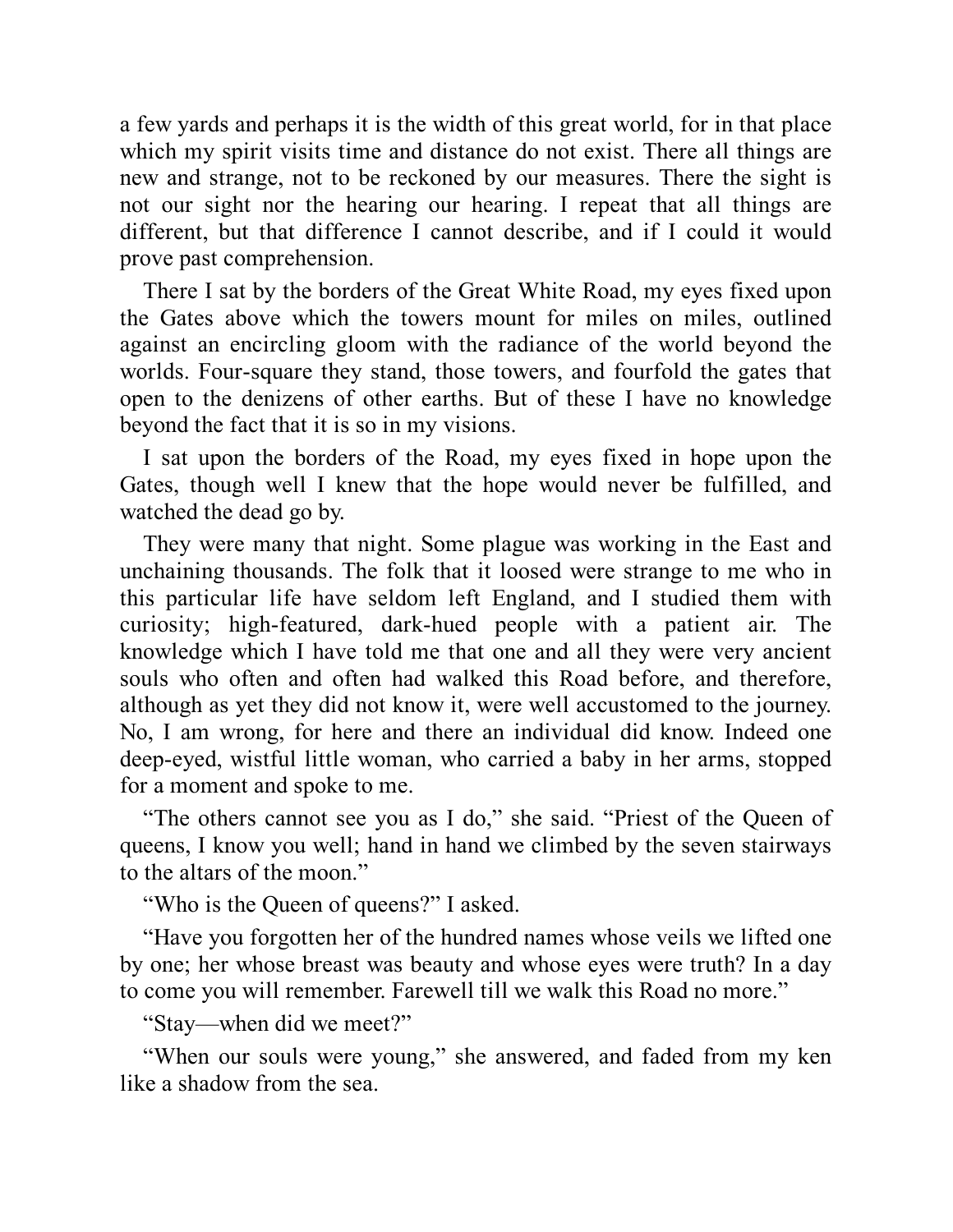a few yards and perhaps it is the width of this great world, for in that place which my spirit visits time and distance do not exist. There all things are new and strange, not to be reckoned by our measures. There the sight is not our sight nor the hearing our hearing. I repeat that all things are different, but that difference I cannot describe, and if I could it would prove past comprehension.

There I sat by the borders of the Great White Road, my eyes fixed upon the Gates above which the towers mount for miles on miles, outlined against an encircling gloom with the radiance of the world beyond the worlds. Four-square they stand, those towers, and fourfold the gates that open to the denizens of other earths. But of these I have no knowledge beyond the fact that it is so in my visions.

I sat upon the borders of the Road, my eyes fixed in hope upon the Gates, though well I knew that the hope would never be fulfilled, and watched the dead go by.

They were many that night. Some plague was working in the East and unchaining thousands. The folk that it loosed were strange to me who in this particular life have seldom left England, and I studied them with curiosity; high-featured, dark-hued people with a patient air. The knowledge which I have told me that one and all they were very ancient souls who often and often had walked this Road before, and therefore, although as yet they did not know it, were well accustomed to the journey. No, I am wrong, for here and there an individual did know. Indeed one deep-eyed, wistful little woman, who carried a baby in her arms, stopped for a moment and spoke to me.

"The others cannot see you as I do," she said. "Priest of the Queen of queens, I know you well; hand in hand we climbed by the seven stairways to the altars of the moon."

"Who is the Queen of queens?" I asked.

"Have you forgotten her of the hundred names whose veils we lifted one by one; her whose breast was beauty and whose eyes were truth? In a day to come you will remember. Farewell till we walk this Road no more."

"Stay—when did we meet?"

"When our souls were young," she answered, and faded from my ken like a shadow from the sea.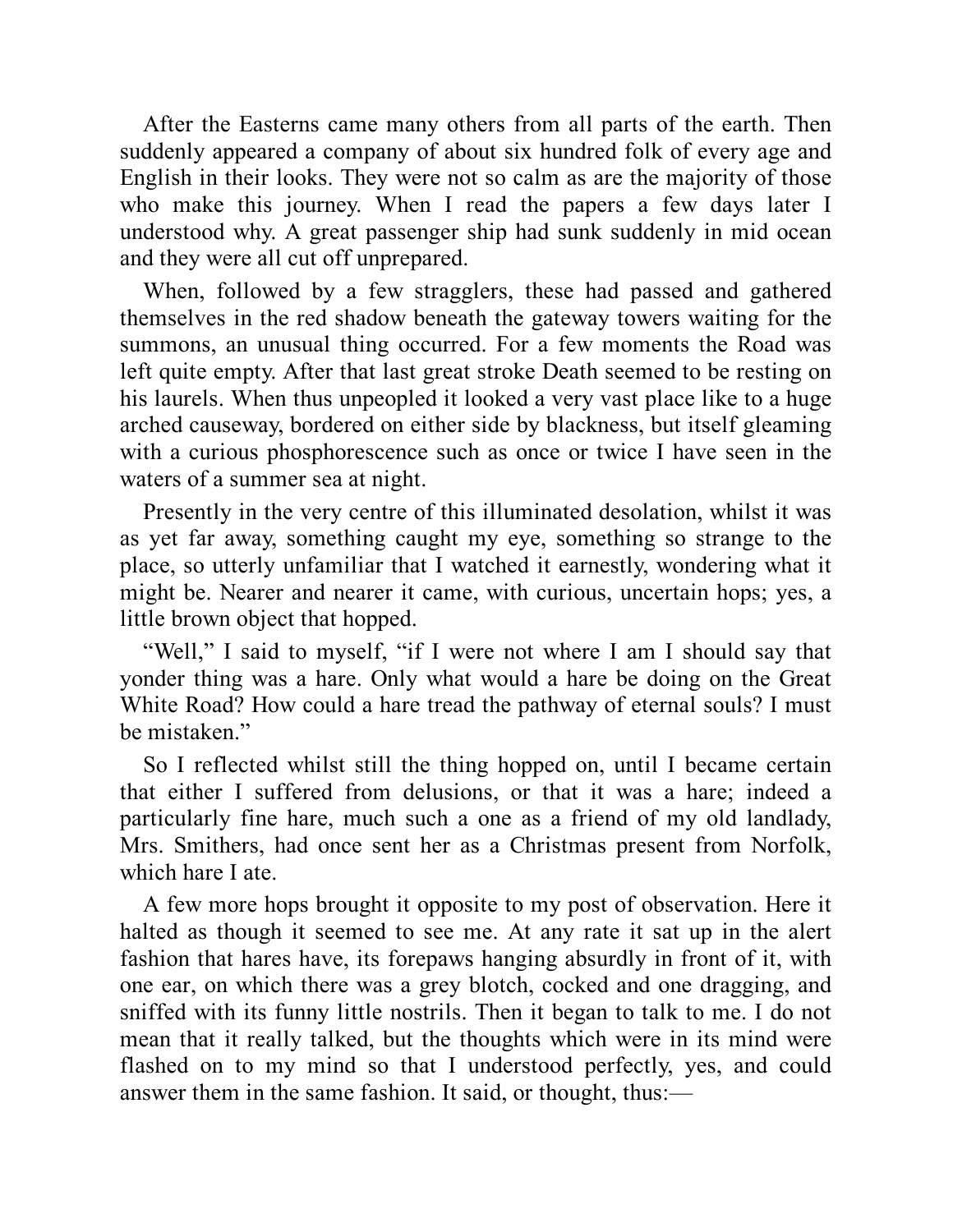After the Easterns came many others from all parts of the earth. Then suddenly appeared a company of about six hundred folk of every age and English in their looks. They were not so calm as are the majority of those who make this journey. When I read the papers a few days later I understood why. A great passenger ship had sunk suddenly in mid ocean and they were all cut off unprepared.

When, followed by a few stragglers, these had passed and gathered themselves in the red shadow beneath the gateway towers waiting for the summons, an unusual thing occurred. For a few moments the Road was left quite empty. After that last great stroke Death seemed to be resting on his laurels. When thus unpeopled it looked a very vast place like to a huge arched causeway, bordered on either side by blackness, but itself gleaming with a curious phosphorescence such as once or twice I have seen in the waters of a summer sea at night.

Presently in the very centre of this illuminated desolation, whilst it was as yet far away, something caught my eye, something so strange to the place, so utterly unfamiliar that I watched it earnestly, wondering what it might be. Nearer and nearer it came, with curious, uncertain hops; yes, a little brown object that hopped.

"Well," I said to myself, "if I were not where I am I should say that yonder thing was a hare. Only what would a hare be doing on the Great White Road? How could a hare tread the pathway of eternal souls? I must be mistaken."

So I reflected whilst still the thing hopped on, until I became certain that either I suffered from delusions, or that it was a hare; indeed a particularly fine hare, much such a one as a friend of my old landlady, Mrs. Smithers, had once sent her as a Christmas present from Norfolk, which hare I ate.

A few more hops brought it opposite to my post of observation. Here it halted as though it seemed to see me. At any rate it sat up in the alert fashion that hares have, its forepaws hanging absurdly in front of it, with one ear, on which there was a grey blotch, cocked and one dragging, and sniffed with its funny little nostrils. Then it began to talk to me. I do not mean that it really talked, but the thoughts which were in its mind were flashed on to my mind so that I understood perfectly, yes, and could answer them in the same fashion. It said, or thought, thus:—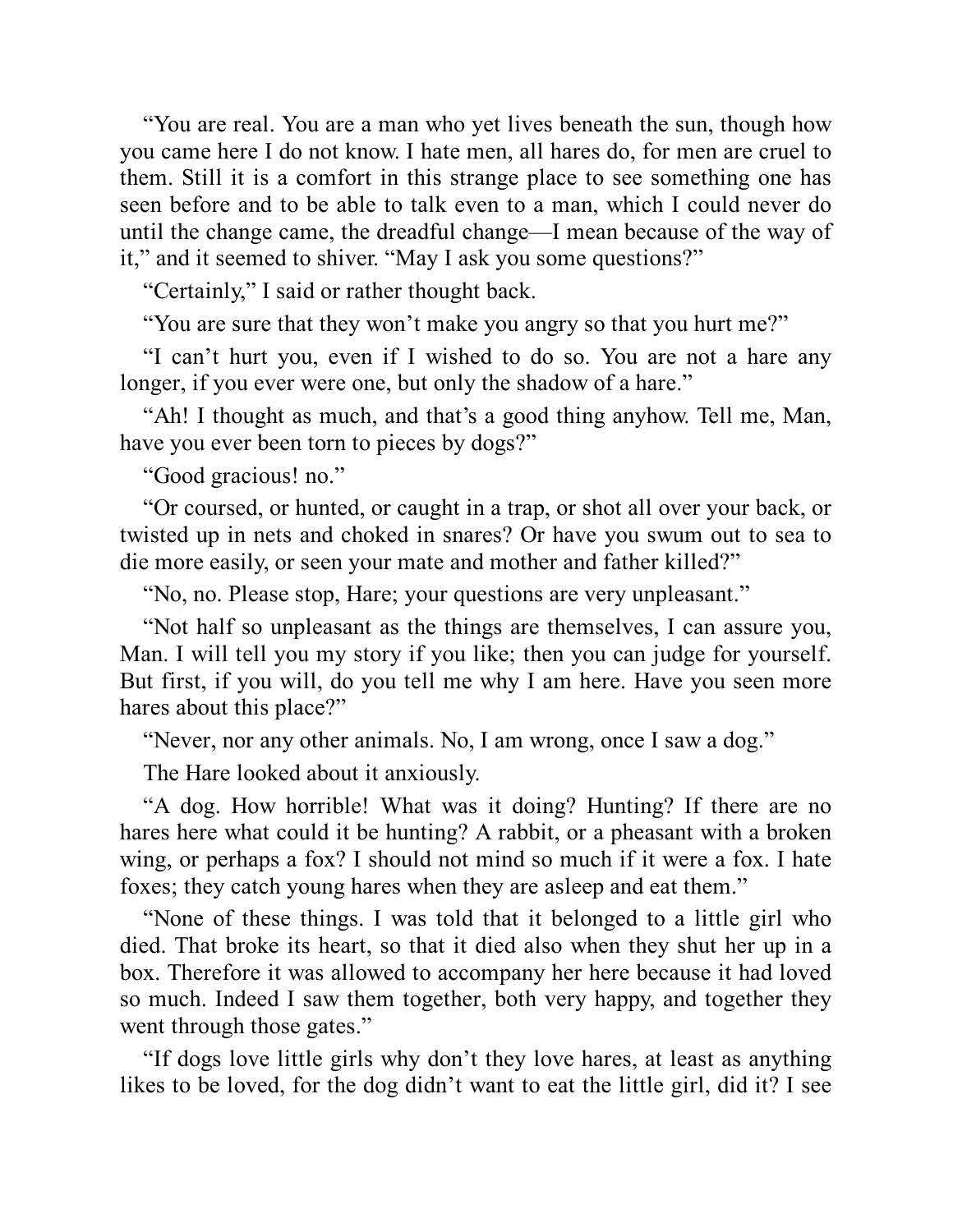"You are real. You are a man who yet lives beneath the sun, though how you came here I do not know. I hate men, all hares do, for men are cruel to them. Still it is a comfort in this strange place to see something one has seen before and to be able to talk even to a man, which I could never do until the change came, the dreadful change—I mean because of the way of it," and it seemed to shiver. "May I ask you some questions?"

"Certainly," I said or rather thought back.

"You are sure that they won't make you angry so that you hurt me?"

"I can't hurt you, even if I wished to do so. You are not a hare any longer, if you ever were one, but only the shadow of a hare."

"Ah! I thought as much, and that's a good thing anyhow. Tell me, Man, have you ever been torn to pieces by dogs?"

"Good gracious! no."

"Or coursed, or hunted, or caught in a trap, or shot all over your back, or twisted up in nets and choked in snares? Or have you swum out to sea to die more easily, or seen your mate and mother and father killed?"

"No, no. Please stop, Hare; your questions are very unpleasant."

"Not half so unpleasant as the things are themselves, I can assure you, Man. I will tell you my story if you like; then you can judge for yourself. But first, if you will, do you tell me why I am here. Have you seen more hares about this place?"

"Never, nor any other animals. No, I am wrong, once I saw a dog."

The Hare looked about it anxiously.

"A dog. How horrible! What was it doing? Hunting? If there are no hares here what could it be hunting? A rabbit, or a pheasant with a broken wing, or perhaps a fox? I should not mind so much if it were a fox. I hate foxes; they catch young hares when they are asleep and eat them."

"None of these things. I was told that it belonged to a little girl who died. That broke its heart, so that it died also when they shut her up in a box. Therefore it was allowed to accompany her here because it had loved so much. Indeed I saw them together, both very happy, and together they went through those gates."

"If dogs love little girls why don't they love hares, at least as anything likes to be loved, for the dog didn't want to eat the little girl, did it? I see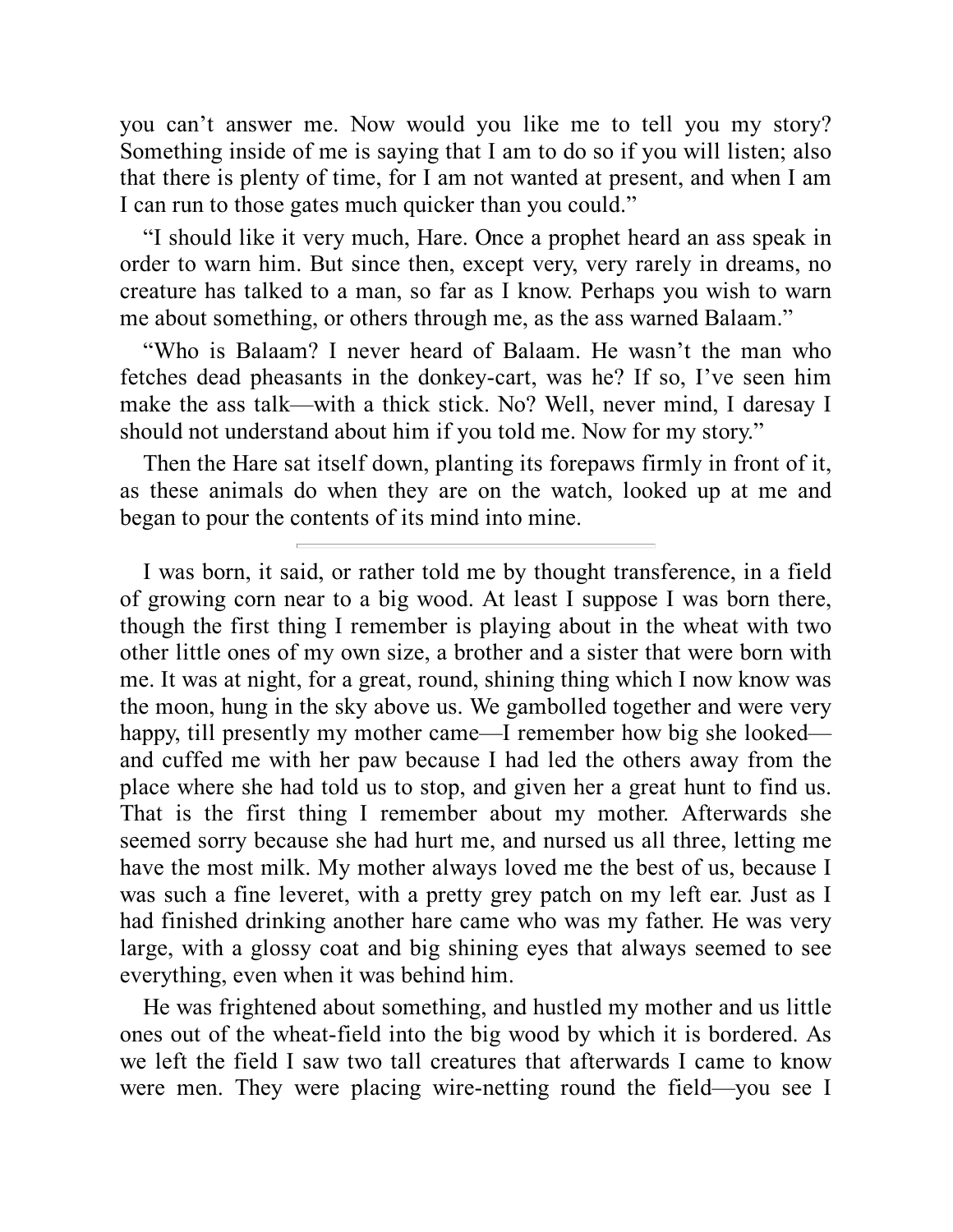you can't answer me. Now would you like me to tell you my story? Something inside of me is saying that I am to do so if you will listen; also that there is plenty of time, for I am not wanted at present, and when I am I can run to those gates much quicker than you could."

"I should like it very much, Hare. Once a prophet heard an ass speak in order to warn him. But since then, except very, very rarely in dreams, no creature has talked to a man, so far as I know. Perhaps you wish to warn me about something, or others through me, as the ass warned Balaam."

"Who is Balaam? I never heard of Balaam. He wasn't the man who fetches dead pheasants in the donkey-cart, was he? If so, I've seen him make the ass talk—with a thick stick. No? Well, never mind, I daresay I should not understand about him if you told me. Now for my story."

Then the Hare sat itself down, planting its forepaws firmly in front of it, as these animals do when they are on the watch, looked up at me and began to pour the contents of its mind into mine.

I was born, it said, or rather told me by thought transference, in a field of growing corn near to a big wood. At least I suppose I was born there, though the first thing I remember is playing about in the wheat with two other little ones of my own size, a brother and a sister that were born with me. It was at night, for a great, round, shining thing which I now know was the moon, hung in the sky above us. We gambolled together and were very happy, till presently my mother came—I remember how big she looked and cuffed me with her paw because I had led the others away from the place where she had told us to stop, and given her a great hunt to find us. That is the first thing I remember about my mother. Afterwards she seemed sorry because she had hurt me, and nursed us all three, letting me have the most milk. My mother always loved me the best of us, because I was such a fine leveret, with a pretty grey patch on my left ear. Just as I had finished drinking another hare came who was my father. He was very large, with a glossy coat and big shining eyes that always seemed to see everything, even when it was behind him.

He was frightened about something, and hustled my mother and us little ones out of the wheat-field into the big wood by which it is bordered. As we left the field I saw two tall creatures that afterwards I came to know were men. They were placing wire-netting round the field—you see I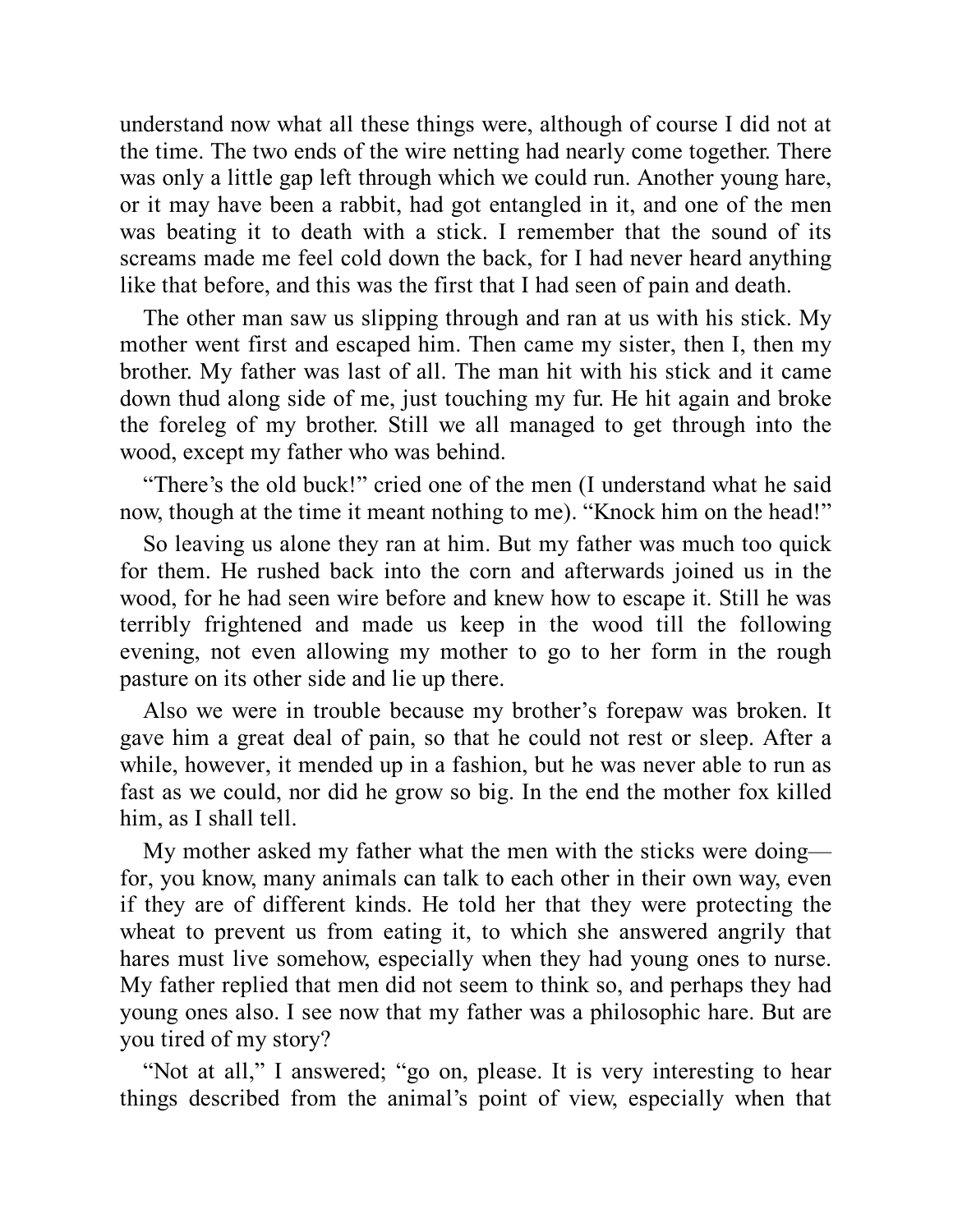understand now what all these things were, although of course I did not at the time. The two ends of the wire netting had nearly come together. There was only a little gap left through which we could run. Another young hare, or it may have been a rabbit, had got entangled in it, and one of the men was beating it to death with a stick. I remember that the sound of its screams made me feel cold down the back, for I had never heard anything like that before, and this was the first that I had seen of pain and death.

The other man saw us slipping through and ran at us with his stick. My mother went first and escaped him. Then came my sister, then I, then my brother. My father was last of all. The man hit with his stick and it came down thud along side of me, just touching my fur. He hit again and broke the foreleg of my brother. Still we all managed to get through into the wood, except my father who was behind.

"There's the old buck!" cried one of the men (I understand what he said now, though at the time it meant nothing to me). "Knock him on the head!"

So leaving us alone they ran at him. But my father was much too quick for them. He rushed back into the corn and afterwards joined us in the wood, for he had seen wire before and knew how to escape it. Still he was terribly frightened and made us keep in the wood till the following evening, not even allowing my mother to go to her form in the rough pasture on its other side and lie up there.

Also we were in trouble because my brother's forepaw was broken. It gave him a great deal of pain, so that he could not rest or sleep. After a while, however, it mended up in a fashion, but he was never able to run as fast as we could, nor did he grow so big. In the end the mother fox killed him, as I shall tell.

My mother asked my father what the men with the sticks were doing for, you know, many animals can talk to each other in their own way, even if they are of different kinds. He told her that they were protecting the wheat to prevent us from eating it, to which she answered angrily that hares must live somehow, especially when they had young ones to nurse. My father replied that men did not seem to think so, and perhaps they had young ones also. I see now that my father was a philosophic hare. But are you tired of my story?

"Not at all," I answered; "go on, please. It is very interesting to hear things described from the animal's point of view, especially when that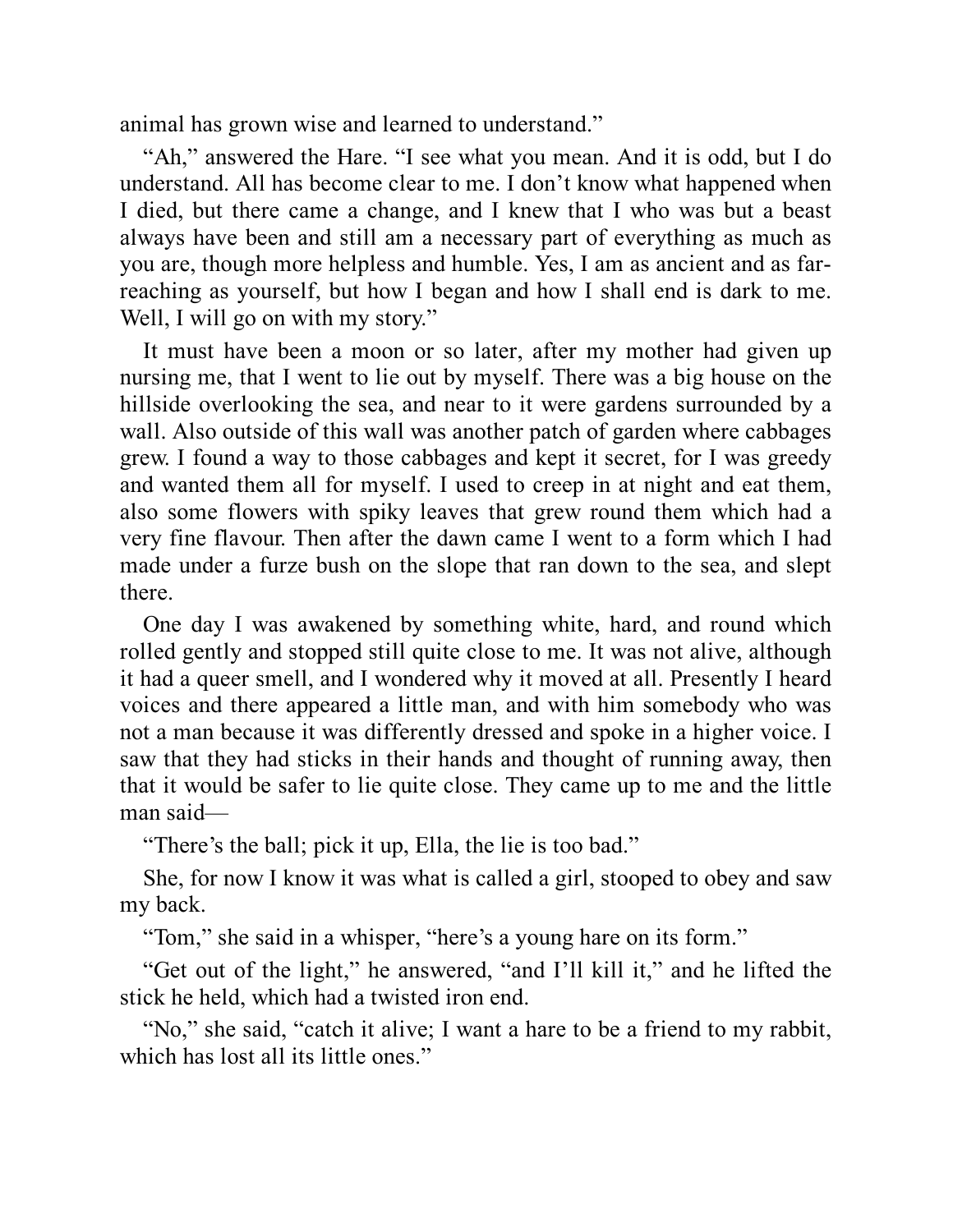animal has grown wise and learned to understand."

"Ah," answered the Hare. "I see what you mean. And it is odd, but I do understand. All has become clear to me. I don't know what happened when I died, but there came a change, and I knew that I who was but a beast always have been and still am a necessary part of everything as much as you are, though more helpless and humble. Yes, I am as ancient and as farreaching as yourself, but how I began and how I shall end is dark to me. Well, I will go on with my story."

It must have been a moon or so later, after my mother had given up nursing me, that I went to lie out by myself. There was a big house on the hillside overlooking the sea, and near to it were gardens surrounded by a wall. Also outside of this wall was another patch of garden where cabbages grew. I found a way to those cabbages and kept it secret, for I was greedy and wanted them all for myself. I used to creep in at night and eat them, also some flowers with spiky leaves that grew round them which had a very fine flavour. Then after the dawn came I went to a form which I had made under a furze bush on the slope that ran down to the sea, and slept there.

One day I was awakened by something white, hard, and round which rolled gently and stopped still quite close to me. It was not alive, although it had a queer smell, and I wondered why it moved at all. Presently I heard voices and there appeared a little man, and with him somebody who was not a man because it was differently dressed and spoke in a higher voice. I saw that they had sticks in their hands and thought of running away, then that it would be safer to lie quite close. They came up to me and the little man said—

"There's the ball; pick it up, Ella, the lie is too bad."

She, for now I know it was what is called a girl, stooped to obey and saw my back.

"Tom," she said in a whisper, "here's a young hare on its form."

"Get out of the light," he answered, "and I'll kill it," and he lifted the stick he held, which had a twisted iron end.

"No," she said, "catch it alive; I want a hare to be a friend to my rabbit, which has lost all its little ones."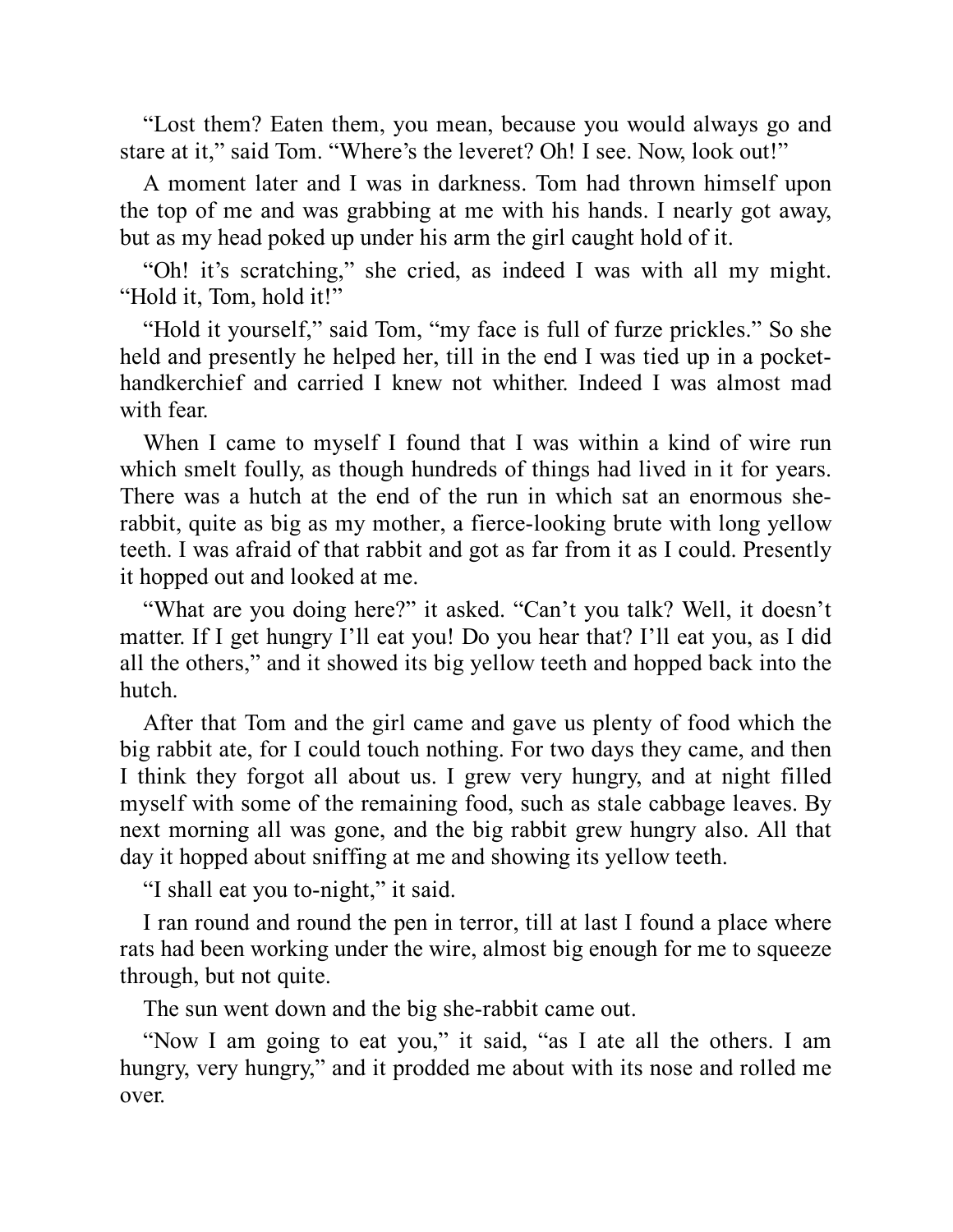"Lost them? Eaten them, you mean, because you would always go and stare at it," said Tom. "Where's the leveret? Oh! I see. Now, look out!"

A moment later and I was in darkness. Tom had thrown himself upon the top of me and was grabbing at me with his hands. I nearly got away, but as my head poked up under his arm the girl caught hold of it.

"Oh! it's scratching," she cried, as indeed I was with all my might. "Hold it, Tom, hold it!"

"Hold it yourself," said Tom, "my face is full of furze prickles." So she held and presently he helped her, till in the end I was tied up in a pockethandkerchief and carried I knew not whither. Indeed I was almost mad with fear.

When I came to myself I found that I was within a kind of wire run which smelt foully, as though hundreds of things had lived in it for years. There was a hutch at the end of the run in which sat an enormous sherabbit, quite as big as my mother, a fierce-looking brute with long yellow teeth. I was afraid of that rabbit and got as far from it as I could. Presently it hopped out and looked at me.

"What are you doing here?" it asked. "Can't you talk? Well, it doesn't matter. If I get hungry I'll eat you! Do you hear that? I'll eat you, as I did all the others," and it showed its big yellow teeth and hopped back into the hutch.

After that Tom and the girl came and gave us plenty of food which the big rabbit ate, for I could touch nothing. For two days they came, and then I think they forgot all about us. I grew very hungry, and at night filled myself with some of the remaining food, such as stale cabbage leaves. By next morning all was gone, and the big rabbit grew hungry also. All that day it hopped about sniffing at me and showing its yellow teeth.

"I shall eat you to-night," it said.

I ran round and round the pen in terror, till at last I found a place where rats had been working under the wire, almost big enough for me to squeeze through, but not quite.

The sun went down and the big she-rabbit came out.

"Now I am going to eat you," it said, "as I ate all the others. I am hungry, very hungry," and it prodded me about with its nose and rolled me over.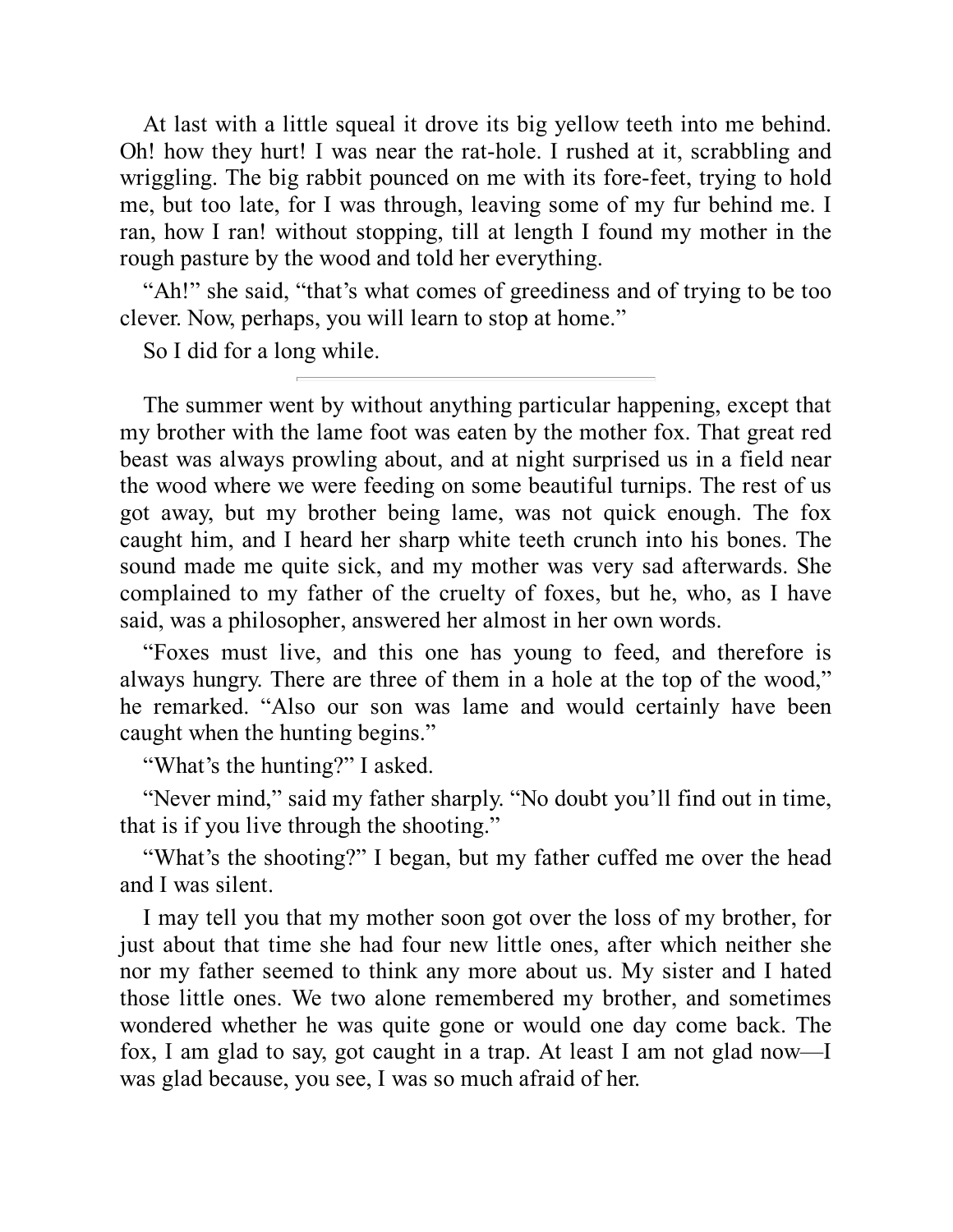At last with a little squeal it drove its big yellow teeth into me behind. Oh! how they hurt! I was near the rat-hole. I rushed at it, scrabbling and wriggling. The big rabbit pounced on me with its fore-feet, trying to hold me, but too late, for I was through, leaving some of my fur behind me. I ran, how I ran! without stopping, till at length I found my mother in the rough pasture by the wood and told her everything.

"Ah!" she said, "that's what comes of greediness and of trying to be too clever. Now, perhaps, you will learn to stop at home."

So I did for a long while.

The summer went by without anything particular happening, except that my brother with the lame foot was eaten by the mother fox. That great red beast was always prowling about, and at night surprised us in a field near the wood where we were feeding on some beautiful turnips. The rest of us got away, but my brother being lame, was not quick enough. The fox caught him, and I heard her sharp white teeth crunch into his bones. The sound made me quite sick, and my mother was very sad afterwards. She complained to my father of the cruelty of foxes, but he, who, as I have said, was a philosopher, answered her almost in her own words.

"Foxes must live, and this one has young to feed, and therefore is always hungry. There are three of them in a hole at the top of the wood," he remarked. "Also our son was lame and would certainly have been caught when the hunting begins."

"What's the hunting?" I asked.

"Never mind," said my father sharply. "No doubt you'll find out in time, that is if you live through the shooting."

"What's the shooting?" I began, but my father cuffed me over the head and I was silent.

I may tell you that my mother soon got over the loss of my brother, for just about that time she had four new little ones, after which neither she nor my father seemed to think any more about us. My sister and I hated those little ones. We two alone remembered my brother, and sometimes wondered whether he was quite gone or would one day come back. The fox, I am glad to say, got caught in a trap. At least I am not glad now—I was glad because, you see, I was so much afraid of her.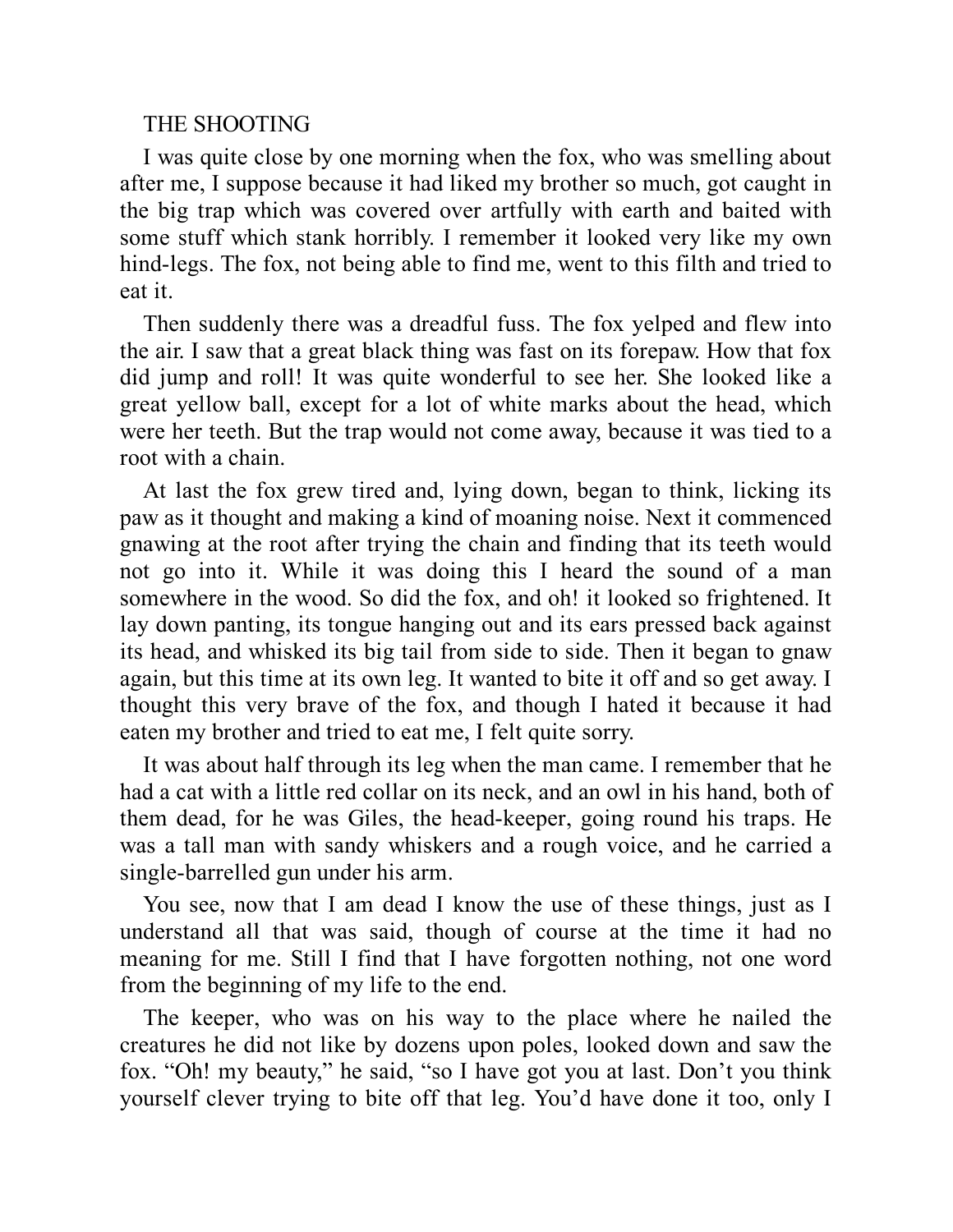#### THE SHOOTING

I was quite close by one morning when the fox, who was smelling about after me, I suppose because it had liked my brother so much, got caught in the big trap which was covered over artfully with earth and baited with some stuff which stank horribly. I remember it looked very like my own hind-legs. The fox, not being able to find me, went to this filth and tried to eat it.

Then suddenly there was a dreadful fuss. The fox yelped and flew into the air. I saw that a great black thing was fast on its forepaw. How that fox did jump and roll! It was quite wonderful to see her. She looked like a great yellow ball, except for a lot of white marks about the head, which were her teeth. But the trap would not come away, because it was tied to a root with a chain.

At last the fox grew tired and, lying down, began to think, licking its paw as it thought and making a kind of moaning noise. Next it commenced gnawing at the root after trying the chain and finding that its teeth would not go into it. While it was doing this I heard the sound of a man somewhere in the wood. So did the fox, and oh! it looked so frightened. It lay down panting, its tongue hanging out and its ears pressed back against its head, and whisked its big tail from side to side. Then it began to gnaw again, but this time at its own leg. It wanted to bite it off and so get away. I thought this very brave of the fox, and though I hated it because it had eaten my brother and tried to eat me, I felt quite sorry.

It was about half through its leg when the man came. I remember that he had a cat with a little red collar on its neck, and an owl in his hand, both of them dead, for he was Giles, the head-keeper, going round his traps. He was a tall man with sandy whiskers and a rough voice, and he carried a single-barrelled gun under his arm.

You see, now that I am dead I know the use of these things, just as I understand all that was said, though of course at the time it had no meaning for me. Still I find that I have forgotten nothing, not one word from the beginning of my life to the end.

The keeper, who was on his way to the place where he nailed the creatures he did not like by dozens upon poles, looked down and saw the fox. "Oh! my beauty," he said, "so I have got you at last. Don't you think yourself clever trying to bite off that leg. You'd have done it too, only I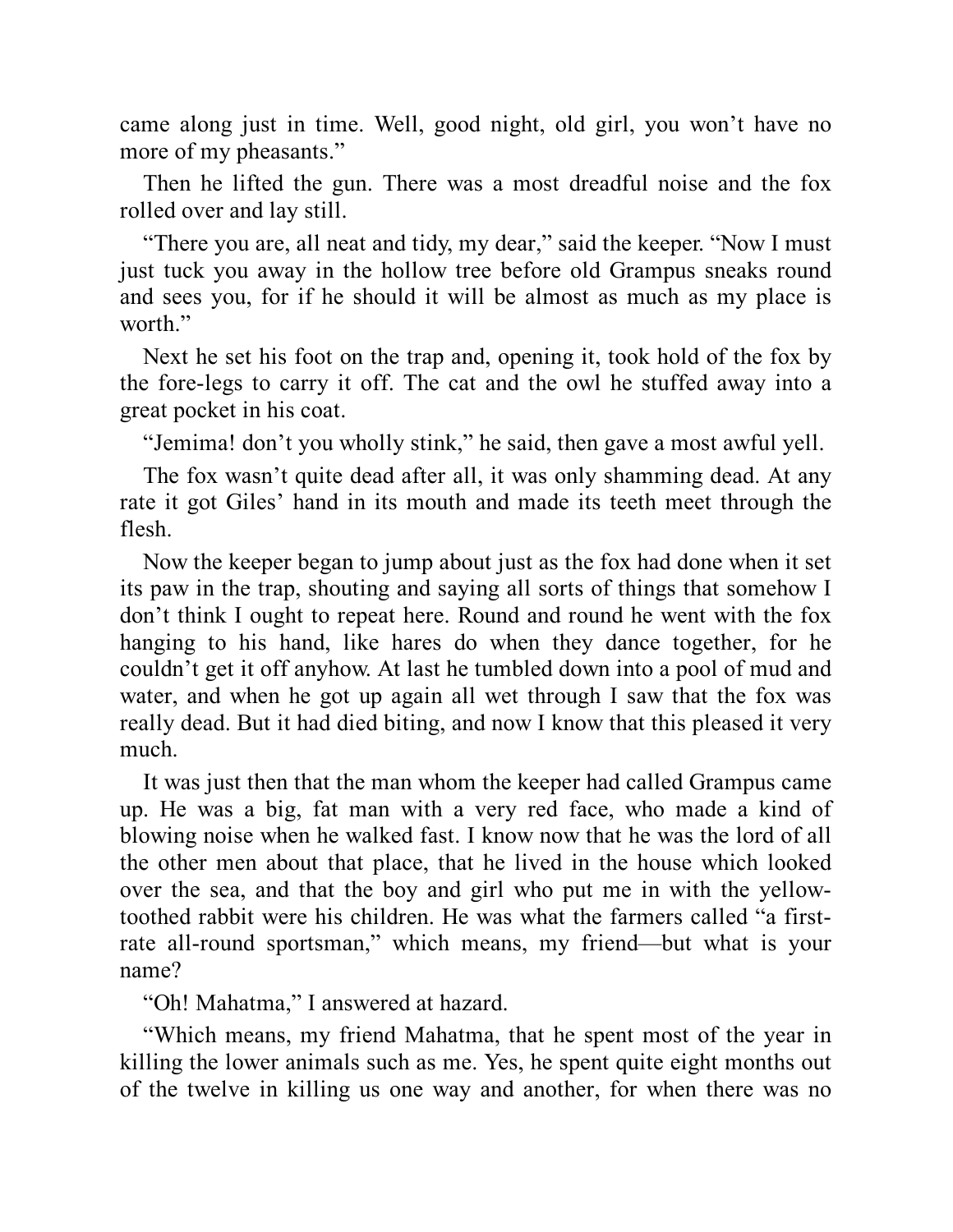came along just in time. Well, good night, old girl, you won't have no more of my pheasants."

Then he lifted the gun. There was a most dreadful noise and the fox rolled over and lay still.

"There you are, all neat and tidy, my dear," said the keeper. "Now I must just tuck you away in the hollow tree before old Grampus sneaks round and sees you, for if he should it will be almost as much as my place is worth."

Next he set his foot on the trap and, opening it, took hold of the fox by the fore-legs to carry it off. The cat and the owl he stuffed away into a great pocket in his coat.

"Jemima! don't you wholly stink," he said, then gave a most awful yell.

The fox wasn't quite dead after all, it was only shamming dead. At any rate it got Giles' hand in its mouth and made its teeth meet through the flesh.

Now the keeper began to jump about just as the fox had done when it set its paw in the trap, shouting and saying all sorts of things that somehow I don't think I ought to repeat here. Round and round he went with the fox hanging to his hand, like hares do when they dance together, for he couldn't get it off anyhow. At last he tumbled down into a pool of mud and water, and when he got up again all wet through I saw that the fox was really dead. But it had died biting, and now I know that this pleased it very much.

It was just then that the man whom the keeper had called Grampus came up. He was a big, fat man with a very red face, who made a kind of blowing noise when he walked fast. I know now that he was the lord of all the other men about that place, that he lived in the house which looked over the sea, and that the boy and girl who put me in with the yellowtoothed rabbit were his children. He was what the farmers called "a firstrate all-round sportsman," which means, my friend—but what is your name?

"Oh! Mahatma," I answered at hazard.

"Which means, my friend Mahatma, that he spent most of the year in killing the lower animals such as me. Yes, he spent quite eight months out of the twelve in killing us one way and another, for when there was no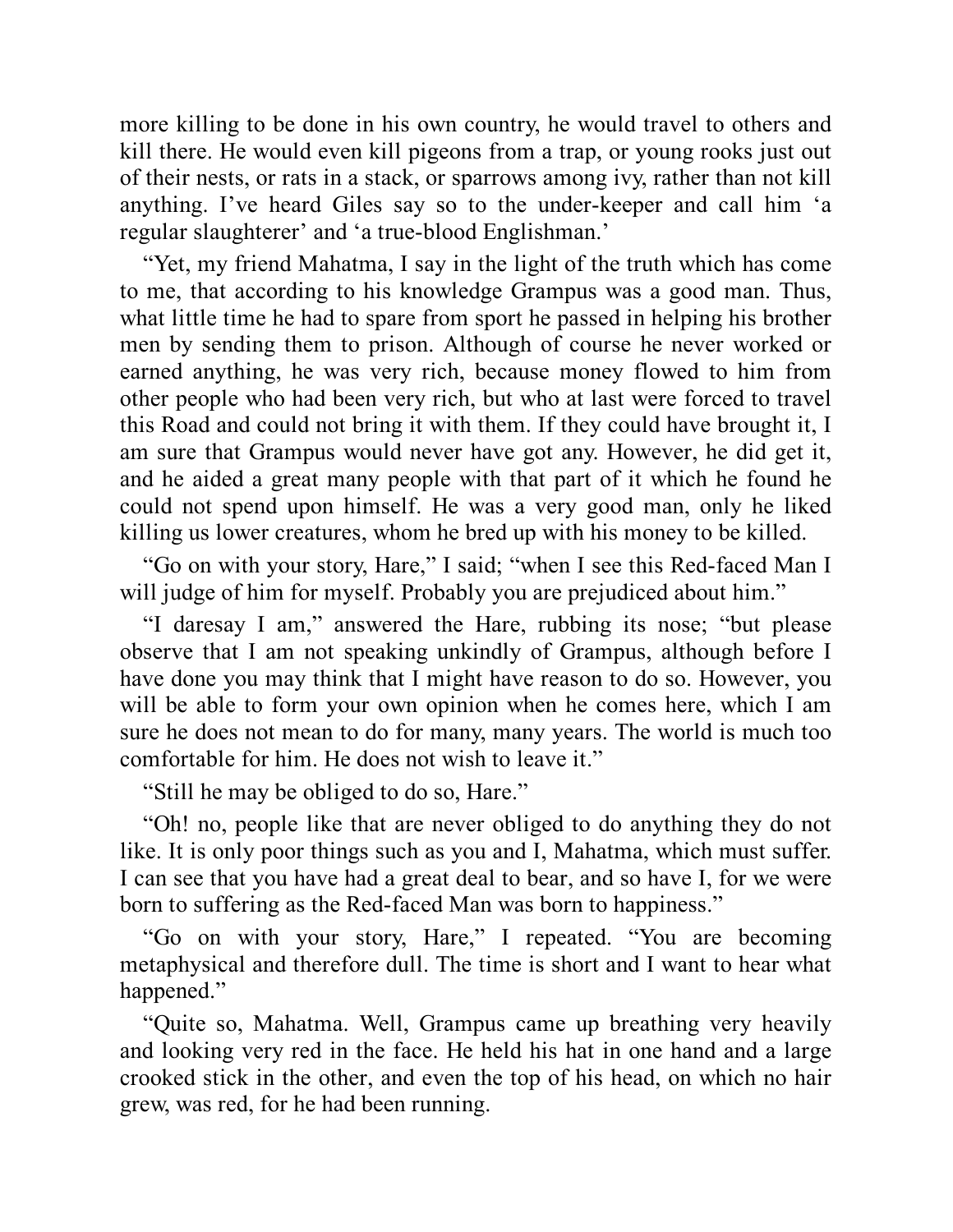more killing to be done in his own country, he would travel to others and kill there. He would even kill pigeons from a trap, or young rooks just out of their nests, or rats in a stack, or sparrows among ivy, rather than not kill anything. I've heard Giles say so to the under-keeper and call him 'a regular slaughterer' and 'a true-blood Englishman.'

"Yet, my friend Mahatma, I say in the light of the truth which has come to me, that according to his knowledge Grampus was a good man. Thus, what little time he had to spare from sport he passed in helping his brother men by sending them to prison. Although of course he never worked or earned anything, he was very rich, because money flowed to him from other people who had been very rich, but who at last were forced to travel this Road and could not bring it with them. If they could have brought it, I am sure that Grampus would never have got any. However, he did get it, and he aided a great many people with that part of it which he found he could not spend upon himself. He was a very good man, only he liked killing us lower creatures, whom he bred up with his money to be killed.

"Go on with your story, Hare," I said; "when I see this Red-faced Man I will judge of him for myself. Probably you are prejudiced about him."

"I daresay I am," answered the Hare, rubbing its nose; "but please observe that I am not speaking unkindly of Grampus, although before I have done you may think that I might have reason to do so. However, you will be able to form your own opinion when he comes here, which I am sure he does not mean to do for many, many years. The world is much too comfortable for him. He does not wish to leave it."

"Still he may be obliged to do so, Hare."

"Oh! no, people like that are never obliged to do anything they do not like. It is only poor things such as you and I, Mahatma, which must suffer. I can see that you have had a great deal to bear, and so have I, for we were born to suffering as the Red-faced Man was born to happiness."

"Go on with your story, Hare," I repeated. "You are becoming metaphysical and therefore dull. The time is short and I want to hear what happened."

"Quite so, Mahatma. Well, Grampus came up breathing very heavily and looking very red in the face. He held his hat in one hand and a large crooked stick in the other, and even the top of his head, on which no hair grew, was red, for he had been running.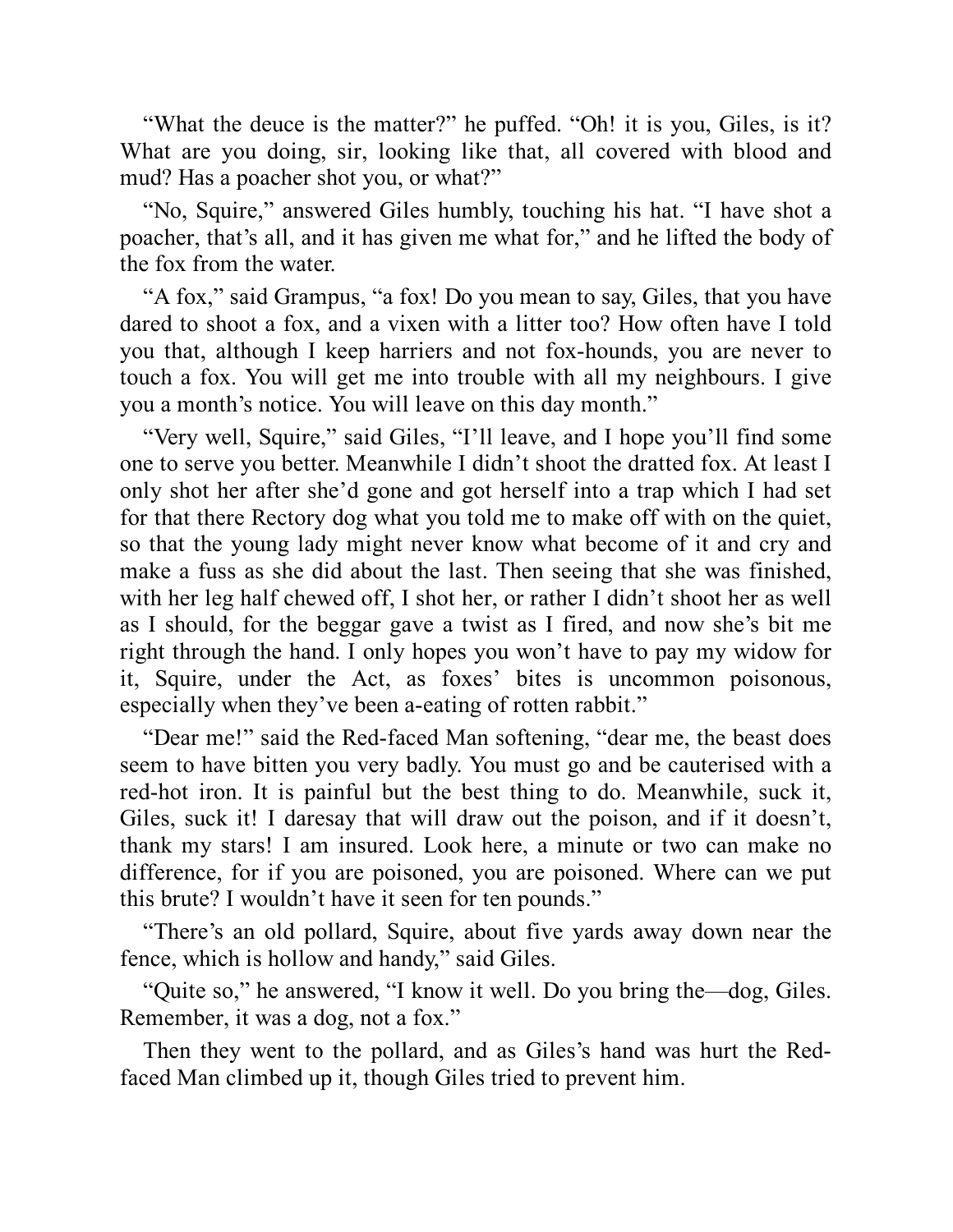"What the deuce is the matter?" he puffed. "Oh! it is you, Giles, is it? What are you doing, sir, looking like that, all covered with blood and mud? Has a poacher shot you, or what?"

"No, Squire," answered Giles humbly, touching his hat. "I have shot a poacher, that's all, and it has given me what for," and he lifted the body of the fox from the water.

"A fox," said Grampus, "a fox! Do you mean to say, Giles, that you have dared to shoot a fox, and a vixen with a litter too? How often have I told you that, although I keep harriers and not fox-hounds, you are never to touch a fox. You will get me into trouble with all my neighbours. I give you a month's notice. You will leave on this day month."

"Very well, Squire," said Giles, "I'll leave, and I hope you'll find some one to serve you better. Meanwhile I didn't shoot the dratted fox. At least I only shot her after she'd gone and got herself into a trap which I had set for that there Rectory dog what you told me to make off with on the quiet, so that the young lady might never know what become of it and cry and make a fuss as she did about the last. Then seeing that she was finished, with her leg half chewed off, I shot her, or rather I didn't shoot her as well as I should, for the beggar gave a twist as I fired, and now she's bit me right through the hand. I only hopes you won't have to pay my widow for it, Squire, under the Act, as foxes' bites is uncommon poisonous, especially when they've been a-eating of rotten rabbit."

"Dear me!" said the Red-faced Man softening, "dear me, the beast does seem to have bitten you very badly. You must go and be cauterised with a red-hot iron. It is painful but the best thing to do. Meanwhile, suck it, Giles, suck it! I daresay that will draw out the poison, and if it doesn't, thank my stars! I am insured. Look here, a minute or two can make no difference, for if you are poisoned, you are poisoned. Where can we put this brute? I wouldn't have it seen for ten pounds."

"There's an old pollard, Squire, about five yards away down near the fence, which is hollow and handy," said Giles.

"Quite so," he answered, "I know it well. Do you bring the—dog, Giles. Remember, it was a dog, not a fox."

Then they went to the pollard, and as Giles's hand was hurt the Redfaced Man climbed up it, though Giles tried to prevent him.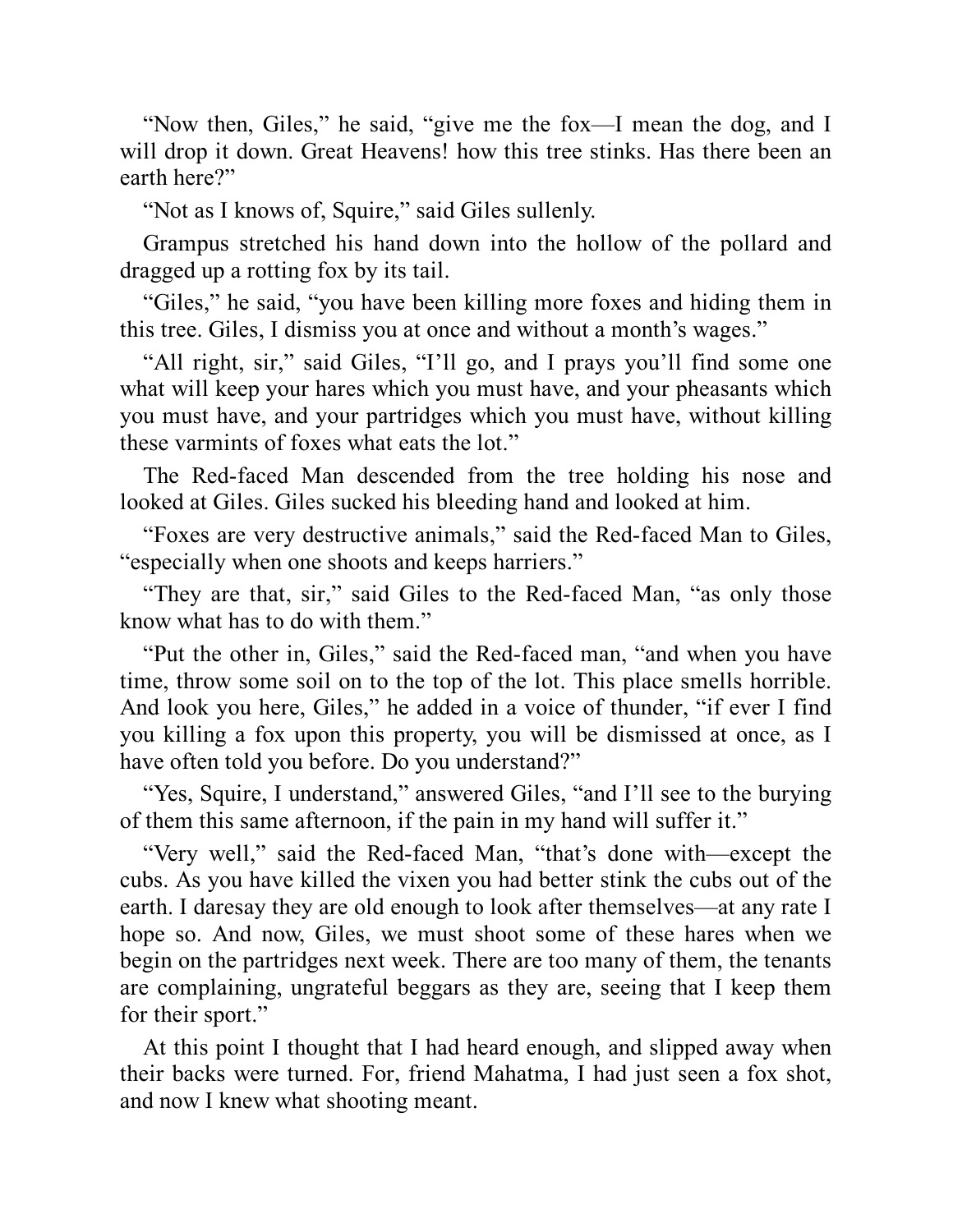"Now then, Giles," he said, "give me the fox—I mean the dog, and I will drop it down. Great Heavens! how this tree stinks. Has there been an earth here?"

"Not as I knows of, Squire," said Giles sullenly.

Grampus stretched his hand down into the hollow of the pollard and dragged up a rotting fox by its tail.

"Giles," he said, "you have been killing more foxes and hiding them in this tree. Giles, I dismiss you at once and without a month's wages."

"All right, sir," said Giles, "I'll go, and I prays you'll find some one what will keep your hares which you must have, and your pheasants which you must have, and your partridges which you must have, without killing these varmints of foxes what eats the lot."

The Red-faced Man descended from the tree holding his nose and looked at Giles. Giles sucked his bleeding hand and looked at him.

"Foxes are very destructive animals," said the Red-faced Man to Giles, "especially when one shoots and keeps harriers."

"They are that, sir," said Giles to the Red-faced Man, "as only those know what has to do with them."

"Put the other in, Giles," said the Red-faced man, "and when you have time, throw some soil on to the top of the lot. This place smells horrible. And look you here, Giles," he added in a voice of thunder, "if ever I find you killing a fox upon this property, you will be dismissed at once, as I have often told you before. Do you understand?"

"Yes, Squire, I understand," answered Giles, "and I'll see to the burying of them this same afternoon, if the pain in my hand will suffer it."

"Very well," said the Red-faced Man, "that's done with—except the cubs. As you have killed the vixen you had better stink the cubs out of the earth. I daresay they are old enough to look after themselves—at any rate I hope so. And now, Giles, we must shoot some of these hares when we begin on the partridges next week. There are too many of them, the tenants are complaining, ungrateful beggars as they are, seeing that I keep them for their sport."

At this point I thought that I had heard enough, and slipped away when their backs were turned. For, friend Mahatma, I had just seen a fox shot, and now I knew what shooting meant.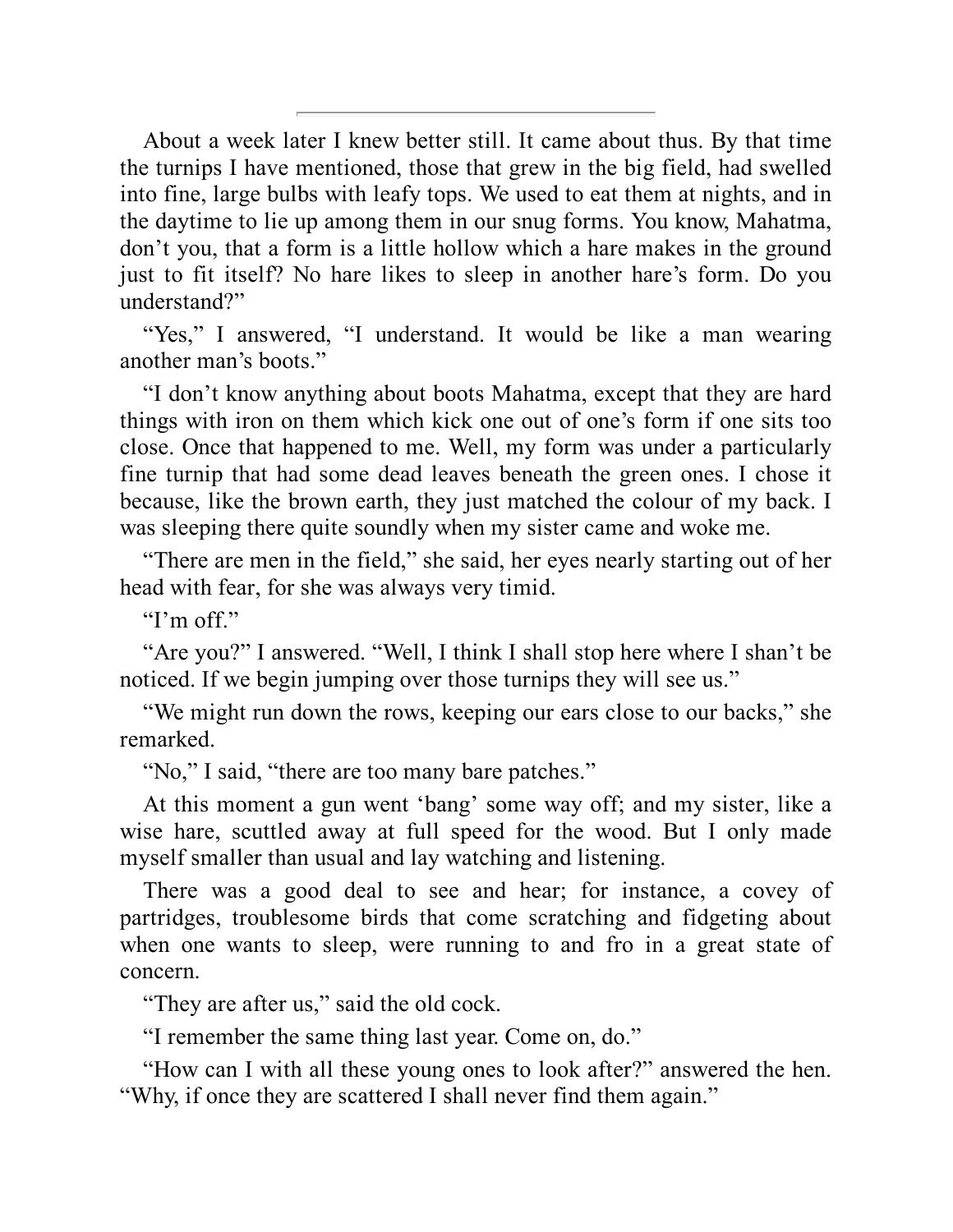About a week later I knew better still. It came about thus. By that time the turnips I have mentioned, those that grew in the big field, had swelled into fine, large bulbs with leafy tops. We used to eat them at nights, and in the daytime to lie up among them in our snug forms. You know, Mahatma, don't you, that a form is a little hollow which a hare makes in the ground just to fit itself? No hare likes to sleep in another hare's form. Do you understand?"

"Yes," I answered, "I understand. It would be like a man wearing another man's boots."

"I don't know anything about boots Mahatma, except that they are hard things with iron on them which kick one out of one's form if one sits too close. Once that happened to me. Well, my form was under a particularly fine turnip that had some dead leaves beneath the green ones. I chose it because, like the brown earth, they just matched the colour of my back. I was sleeping there quite soundly when my sister came and woke me.

"There are men in the field," she said, her eyes nearly starting out of her head with fear, for she was always very timid.

"I'm off"

"Are you?" I answered. "Well, I think I shall stop here where I shan't be noticed. If we begin jumping over those turnips they will see us."

"We might run down the rows, keeping our ears close to our backs," she remarked.

"No," I said, "there are too many bare patches."

At this moment a gun went 'bang' some way off; and my sister, like a wise hare, scuttled away at full speed for the wood. But I only made myself smaller than usual and lay watching and listening.

There was a good deal to see and hear; for instance, a covey of partridges, troublesome birds that come scratching and fidgeting about when one wants to sleep, were running to and fro in a great state of concern.

"They are after us," said the old cock.

"I remember the same thing last year. Come on, do."

"How can I with all these young ones to look after?" answered the hen. "Why, if once they are scattered I shall never find them again."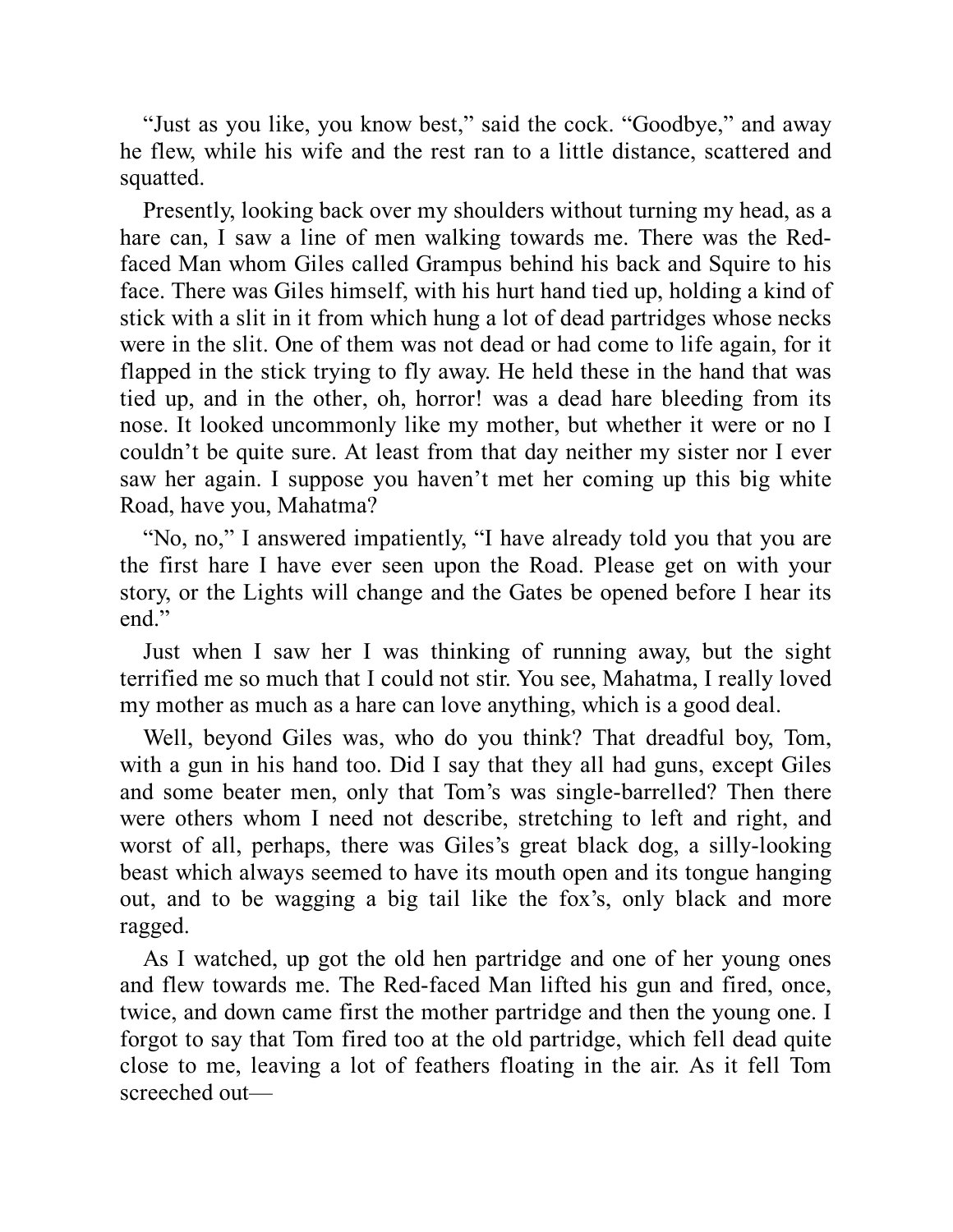"Just as you like, you know best," said the cock. "Goodbye," and away he flew, while his wife and the rest ran to a little distance, scattered and squatted.

Presently, looking back over my shoulders without turning my head, as a hare can, I saw a line of men walking towards me. There was the Redfaced Man whom Giles called Grampus behind his back and Squire to his face. There was Giles himself, with his hurt hand tied up, holding a kind of stick with a slit in it from which hung a lot of dead partridges whose necks were in the slit. One of them was not dead or had come to life again, for it flapped in the stick trying to fly away. He held these in the hand that was tied up, and in the other, oh, horror! was a dead hare bleeding from its nose. It looked uncommonly like my mother, but whether it were or no I couldn't be quite sure. At least from that day neither my sister nor I ever saw her again. I suppose you haven't met her coming up this big white Road, have you, Mahatma?

"No, no," I answered impatiently, "I have already told you that you are the first hare I have ever seen upon the Road. Please get on with your story, or the Lights will change and the Gates be opened before I hear its end."

Just when I saw her I was thinking of running away, but the sight terrified me so much that I could not stir. You see, Mahatma, I really loved my mother as much as a hare can love anything, which is a good deal.

Well, beyond Giles was, who do you think? That dreadful boy, Tom, with a gun in his hand too. Did I say that they all had guns, except Giles and some beater men, only that Tom's was single-barrelled? Then there were others whom I need not describe, stretching to left and right, and worst of all, perhaps, there was Giles's great black dog, a silly-looking beast which always seemed to have its mouth open and its tongue hanging out, and to be wagging a big tail like the fox's, only black and more ragged.

As I watched, up got the old hen partridge and one of her young ones and flew towards me. The Red-faced Man lifted his gun and fired, once, twice, and down came first the mother partridge and then the young one. I forgot to say that Tom fired too at the old partridge, which fell dead quite close to me, leaving a lot of feathers floating in the air. As it fell Tom screeched out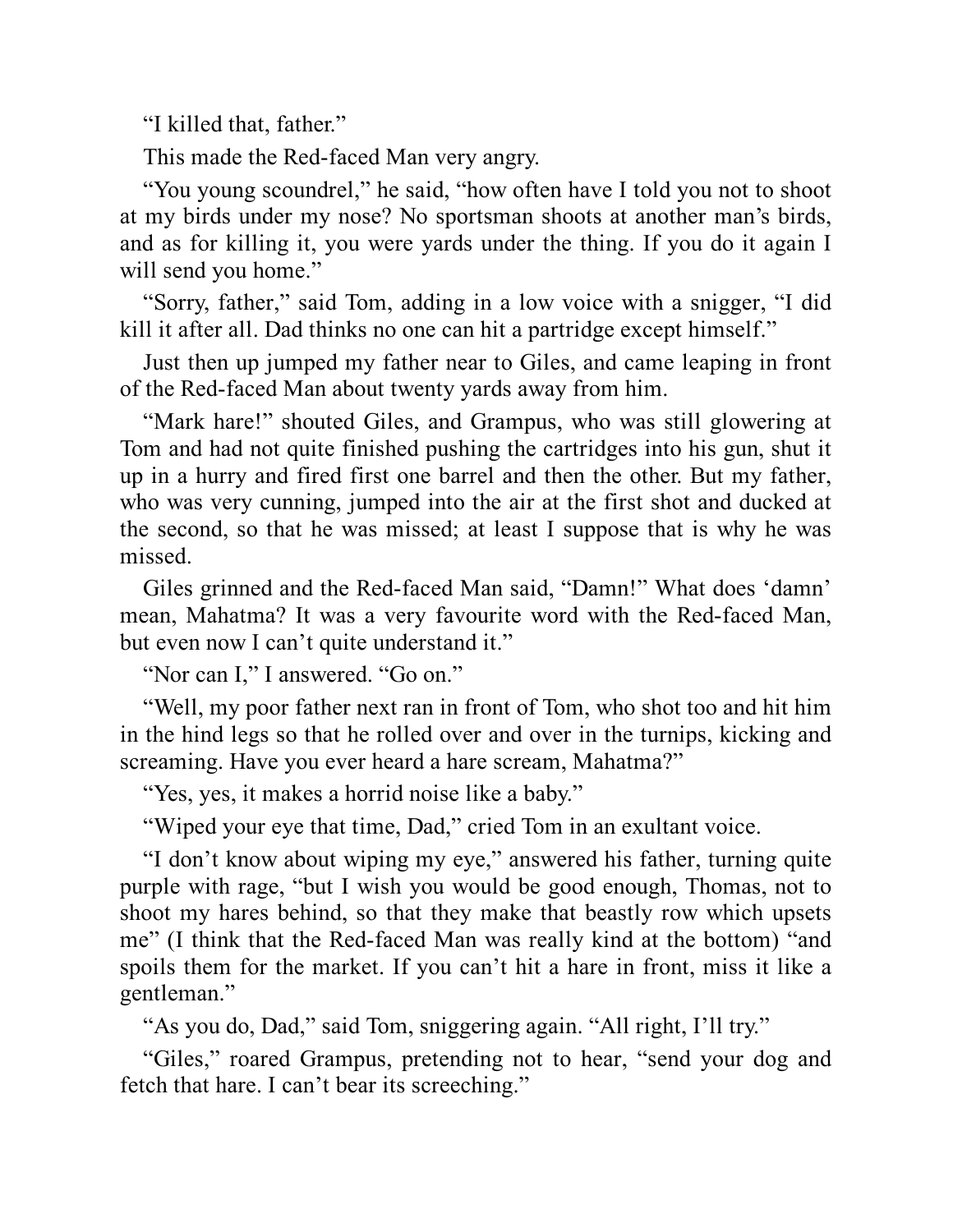"I killed that, father."

This made the Red-faced Man very angry.

"You young scoundrel," he said, "how often have I told you not to shoot at my birds under my nose? No sportsman shoots at another man's birds, and as for killing it, you were yards under the thing. If you do it again I will send you home."

"Sorry, father," said Tom, adding in a low voice with a snigger, "I did kill it after all. Dad thinks no one can hit a partridge except himself."

Just then up jumped my father near to Giles, and came leaping in front of the Red-faced Man about twenty yards away from him.

"Mark hare!" shouted Giles, and Grampus, who was still glowering at Tom and had not quite finished pushing the cartridges into his gun, shut it up in a hurry and fired first one barrel and then the other. But my father, who was very cunning, jumped into the air at the first shot and ducked at the second, so that he was missed; at least I suppose that is why he was missed.

Giles grinned and the Red-faced Man said, "Damn!" What does 'damn' mean, Mahatma? It was a very favourite word with the Red-faced Man, but even now I can't quite understand it."

"Nor can I," I answered. "Go on."

"Well, my poor father next ran in front of Tom, who shot too and hit him in the hind legs so that he rolled over and over in the turnips, kicking and screaming. Have you ever heard a hare scream, Mahatma?"

"Yes, yes, it makes a horrid noise like a baby."

"Wiped your eye that time, Dad," cried Tom in an exultant voice.

"I don't know about wiping my eye," answered his father, turning quite purple with rage, "but I wish you would be good enough, Thomas, not to shoot my hares behind, so that they make that beastly row which upsets me" (I think that the Red-faced Man was really kind at the bottom) "and spoils them for the market. If you can't hit a hare in front, miss it like a gentleman."

"As you do, Dad," said Tom, sniggering again. "All right, I'll try."

"Giles," roared Grampus, pretending not to hear, "send your dog and fetch that hare. I can't bear its screeching."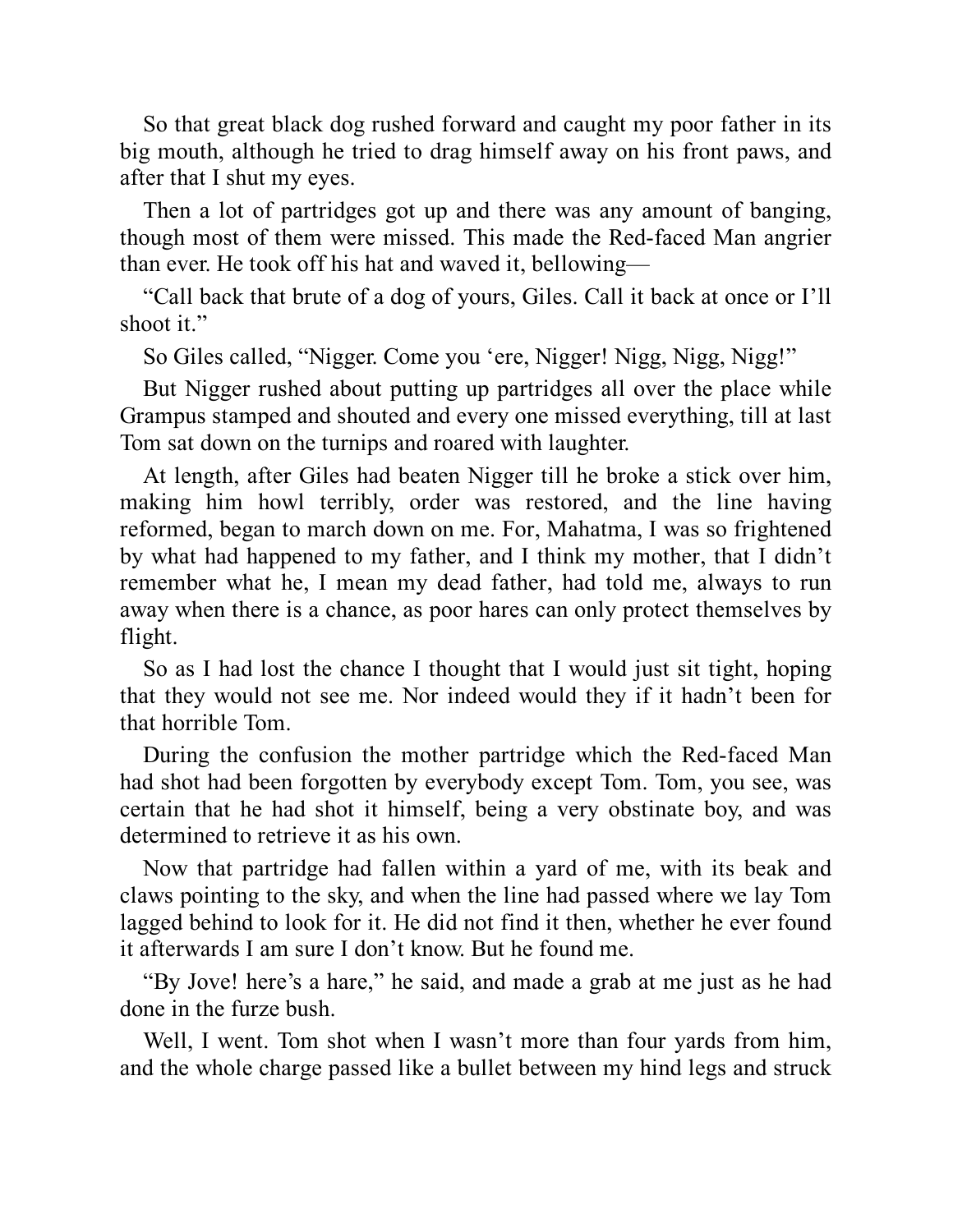So that great black dog rushed forward and caught my poor father in its big mouth, although he tried to drag himself away on his front paws, and after that I shut my eyes.

Then a lot of partridges got up and there was any amount of banging, though most of them were missed. This made the Red-faced Man angrier than ever. He took off his hat and waved it, bellowing—

"Call back that brute of a dog of yours, Giles. Call it back at once or I'll shoot it."

So Giles called, "Nigger. Come you 'ere, Nigger! Nigg, Nigg, Nigg!"

But Nigger rushed about putting up partridges all over the place while Grampus stamped and shouted and every one missed everything, till at last Tom sat down on the turnips and roared with laughter.

At length, after Giles had beaten Nigger till he broke a stick over him, making him howl terribly, order was restored, and the line having reformed, began to march down on me. For, Mahatma, I was so frightened by what had happened to my father, and I think my mother, that I didn't remember what he, I mean my dead father, had told me, always to run away when there is a chance, as poor hares can only protect themselves by flight.

So as I had lost the chance I thought that I would just sit tight, hoping that they would not see me. Nor indeed would they if it hadn't been for that horrible Tom.

During the confusion the mother partridge which the Red-faced Man had shot had been forgotten by everybody except Tom. Tom, you see, was certain that he had shot it himself, being a very obstinate boy, and was determined to retrieve it as his own.

Now that partridge had fallen within a yard of me, with its beak and claws pointing to the sky, and when the line had passed where we lay Tom lagged behind to look for it. He did not find it then, whether he ever found it afterwards I am sure I don't know. But he found me.

"By Jove! here's a hare," he said, and made a grab at me just as he had done in the furze bush.

Well, I went. Tom shot when I wasn't more than four yards from him, and the whole charge passed like a bullet between my hind legs and struck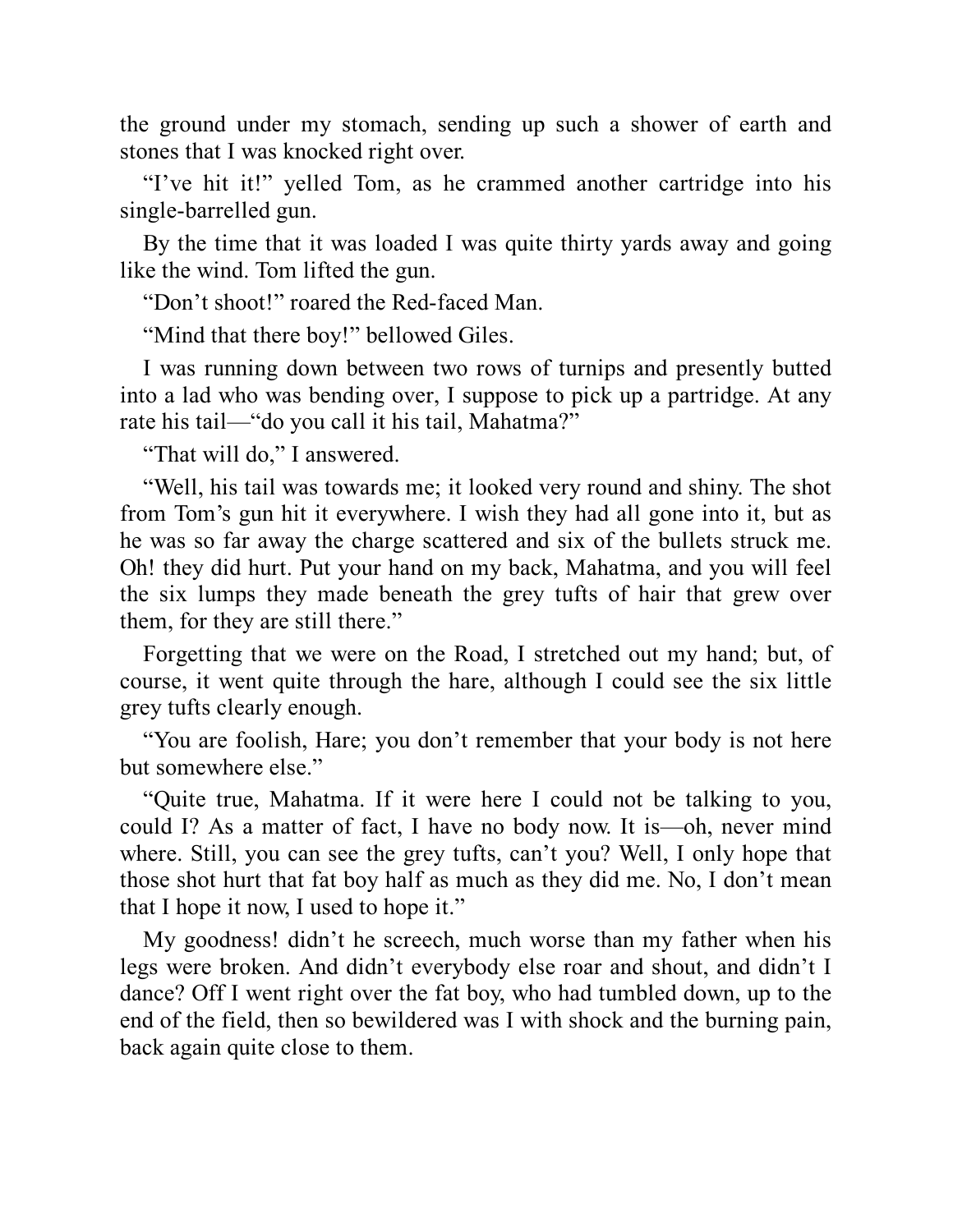the ground under my stomach, sending up such a shower of earth and stones that I was knocked right over.

"I've hit it!" yelled Tom, as he crammed another cartridge into his single-barrelled gun.

By the time that it was loaded I was quite thirty yards away and going like the wind. Tom lifted the gun.

"Don't shoot!" roared the Red-faced Man.

"Mind that there boy!" bellowed Giles.

I was running down between two rows of turnips and presently butted into a lad who was bending over, I suppose to pick up a partridge. At any rate his tail—"do you call it his tail, Mahatma?"

"That will do," I answered.

"Well, his tail was towards me; it looked very round and shiny. The shot from Tom's gun hit it everywhere. I wish they had all gone into it, but as he was so far away the charge scattered and six of the bullets struck me. Oh! they did hurt. Put your hand on my back, Mahatma, and you will feel the six lumps they made beneath the grey tufts of hair that grew over them, for they are still there."

Forgetting that we were on the Road, I stretched out my hand; but, of course, it went quite through the hare, although I could see the six little grey tufts clearly enough.

"You are foolish, Hare; you don't remember that your body is not here but somewhere else."

"Quite true, Mahatma. If it were here I could not be talking to you, could I? As a matter of fact, I have no body now. It is—oh, never mind where. Still, you can see the grey tufts, can't you? Well, I only hope that those shot hurt that fat boy half as much as they did me. No, I don't mean that I hope it now, I used to hope it."

My goodness! didn't he screech, much worse than my father when his legs were broken. And didn't everybody else roar and shout, and didn't I dance? Off I went right over the fat boy, who had tumbled down, up to the end of the field, then so bewildered was I with shock and the burning pain, back again quite close to them.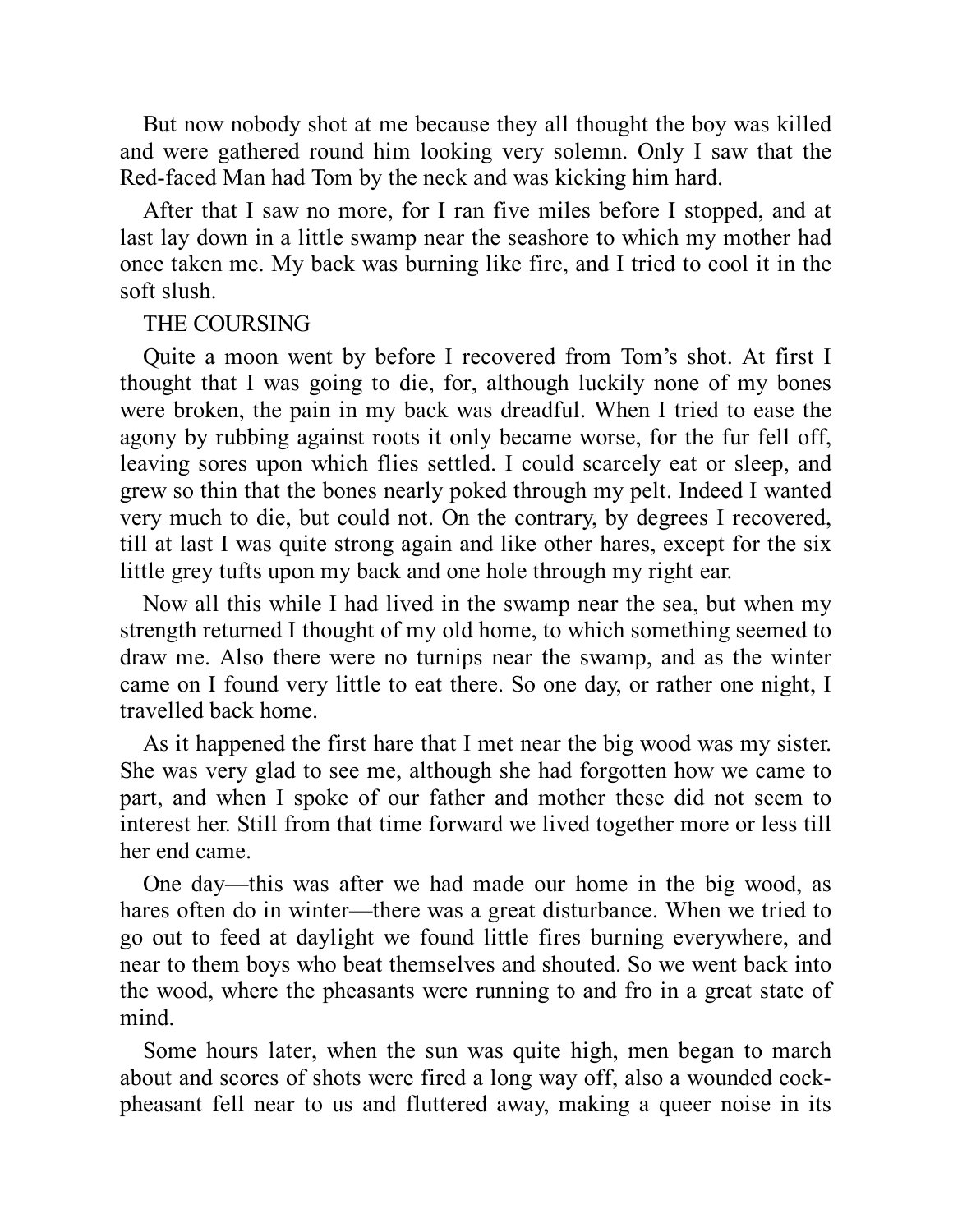But now nobody shot at me because they all thought the boy was killed and were gathered round him looking very solemn. Only I saw that the Red-faced Man had Tom by the neck and was kicking him hard.

After that I saw no more, for I ran five miles before I stopped, and at last lay down in a little swamp near the seashore to which my mother had once taken me. My back was burning like fire, and I tried to cool it in the soft slush.

#### THE COURSING

Quite a moon went by before I recovered from Tom's shot. At first I thought that I was going to die, for, although luckily none of my bones were broken, the pain in my back was dreadful. When I tried to ease the agony by rubbing against roots it only became worse, for the fur fell off, leaving sores upon which flies settled. I could scarcely eat or sleep, and grew so thin that the bones nearly poked through my pelt. Indeed I wanted very much to die, but could not. On the contrary, by degrees I recovered, till at last I was quite strong again and like other hares, except for the six little grey tufts upon my back and one hole through my right ear.

Now all this while I had lived in the swamp near the sea, but when my strength returned I thought of my old home, to which something seemed to draw me. Also there were no turnips near the swamp, and as the winter came on I found very little to eat there. So one day, or rather one night, I travelled back home.

As it happened the first hare that I met near the big wood was my sister. She was very glad to see me, although she had forgotten how we came to part, and when I spoke of our father and mother these did not seem to interest her. Still from that time forward we lived together more or less till her end came.

One day—this was after we had made our home in the big wood, as hares often do in winter—there was a great disturbance. When we tried to go out to feed at daylight we found little fires burning everywhere, and near to them boys who beat themselves and shouted. So we went back into the wood, where the pheasants were running to and fro in a great state of mind.

Some hours later, when the sun was quite high, men began to march about and scores of shots were fired a long way off, also a wounded cockpheasant fell near to us and fluttered away, making a queer noise in its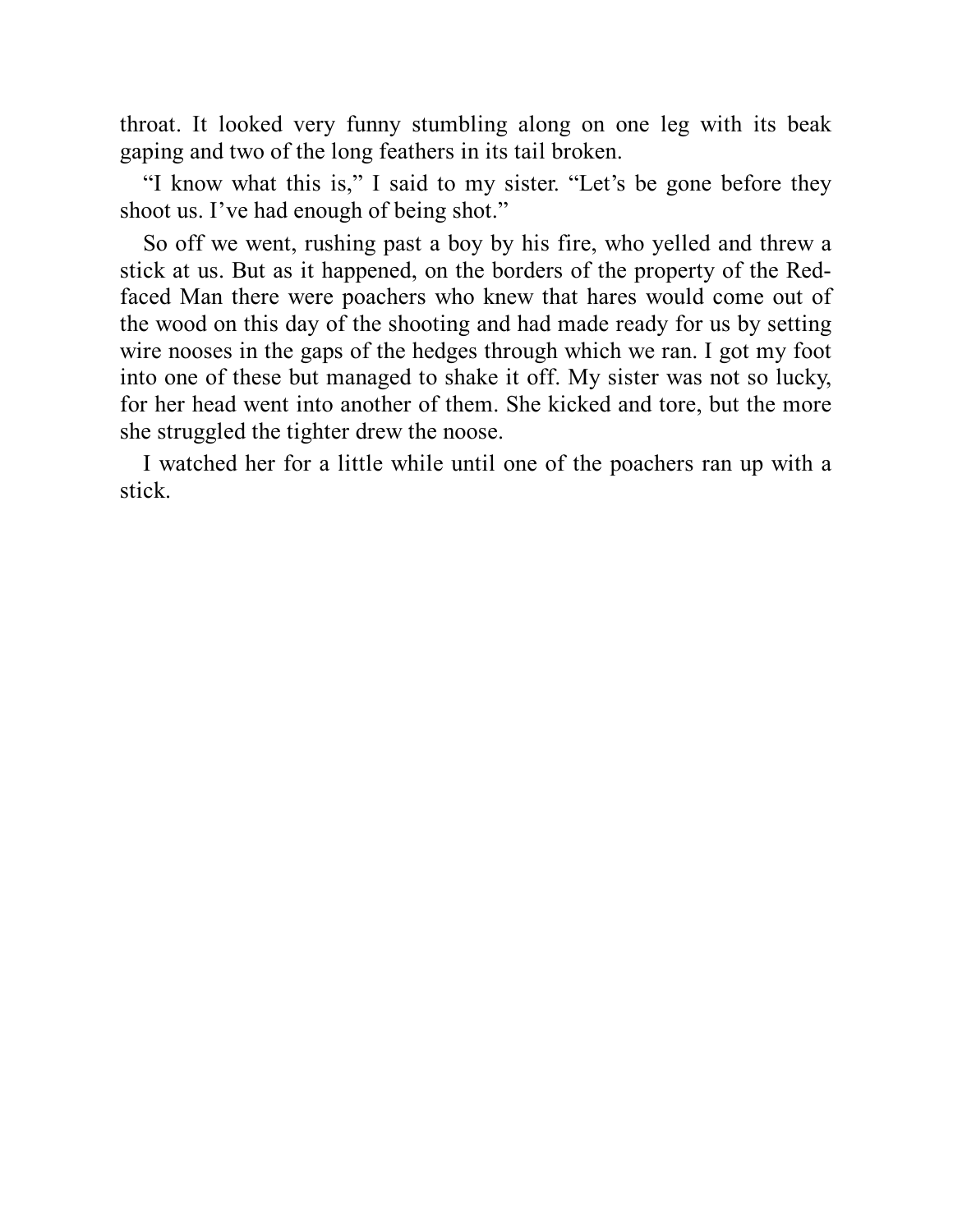throat. It looked very funny stumbling along on one leg with its beak gaping and two of the long feathers in its tail broken.

"I know what this is," I said to my sister. "Let's be gone before they shoot us. I've had enough of being shot."

So off we went, rushing past a boy by his fire, who yelled and threw a stick at us. But as it happened, on the borders of the property of the Redfaced Man there were poachers who knew that hares would come out of the wood on this day of the shooting and had made ready for us by setting wire nooses in the gaps of the hedges through which we ran. I got my foot into one of these but managed to shake it off. My sister was not so lucky, for her head went into another of them. She kicked and tore, but the more she struggled the tighter drew the noose.

I watched her for a little while until one of the poachers ran up with a stick.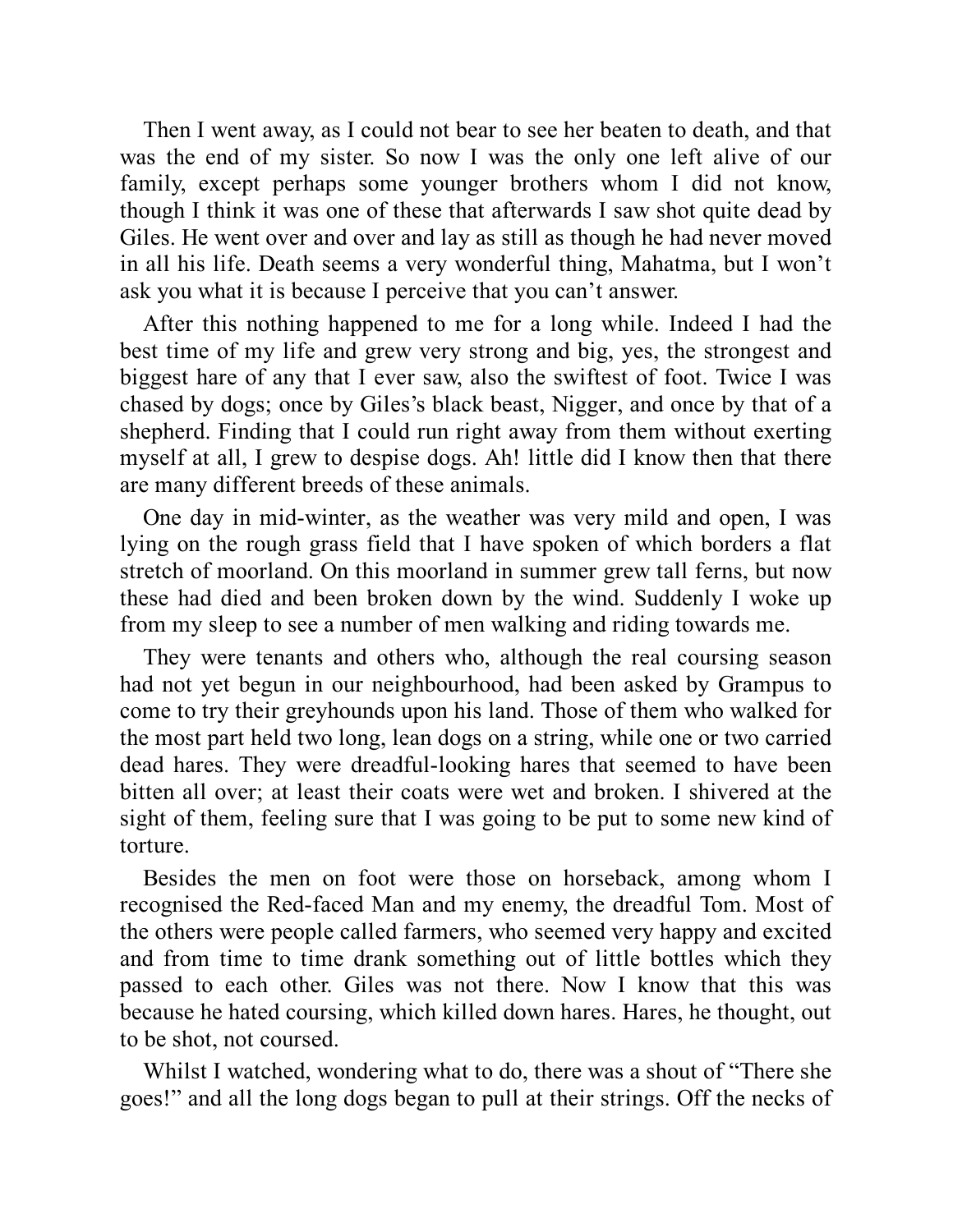Then I went away, as I could not bear to see her beaten to death, and that was the end of my sister. So now I was the only one left alive of our family, except perhaps some younger brothers whom I did not know, though I think it was one of these that afterwards I saw shot quite dead by Giles. He went over and over and lay as still as though he had never moved in all his life. Death seems a very wonderful thing, Mahatma, but I won't ask you what it is because I perceive that you can't answer.

After this nothing happened to me for a long while. Indeed I had the best time of my life and grew very strong and big, yes, the strongest and biggest hare of any that I ever saw, also the swiftest of foot. Twice I was chased by dogs; once by Giles's black beast, Nigger, and once by that of a shepherd. Finding that I could run right away from them without exerting myself at all, I grew to despise dogs. Ah! little did I know then that there are many different breeds of these animals.

One day in mid-winter, as the weather was very mild and open, I was lying on the rough grass field that I have spoken of which borders a flat stretch of moorland. On this moorland in summer grew tall ferns, but now these had died and been broken down by the wind. Suddenly I woke up from my sleep to see a number of men walking and riding towards me.

They were tenants and others who, although the real coursing season had not yet begun in our neighbourhood, had been asked by Grampus to come to try their greyhounds upon his land. Those of them who walked for the most part held two long, lean dogs on a string, while one or two carried dead hares. They were dreadful-looking hares that seemed to have been bitten all over; at least their coats were wet and broken. I shivered at the sight of them, feeling sure that I was going to be put to some new kind of torture.

Besides the men on foot were those on horseback, among whom I recognised the Red-faced Man and my enemy, the dreadful Tom. Most of the others were people called farmers, who seemed very happy and excited and from time to time drank something out of little bottles which they passed to each other. Giles was not there. Now I know that this was because he hated coursing, which killed down hares. Hares, he thought, out to be shot, not coursed.

Whilst I watched, wondering what to do, there was a shout of "There she goes!" and all the long dogs began to pull at their strings. Off the necks of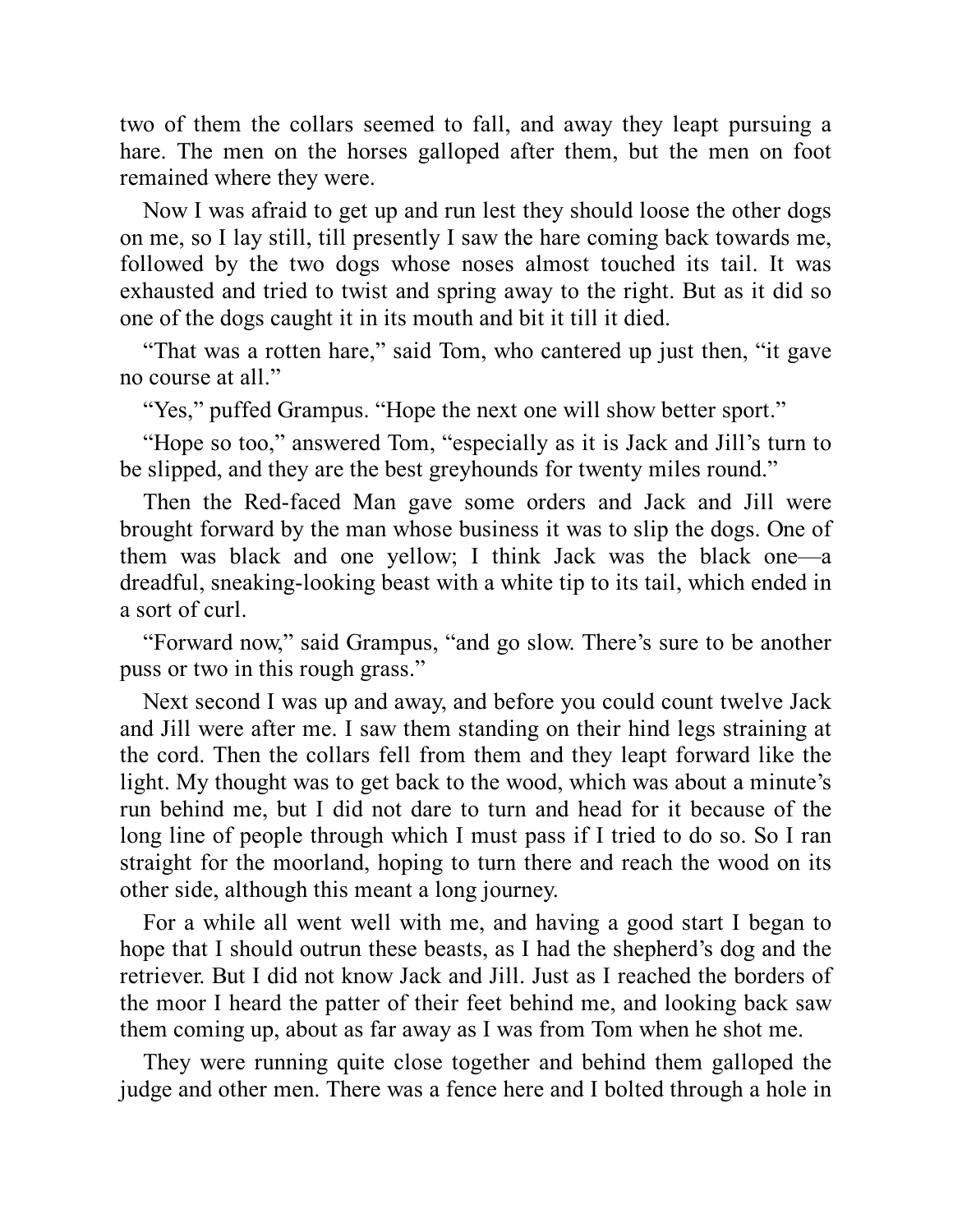two of them the collars seemed to fall, and away they leapt pursuing a hare. The men on the horses galloped after them, but the men on foot remained where they were.

Now I was afraid to get up and run lest they should loose the other dogs on me, so I lay still, till presently I saw the hare coming back towards me, followed by the two dogs whose noses almost touched its tail. It was exhausted and tried to twist and spring away to the right. But as it did so one of the dogs caught it in its mouth and bit it till it died.

"That was a rotten hare," said Tom, who cantered up just then, "it gave no course at all."

"Yes," puffed Grampus. "Hope the next one will show better sport."

"Hope so too," answered Tom, "especially as it is Jack and Jill's turn to be slipped, and they are the best greyhounds for twenty miles round."

Then the Red-faced Man gave some orders and Jack and Jill were brought forward by the man whose business it was to slip the dogs. One of them was black and one yellow; I think Jack was the black one—a dreadful, sneaking-looking beast with a white tip to its tail, which ended in a sort of curl.

"Forward now," said Grampus, "and go slow. There's sure to be another puss or two in this rough grass."

Next second I was up and away, and before you could count twelve Jack and Jill were after me. I saw them standing on their hind legs straining at the cord. Then the collars fell from them and they leapt forward like the light. My thought was to get back to the wood, which was about a minute's run behind me, but I did not dare to turn and head for it because of the long line of people through which I must pass if I tried to do so. So I ran straight for the moorland, hoping to turn there and reach the wood on its other side, although this meant a long journey.

For a while all went well with me, and having a good start I began to hope that I should outrun these beasts, as I had the shepherd's dog and the retriever. But I did not know Jack and Jill. Just as I reached the borders of the moor I heard the patter of their feet behind me, and looking back saw them coming up, about as far away as I was from Tom when he shot me.

They were running quite close together and behind them galloped the judge and other men. There was a fence here and I bolted through a hole in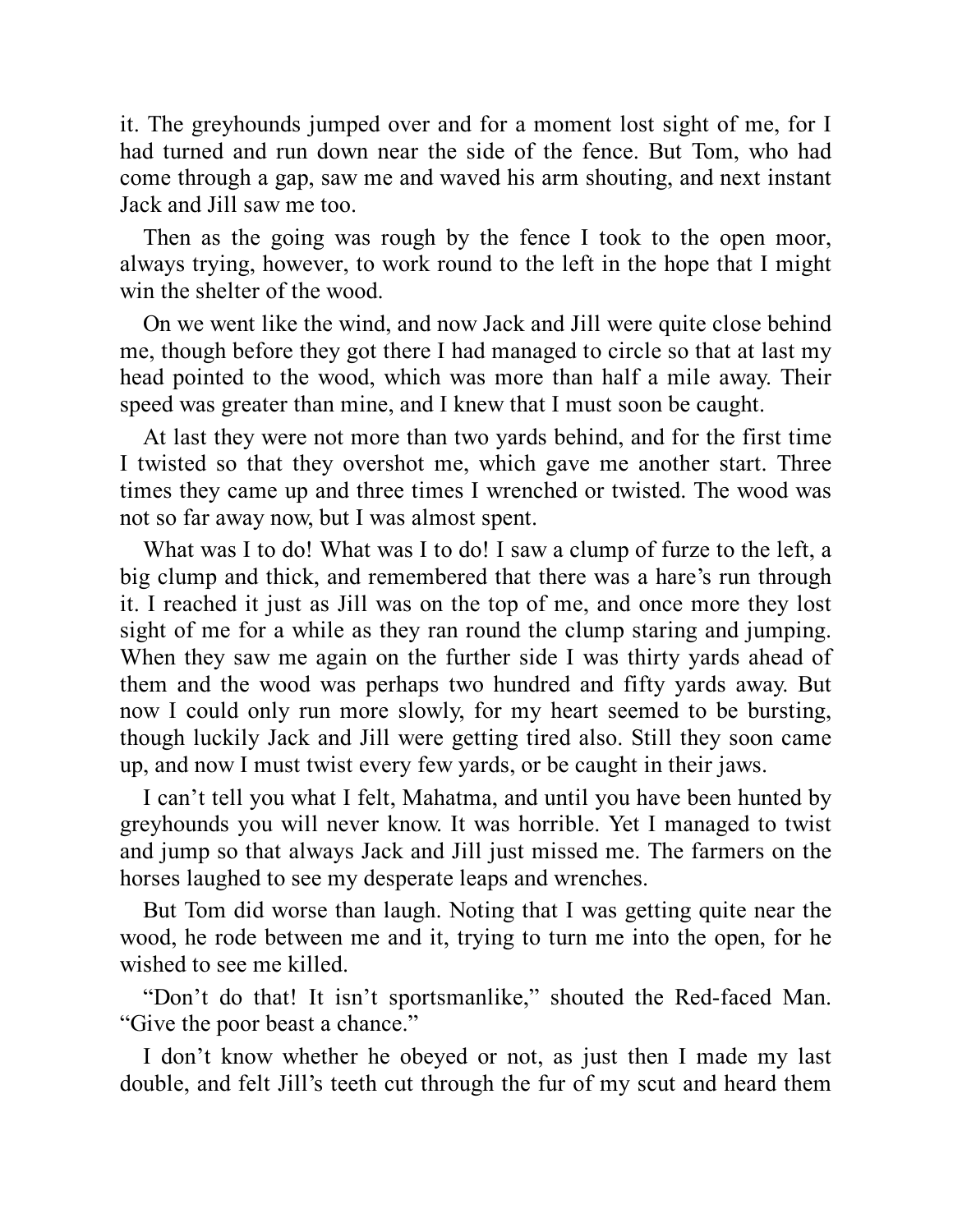it. The greyhounds jumped over and for a moment lost sight of me, for I had turned and run down near the side of the fence. But Tom, who had come through a gap, saw me and waved his arm shouting, and next instant Jack and Jill saw me too.

Then as the going was rough by the fence I took to the open moor, always trying, however, to work round to the left in the hope that I might win the shelter of the wood.

On we went like the wind, and now Jack and Jill were quite close behind me, though before they got there I had managed to circle so that at last my head pointed to the wood, which was more than half a mile away. Their speed was greater than mine, and I knew that I must soon be caught.

At last they were not more than two yards behind, and for the first time I twisted so that they overshot me, which gave me another start. Three times they came up and three times I wrenched or twisted. The wood was not so far away now, but I was almost spent.

What was I to do! What was I to do! I saw a clump of furze to the left, a big clump and thick, and remembered that there was a hare's run through it. I reached it just as Jill was on the top of me, and once more they lost sight of me for a while as they ran round the clump staring and jumping. When they saw me again on the further side I was thirty yards ahead of them and the wood was perhaps two hundred and fifty yards away. But now I could only run more slowly, for my heart seemed to be bursting, though luckily Jack and Jill were getting tired also. Still they soon came up, and now I must twist every few yards, or be caught in their jaws.

I can't tell you what I felt, Mahatma, and until you have been hunted by greyhounds you will never know. It was horrible. Yet I managed to twist and jump so that always Jack and Jill just missed me. The farmers on the horses laughed to see my desperate leaps and wrenches.

But Tom did worse than laugh. Noting that I was getting quite near the wood, he rode between me and it, trying to turn me into the open, for he wished to see me killed.

"Don't do that! It isn't sportsmanlike," shouted the Red-faced Man. "Give the poor beast a chance."

I don't know whether he obeyed or not, as just then I made my last double, and felt Jill's teeth cut through the fur of my scut and heard them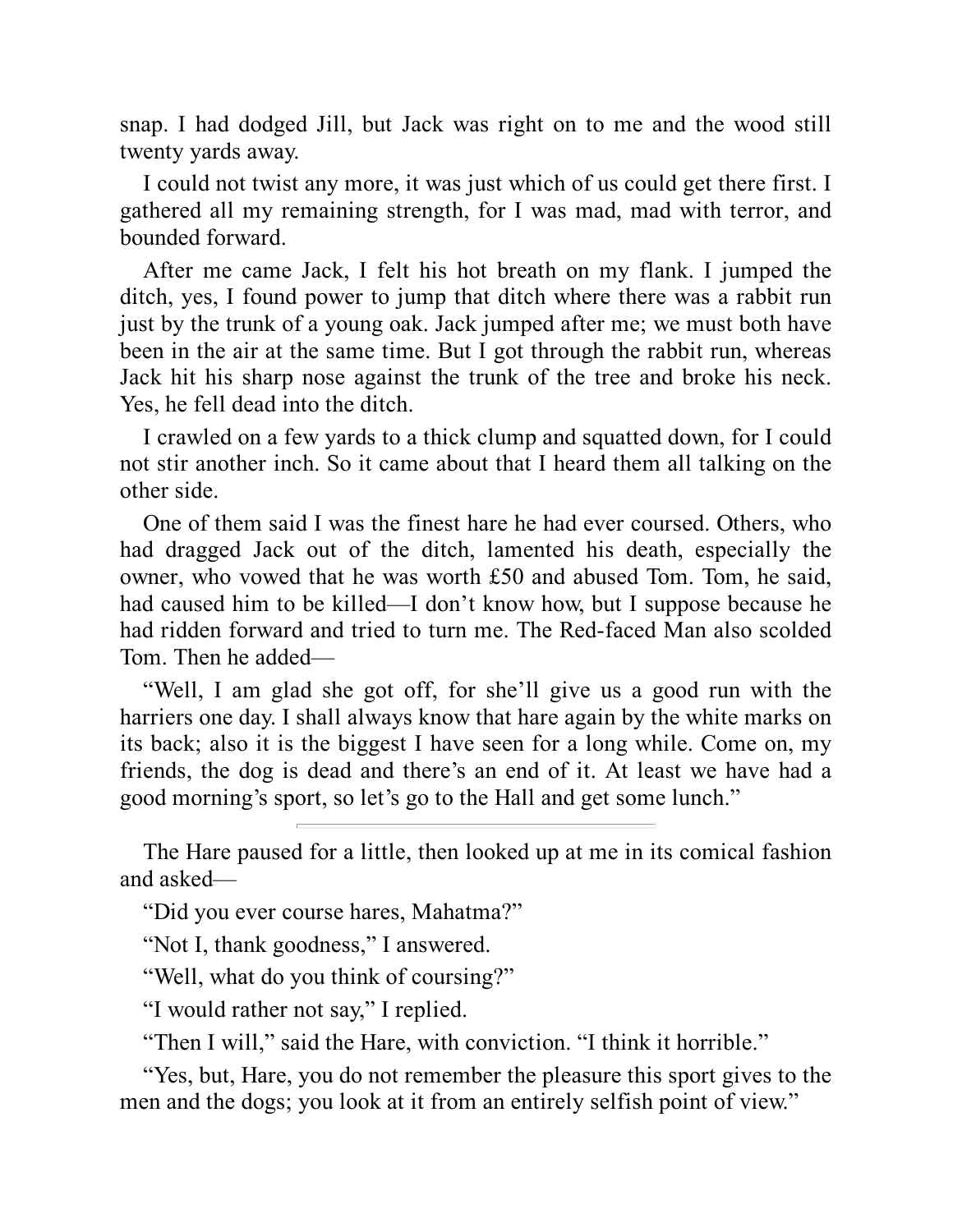snap. I had dodged Jill, but Jack was right on to me and the wood still twenty yards away.

I could not twist any more, it was just which of us could get there first. I gathered all my remaining strength, for I was mad, mad with terror, and bounded forward.

After me came Jack, I felt his hot breath on my flank. I jumped the ditch, yes, I found power to jump that ditch where there was a rabbit run just by the trunk of a young oak. Jack jumped after me; we must both have been in the air at the same time. But I got through the rabbit run, whereas Jack hit his sharp nose against the trunk of the tree and broke his neck. Yes, he fell dead into the ditch.

I crawled on a few yards to a thick clump and squatted down, for I could not stir another inch. So it came about that I heard them all talking on the other side.

One of them said I was the finest hare he had ever coursed. Others, who had dragged Jack out of the ditch, lamented his death, especially the owner, who vowed that he was worth £50 and abused Tom. Tom, he said, had caused him to be killed—I don't know how, but I suppose because he had ridden forward and tried to turn me. The Red-faced Man also scolded Tom. Then he added—

"Well, I am glad she got off, for she'll give us a good run with the harriers one day. I shall always know that hare again by the white marks on its back; also it is the biggest I have seen for a long while. Come on, my friends, the dog is dead and there's an end of it. At least we have had a good morning's sport, so let's go to the Hall and get some lunch."

The Hare paused for a little, then looked up at me in its comical fashion and asked—

"Did you ever course hares, Mahatma?"

"Not I, thank goodness," I answered.

"Well, what do you think of coursing?"

"I would rather not say," I replied.

"Then I will," said the Hare, with conviction. "I think it horrible."

"Yes, but, Hare, you do not remember the pleasure this sport gives to the men and the dogs; you look at it from an entirely selfish point of view."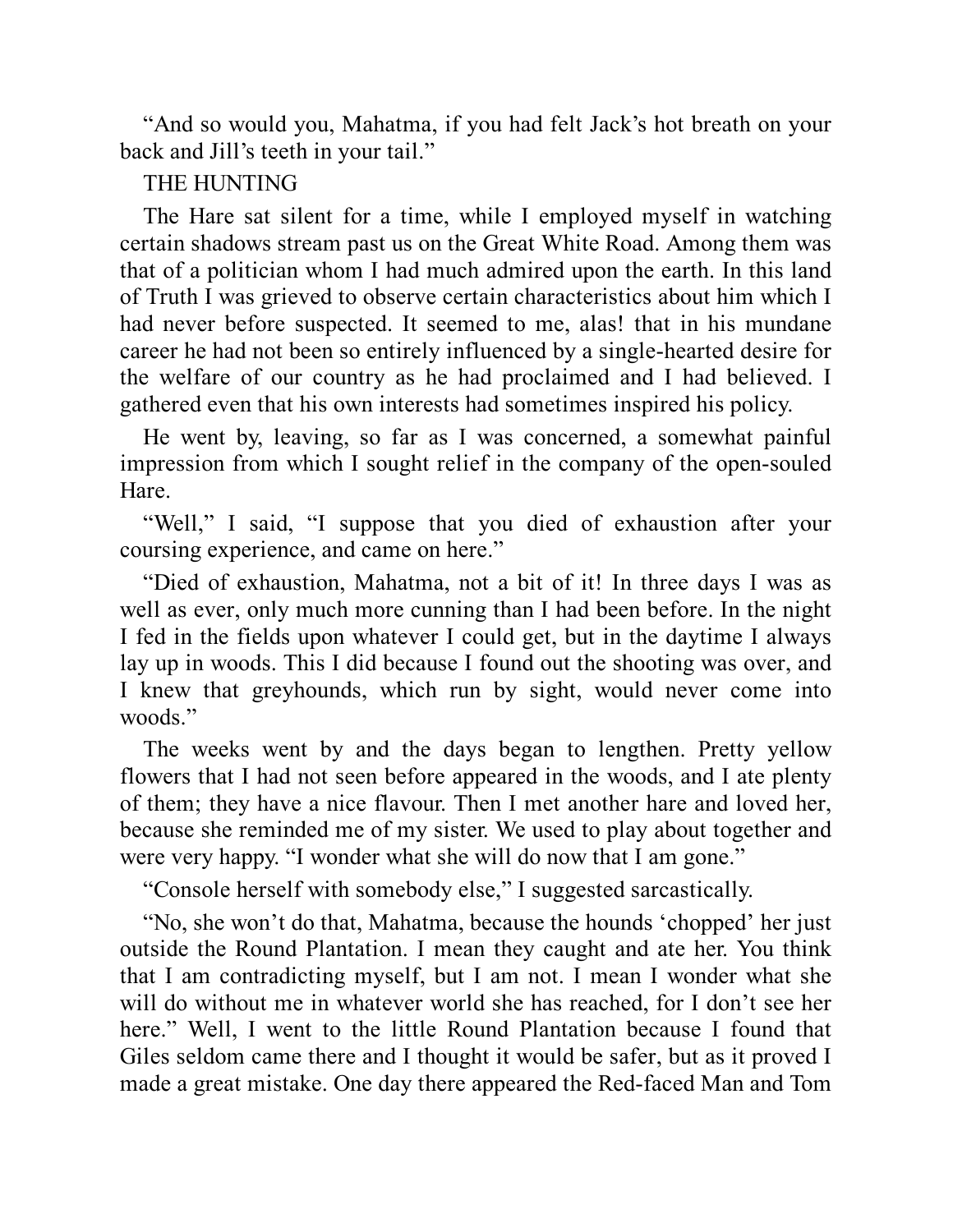"And so would you, Mahatma, if you had felt Jack's hot breath on your back and Jill's teeth in your tail."

#### THE HUNTING

The Hare sat silent for a time, while I employed myself in watching certain shadows stream past us on the Great White Road. Among them was that of a politician whom I had much admired upon the earth. In this land of Truth I was grieved to observe certain characteristics about him which I had never before suspected. It seemed to me, alas! that in his mundane career he had not been so entirely influenced by a single-hearted desire for the welfare of our country as he had proclaimed and I had believed. I gathered even that his own interests had sometimes inspired his policy.

He went by, leaving, so far as I was concerned, a somewhat painful impression from which I sought relief in the company of the open-souled Hare.

"Well," I said, "I suppose that you died of exhaustion after your coursing experience, and came on here."

"Died of exhaustion, Mahatma, not a bit of it! In three days I was as well as ever, only much more cunning than I had been before. In the night I fed in the fields upon whatever I could get, but in the daytime I always lay up in woods. This I did because I found out the shooting was over, and I knew that greyhounds, which run by sight, would never come into woods."

The weeks went by and the days began to lengthen. Pretty yellow flowers that I had not seen before appeared in the woods, and I ate plenty of them; they have a nice flavour. Then I met another hare and loved her, because she reminded me of my sister. We used to play about together and were very happy. "I wonder what she will do now that I am gone."

"Console herself with somebody else," I suggested sarcastically.

"No, she won't do that, Mahatma, because the hounds 'chopped' her just outside the Round Plantation. I mean they caught and ate her. You think that I am contradicting myself, but I am not. I mean I wonder what she will do without me in whatever world she has reached, for I don't see her here." Well, I went to the little Round Plantation because I found that Giles seldom came there and I thought it would be safer, but as it proved I made a great mistake. One day there appeared the Red-faced Man and Tom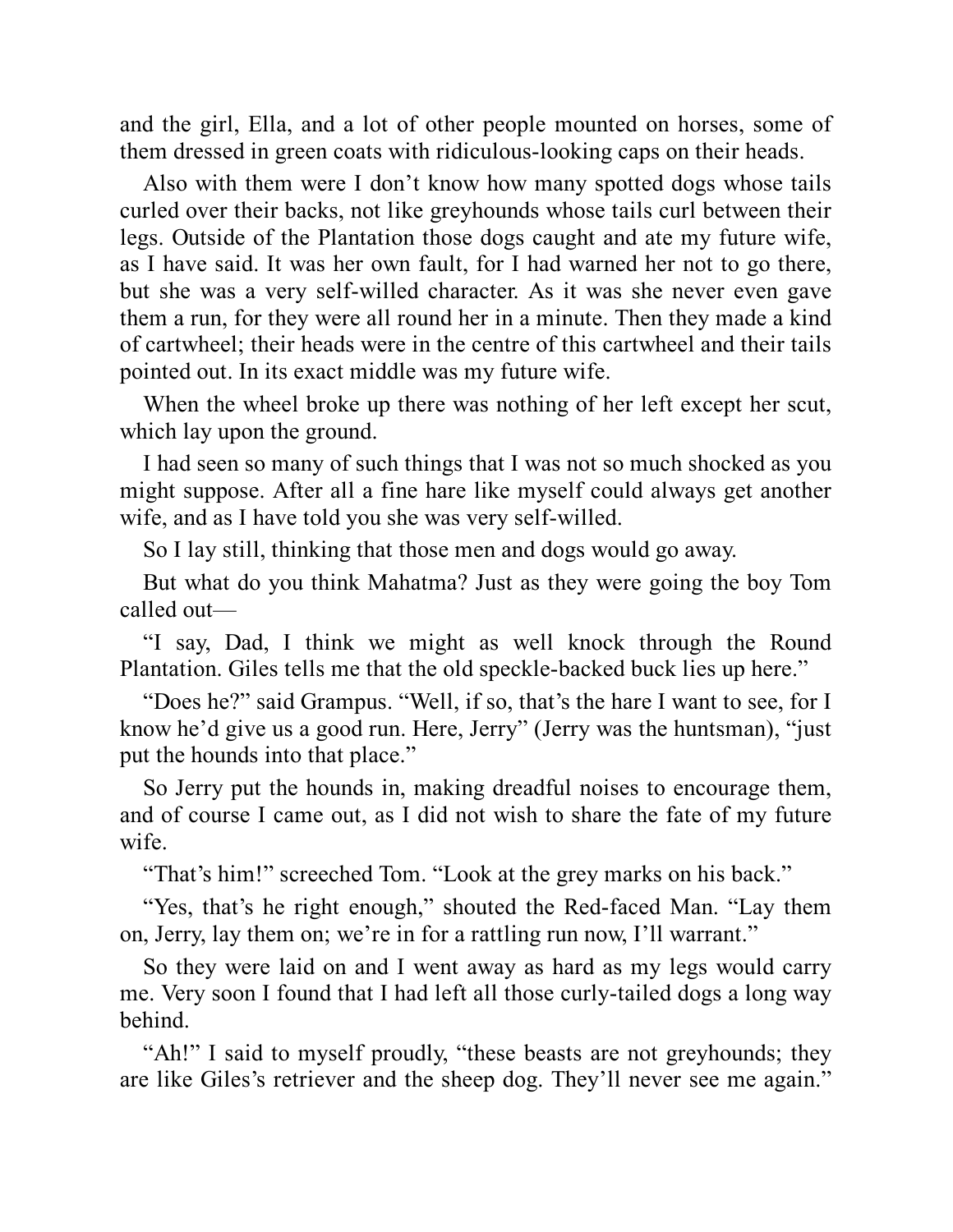and the girl, Ella, and a lot of other people mounted on horses, some of them dressed in green coats with ridiculous-looking caps on their heads.

Also with them were I don't know how many spotted dogs whose tails curled over their backs, not like greyhounds whose tails curl between their legs. Outside of the Plantation those dogs caught and ate my future wife, as I have said. It was her own fault, for I had warned her not to go there, but she was a very self-willed character. As it was she never even gave them a run, for they were all round her in a minute. Then they made a kind of cartwheel; their heads were in the centre of this cartwheel and their tails pointed out. In its exact middle was my future wife.

When the wheel broke up there was nothing of her left except her scut, which lay upon the ground.

I had seen so many of such things that I was not so much shocked as you might suppose. After all a fine hare like myself could always get another wife, and as I have told you she was very self-willed.

So I lay still, thinking that those men and dogs would go away.

But what do you think Mahatma? Just as they were going the boy Tom called out—

"I say, Dad, I think we might as well knock through the Round Plantation. Giles tells me that the old speckle-backed buck lies up here."

"Does he?" said Grampus. "Well, if so, that's the hare I want to see, for I know he'd give us a good run. Here, Jerry" (Jerry was the huntsman), "just put the hounds into that place."

So Jerry put the hounds in, making dreadful noises to encourage them, and of course I came out, as I did not wish to share the fate of my future wife.

"That's him!" screeched Tom. "Look at the grey marks on his back."

"Yes, that's he right enough," shouted the Red-faced Man. "Lay them on, Jerry, lay them on; we're in for a rattling run now, I'll warrant."

So they were laid on and I went away as hard as my legs would carry me. Very soon I found that I had left all those curly-tailed dogs a long way behind.

"Ah!" I said to myself proudly, "these beasts are not greyhounds; they are like Giles's retriever and the sheep dog. They'll never see me again."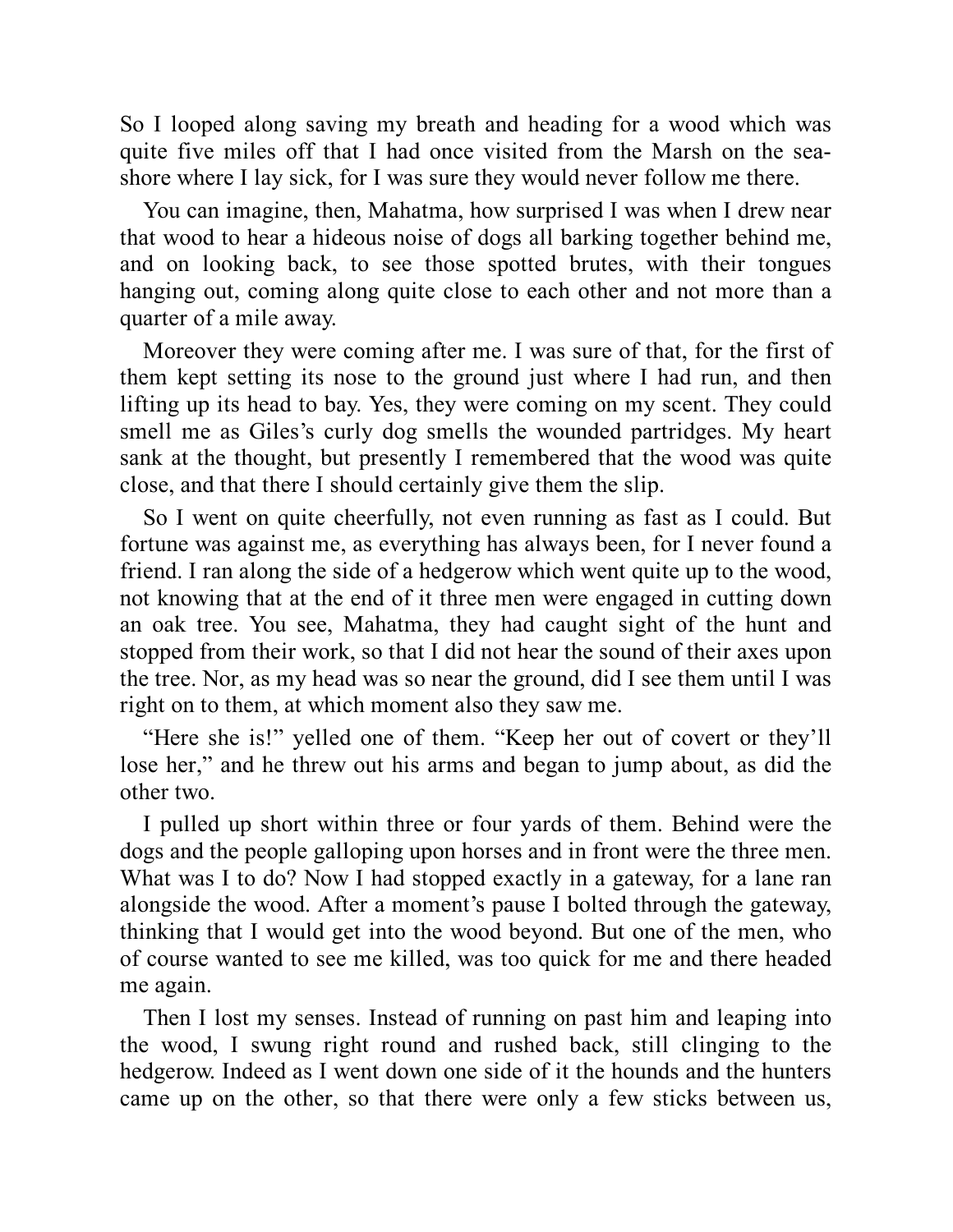So I looped along saving my breath and heading for a wood which was quite five miles off that I had once visited from the Marsh on the seashore where I lay sick, for I was sure they would never follow me there.

You can imagine, then, Mahatma, how surprised I was when I drew near that wood to hear a hideous noise of dogs all barking together behind me, and on looking back, to see those spotted brutes, with their tongues hanging out, coming along quite close to each other and not more than a quarter of a mile away.

Moreover they were coming after me. I was sure of that, for the first of them kept setting its nose to the ground just where I had run, and then lifting up its head to bay. Yes, they were coming on my scent. They could smell me as Giles's curly dog smells the wounded partridges. My heart sank at the thought, but presently I remembered that the wood was quite close, and that there I should certainly give them the slip.

So I went on quite cheerfully, not even running as fast as I could. But fortune was against me, as everything has always been, for I never found a friend. I ran along the side of a hedgerow which went quite up to the wood, not knowing that at the end of it three men were engaged in cutting down an oak tree. You see, Mahatma, they had caught sight of the hunt and stopped from their work, so that I did not hear the sound of their axes upon the tree. Nor, as my head was so near the ground, did I see them until I was right on to them, at which moment also they saw me.

"Here she is!" yelled one of them. "Keep her out of covert or they'll lose her," and he threw out his arms and began to jump about, as did the other two.

I pulled up short within three or four yards of them. Behind were the dogs and the people galloping upon horses and in front were the three men. What was I to do? Now I had stopped exactly in a gateway, for a lane ran alongside the wood. After a moment's pause I bolted through the gateway, thinking that I would get into the wood beyond. But one of the men, who of course wanted to see me killed, was too quick for me and there headed me again.

Then I lost my senses. Instead of running on past him and leaping into the wood, I swung right round and rushed back, still clinging to the hedgerow. Indeed as I went down one side of it the hounds and the hunters came up on the other, so that there were only a few sticks between us,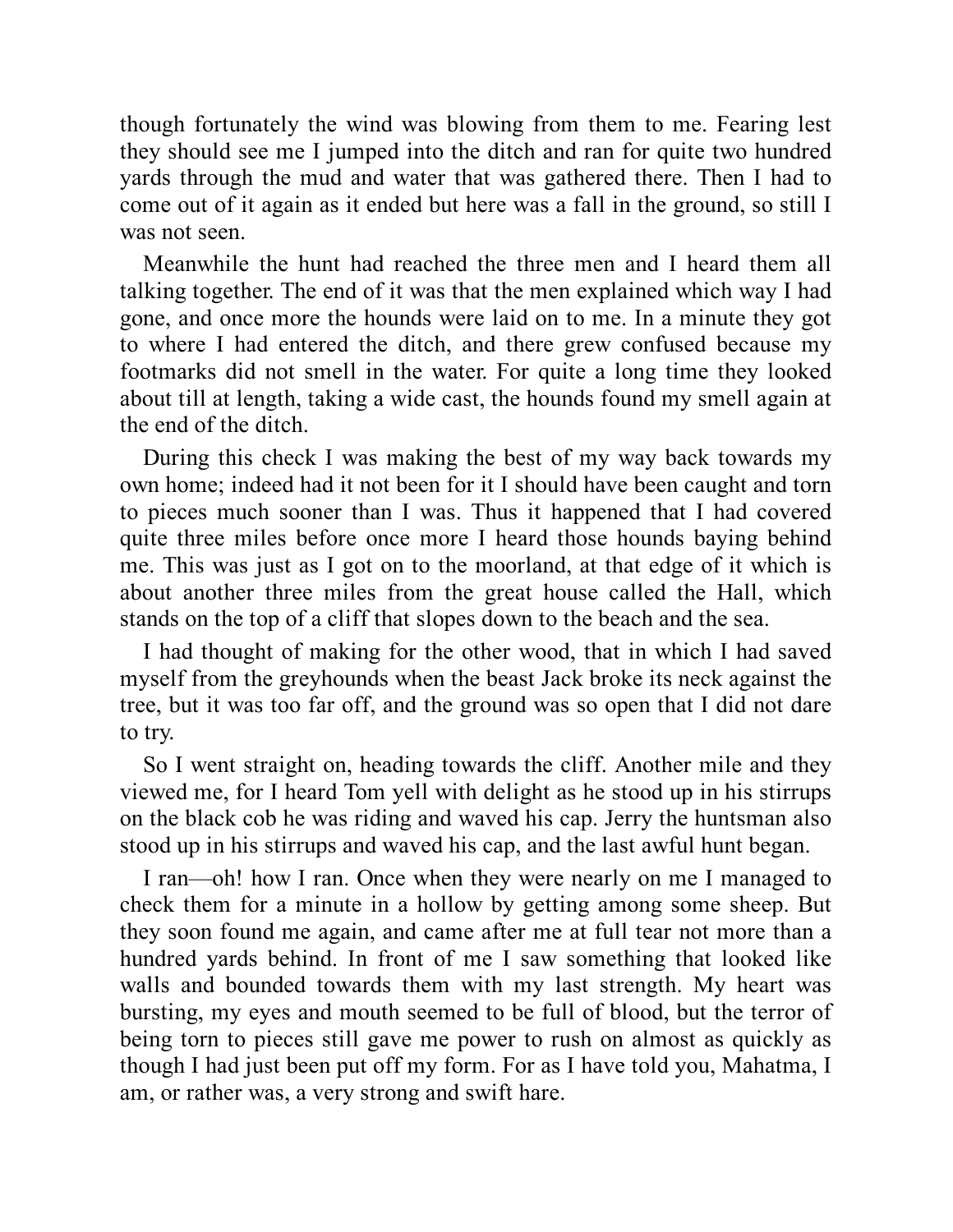though fortunately the wind was blowing from them to me. Fearing lest they should see me I jumped into the ditch and ran for quite two hundred yards through the mud and water that was gathered there. Then I had to come out of it again as it ended but here was a fall in the ground, so still I was not seen.

Meanwhile the hunt had reached the three men and I heard them all talking together. The end of it was that the men explained which way I had gone, and once more the hounds were laid on to me. In a minute they got to where I had entered the ditch, and there grew confused because my footmarks did not smell in the water. For quite a long time they looked about till at length, taking a wide cast, the hounds found my smell again at the end of the ditch.

During this check I was making the best of my way back towards my own home; indeed had it not been for it I should have been caught and torn to pieces much sooner than I was. Thus it happened that I had covered quite three miles before once more I heard those hounds baying behind me. This was just as I got on to the moorland, at that edge of it which is about another three miles from the great house called the Hall, which stands on the top of a cliff that slopes down to the beach and the sea.

I had thought of making for the other wood, that in which I had saved myself from the greyhounds when the beast Jack broke its neck against the tree, but it was too far off, and the ground was so open that I did not dare to try.

So I went straight on, heading towards the cliff. Another mile and they viewed me, for I heard Tom yell with delight as he stood up in his stirrups on the black cob he was riding and waved his cap. Jerry the huntsman also stood up in his stirrups and waved his cap, and the last awful hunt began.

I ran—oh! how I ran. Once when they were nearly on me I managed to check them for a minute in a hollow by getting among some sheep. But they soon found me again, and came after me at full tear not more than a hundred yards behind. In front of me I saw something that looked like walls and bounded towards them with my last strength. My heart was bursting, my eyes and mouth seemed to be full of blood, but the terror of being torn to pieces still gave me power to rush on almost as quickly as though I had just been put off my form. For as I have told you, Mahatma, I am, or rather was, a very strong and swift hare.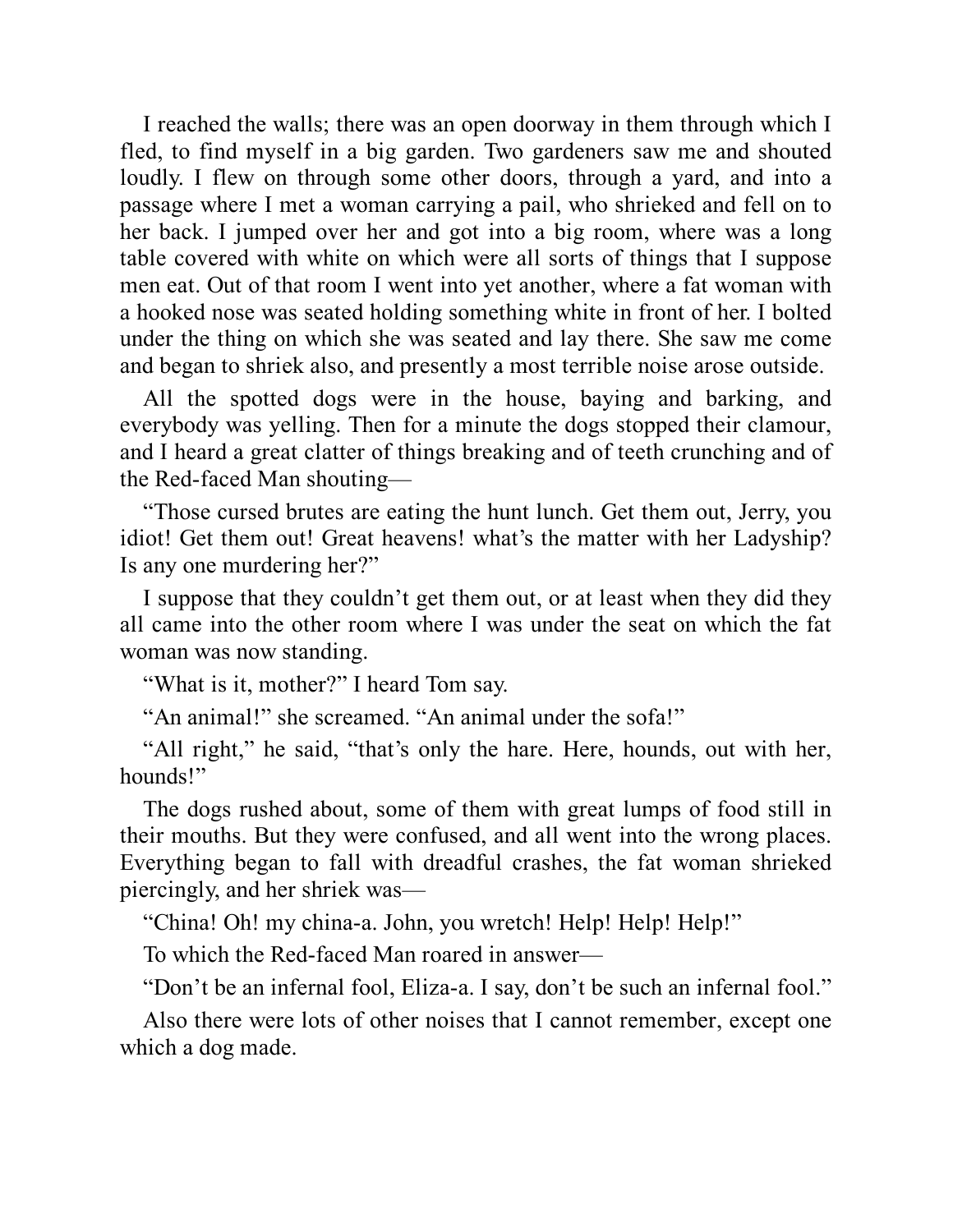I reached the walls; there was an open doorway in them through which I fled, to find myself in a big garden. Two gardeners saw me and shouted loudly. I flew on through some other doors, through a yard, and into a passage where I met a woman carrying a pail, who shrieked and fell on to her back. I jumped over her and got into a big room, where was a long table covered with white on which were all sorts of things that I suppose men eat. Out of that room I went into yet another, where a fat woman with a hooked nose was seated holding something white in front of her. I bolted under the thing on which she was seated and lay there. She saw me come and began to shriek also, and presently a most terrible noise arose outside.

All the spotted dogs were in the house, baying and barking, and everybody was yelling. Then for a minute the dogs stopped their clamour, and I heard a great clatter of things breaking and of teeth crunching and of the Red-faced Man shouting—

"Those cursed brutes are eating the hunt lunch. Get them out, Jerry, you idiot! Get them out! Great heavens! what's the matter with her Ladyship? Is any one murdering her?"

I suppose that they couldn't get them out, or at least when they did they all came into the other room where I was under the seat on which the fat woman was now standing.

"What is it, mother?" I heard Tom say.

"An animal!" she screamed. "An animal under the sofa!"

"All right," he said, "that's only the hare. Here, hounds, out with her, hounds!"

The dogs rushed about, some of them with great lumps of food still in their mouths. But they were confused, and all went into the wrong places. Everything began to fall with dreadful crashes, the fat woman shrieked piercingly, and her shriek was—

"China! Oh! my china-a. John, you wretch! Help! Help! Help!"

To which the Red-faced Man roared in answer—

"Don't be an infernal fool, Eliza-a. I say, don't be such an infernal fool."

Also there were lots of other noises that I cannot remember, except one which a dog made.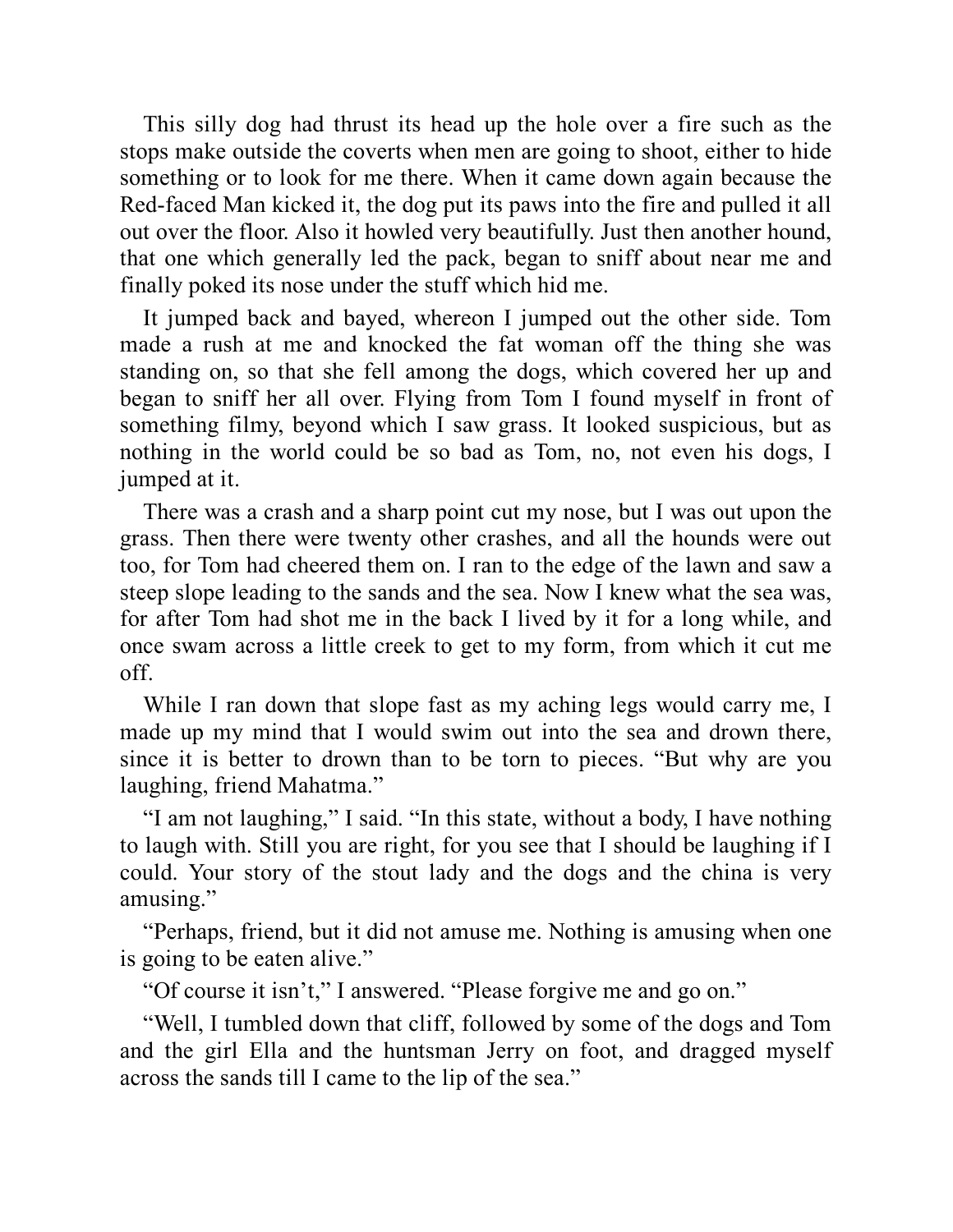This silly dog had thrust its head up the hole over a fire such as the stops make outside the coverts when men are going to shoot, either to hide something or to look for me there. When it came down again because the Red-faced Man kicked it, the dog put its paws into the fire and pulled it all out over the floor. Also it howled very beautifully. Just then another hound, that one which generally led the pack, began to sniff about near me and finally poked its nose under the stuff which hid me.

It jumped back and bayed, whereon I jumped out the other side. Tom made a rush at me and knocked the fat woman off the thing she was standing on, so that she fell among the dogs, which covered her up and began to sniff her all over. Flying from Tom I found myself in front of something filmy, beyond which I saw grass. It looked suspicious, but as nothing in the world could be so bad as Tom, no, not even his dogs, I jumped at it.

There was a crash and a sharp point cut my nose, but I was out upon the grass. Then there were twenty other crashes, and all the hounds were out too, for Tom had cheered them on. I ran to the edge of the lawn and saw a steep slope leading to the sands and the sea. Now I knew what the sea was, for after Tom had shot me in the back I lived by it for a long while, and once swam across a little creek to get to my form, from which it cut me off.

While I ran down that slope fast as my aching legs would carry me, I made up my mind that I would swim out into the sea and drown there, since it is better to drown than to be torn to pieces. "But why are you laughing, friend Mahatma."

"I am not laughing," I said. "In this state, without a body, I have nothing to laugh with. Still you are right, for you see that I should be laughing if I could. Your story of the stout lady and the dogs and the china is very amusing."

"Perhaps, friend, but it did not amuse me. Nothing is amusing when one is going to be eaten alive."

"Of course it isn't," I answered. "Please forgive me and go on."

"Well, I tumbled down that cliff, followed by some of the dogs and Tom and the girl Ella and the huntsman Jerry on foot, and dragged myself across the sands till I came to the lip of the sea."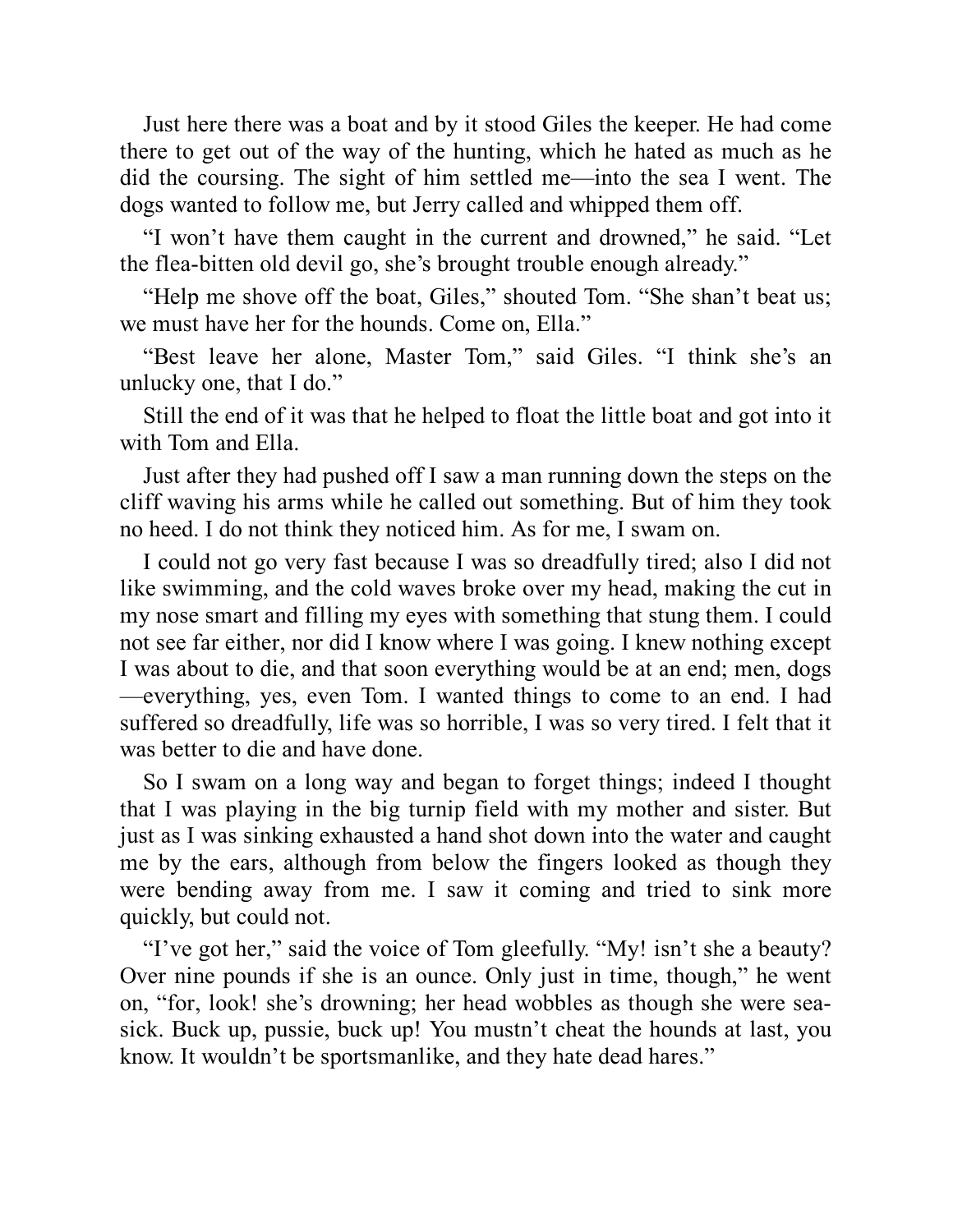Just here there was a boat and by it stood Giles the keeper. He had come there to get out of the way of the hunting, which he hated as much as he did the coursing. The sight of him settled me—into the sea I went. The dogs wanted to follow me, but Jerry called and whipped them off.

"I won't have them caught in the current and drowned," he said. "Let the flea-bitten old devil go, she's brought trouble enough already."

"Help me shove off the boat, Giles," shouted Tom. "She shan't beat us; we must have her for the hounds. Come on, Ella."

"Best leave her alone, Master Tom," said Giles. "I think she's an unlucky one, that I do."

Still the end of it was that he helped to float the little boat and got into it with Tom and Ella.

Just after they had pushed off I saw a man running down the steps on the cliff waving his arms while he called out something. But of him they took no heed. I do not think they noticed him. As for me, I swam on.

I could not go very fast because I was so dreadfully tired; also I did not like swimming, and the cold waves broke over my head, making the cut in my nose smart and filling my eyes with something that stung them. I could not see far either, nor did I know where I was going. I knew nothing except I was about to die, and that soon everything would be at an end; men, dogs —everything, yes, even Tom. I wanted things to come to an end. I had suffered so dreadfully, life was so horrible, I was so very tired. I felt that it was better to die and have done.

So I swam on a long way and began to forget things; indeed I thought that I was playing in the big turnip field with my mother and sister. But just as I was sinking exhausted a hand shot down into the water and caught me by the ears, although from below the fingers looked as though they were bending away from me. I saw it coming and tried to sink more quickly, but could not.

"I've got her," said the voice of Tom gleefully. "My! isn't she a beauty? Over nine pounds if she is an ounce. Only just in time, though," he went on, "for, look! she's drowning; her head wobbles as though she were seasick. Buck up, pussie, buck up! You mustn't cheat the hounds at last, you know. It wouldn't be sportsmanlike, and they hate dead hares."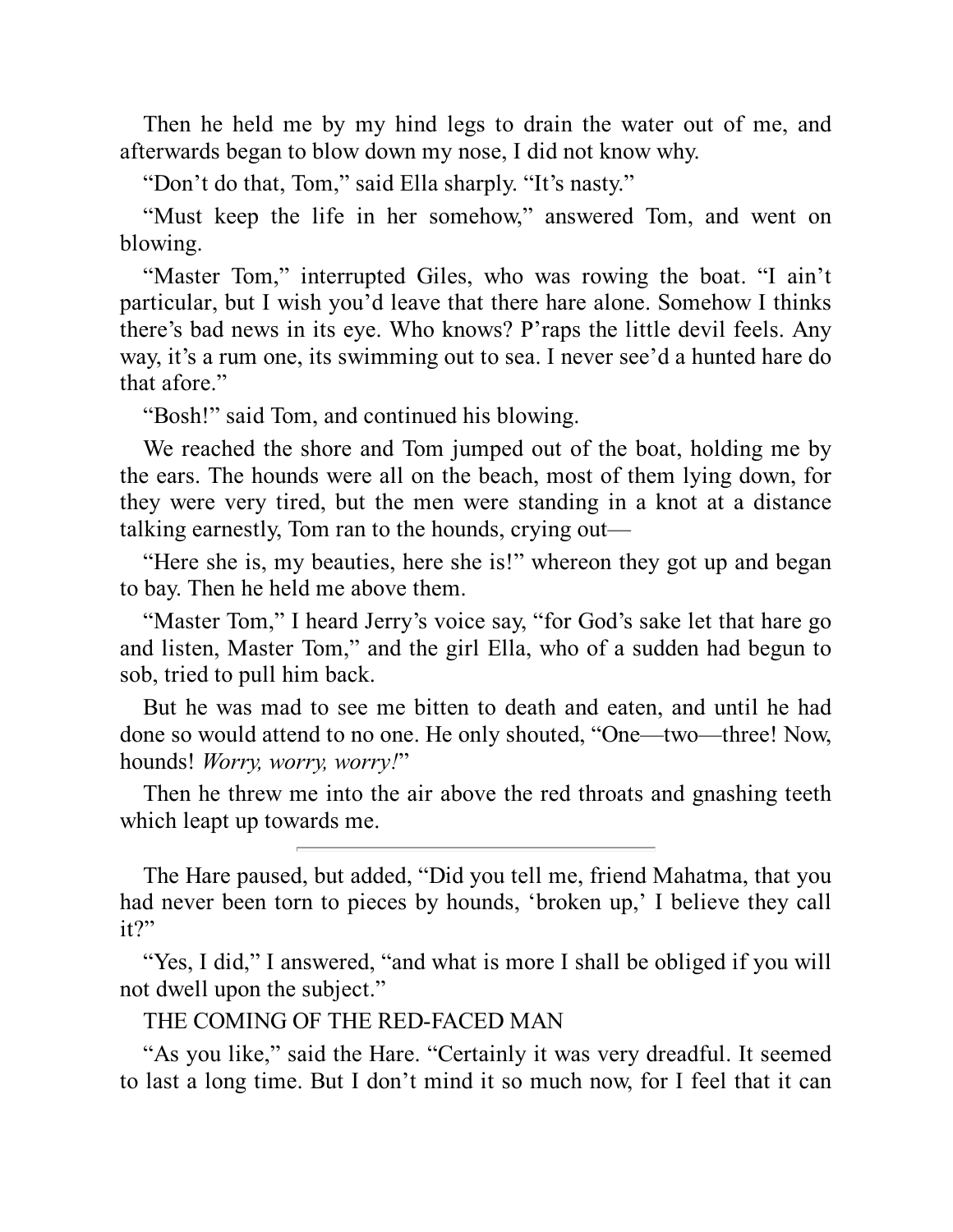Then he held me by my hind legs to drain the water out of me, and afterwards began to blow down my nose, I did not know why.

"Don't do that, Tom," said Ella sharply. "It's nasty."

"Must keep the life in her somehow," answered Tom, and went on blowing.

"Master Tom," interrupted Giles, who was rowing the boat. "I ain't particular, but I wish you'd leave that there hare alone. Somehow I thinks there's bad news in its eye. Who knows? P'raps the little devil feels. Any way, it's a rum one, its swimming out to sea. I never see'd a hunted hare do that afore."

"Bosh!" said Tom, and continued his blowing.

We reached the shore and Tom jumped out of the boat, holding me by the ears. The hounds were all on the beach, most of them lying down, for they were very tired, but the men were standing in a knot at a distance talking earnestly, Tom ran to the hounds, crying out—

"Here she is, my beauties, here she is!" whereon they got up and began to bay. Then he held me above them.

"Master Tom," I heard Jerry's voice say, "for God's sake let that hare go and listen, Master Tom," and the girl Ella, who of a sudden had begun to sob, tried to pull him back.

But he was mad to see me bitten to death and eaten, and until he had done so would attend to no one. He only shouted, "One—two—three! Now, hounds! *Worry, worry, worry!*"

Then he threw me into the air above the red throats and gnashing teeth which leapt up towards me.

The Hare paused, but added, "Did you tell me, friend Mahatma, that you had never been torn to pieces by hounds, 'broken up,' I believe they call it?"

"Yes, I did," I answered, "and what is more I shall be obliged if you will not dwell upon the subject."

THE COMING OF THE RED-FACED MAN

"As you like," said the Hare. "Certainly it was very dreadful. It seemed to last a long time. But I don't mind it so much now, for I feel that it can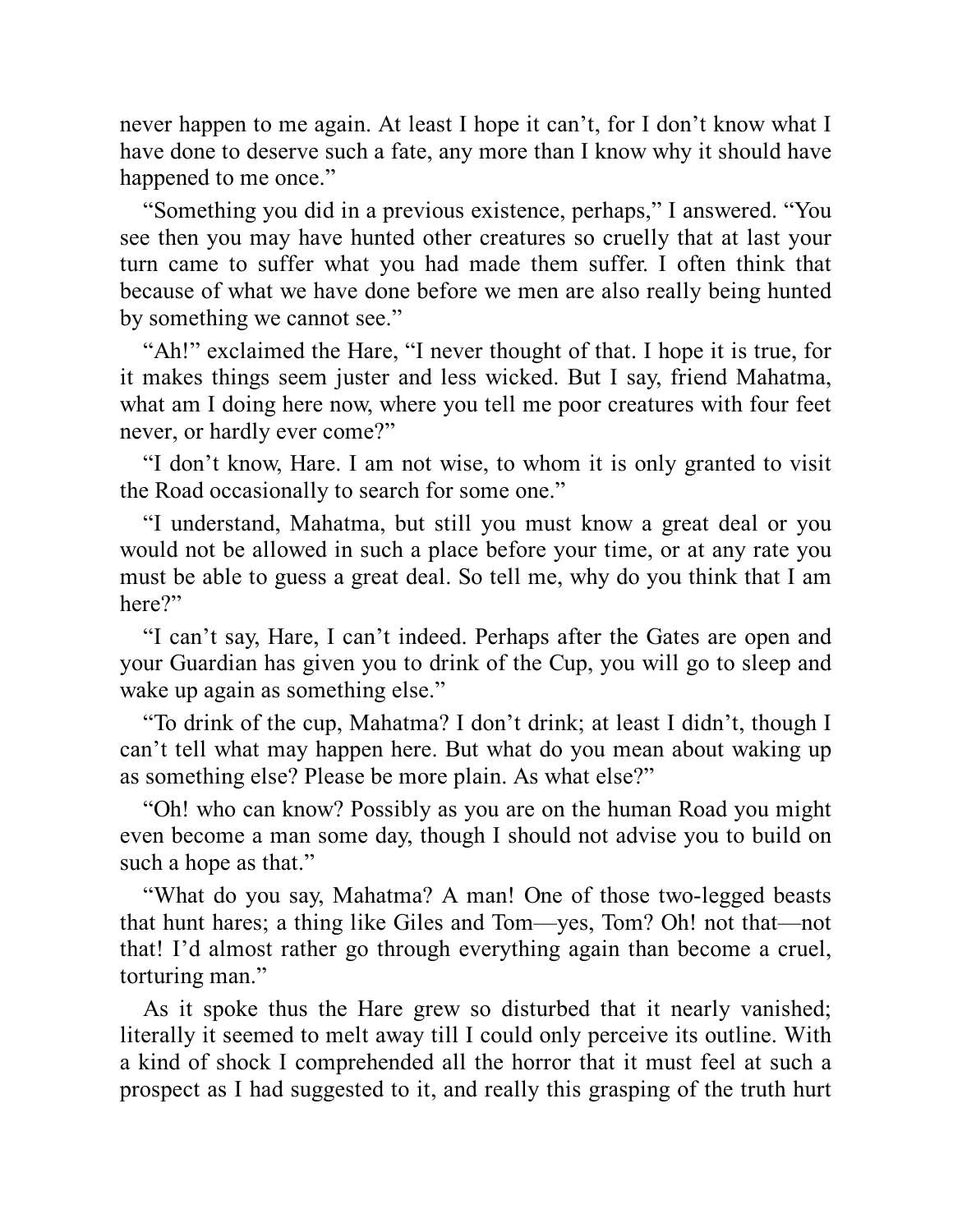never happen to me again. At least I hope it can't, for I don't know what I have done to deserve such a fate, any more than I know why it should have happened to me once."

"Something you did in a previous existence, perhaps," I answered. "You see then you may have hunted other creatures so cruelly that at last your turn came to suffer what you had made them suffer. I often think that because of what we have done before we men are also really being hunted by something we cannot see."

"Ah!" exclaimed the Hare, "I never thought of that. I hope it is true, for it makes things seem juster and less wicked. But I say, friend Mahatma, what am I doing here now, where you tell me poor creatures with four feet never, or hardly ever come?"

"I don't know, Hare. I am not wise, to whom it is only granted to visit the Road occasionally to search for some one."

"I understand, Mahatma, but still you must know a great deal or you would not be allowed in such a place before your time, or at any rate you must be able to guess a great deal. So tell me, why do you think that I am here?"

"I can't say, Hare, I can't indeed. Perhaps after the Gates are open and your Guardian has given you to drink of the Cup, you will go to sleep and wake up again as something else."

"To drink of the cup, Mahatma? I don't drink; at least I didn't, though I can't tell what may happen here. But what do you mean about waking up as something else? Please be more plain. As what else?"

"Oh! who can know? Possibly as you are on the human Road you might even become a man some day, though I should not advise you to build on such a hope as that."

"What do you say, Mahatma? A man! One of those two-legged beasts that hunt hares; a thing like Giles and Tom—yes, Tom? Oh! not that—not that! I'd almost rather go through everything again than become a cruel, torturing man."

As it spoke thus the Hare grew so disturbed that it nearly vanished; literally it seemed to melt away till I could only perceive its outline. With a kind of shock I comprehended all the horror that it must feel at such a prospect as I had suggested to it, and really this grasping of the truth hurt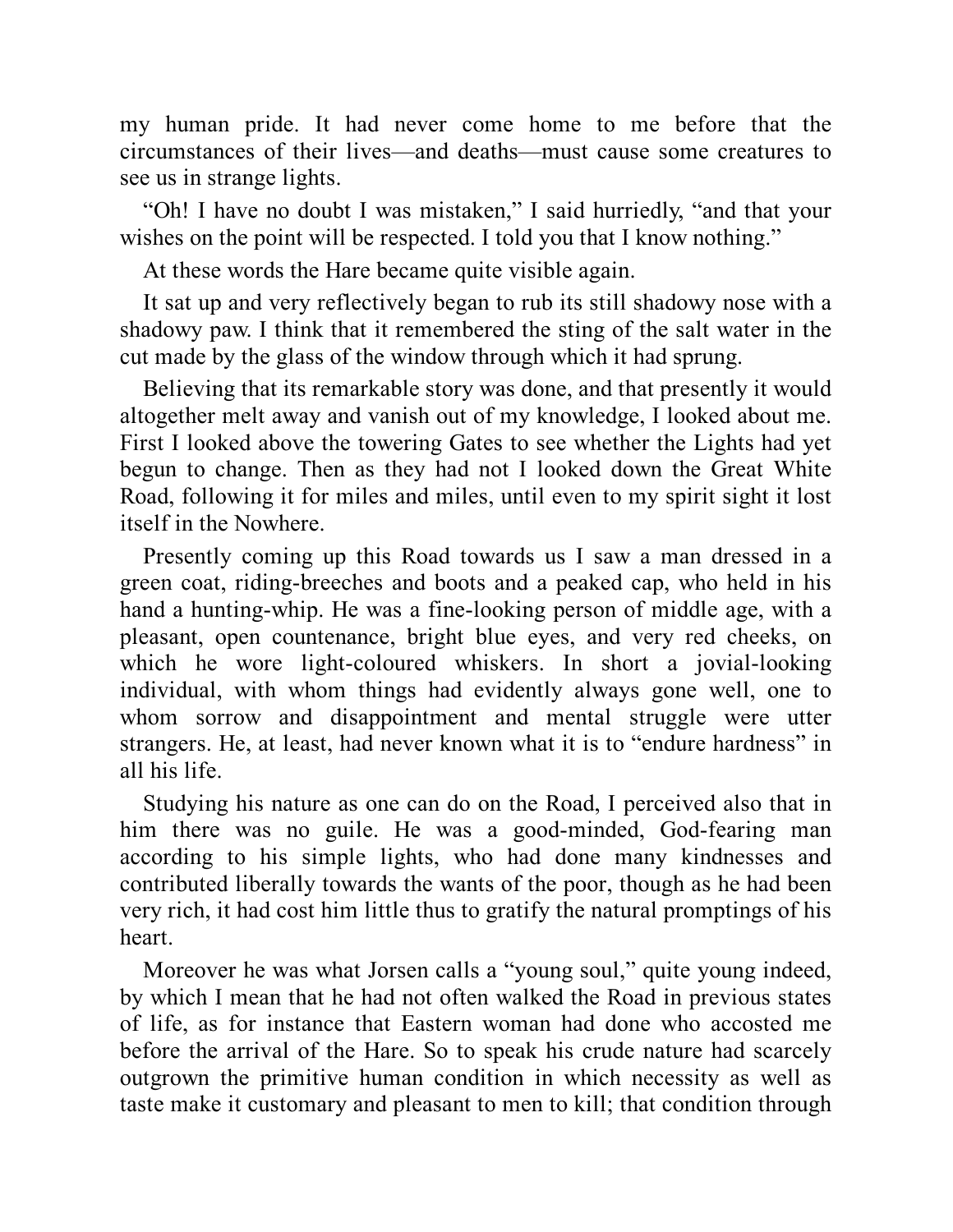my human pride. It had never come home to me before that the circumstances of their lives—and deaths—must cause some creatures to see us in strange lights.

"Oh! I have no doubt I was mistaken," I said hurriedly, "and that your wishes on the point will be respected. I told you that I know nothing."

At these words the Hare became quite visible again.

It sat up and very reflectively began to rub its still shadowy nose with a shadowy paw. I think that it remembered the sting of the salt water in the cut made by the glass of the window through which it had sprung.

Believing that its remarkable story was done, and that presently it would altogether melt away and vanish out of my knowledge, I looked about me. First I looked above the towering Gates to see whether the Lights had yet begun to change. Then as they had not I looked down the Great White Road, following it for miles and miles, until even to my spirit sight it lost itself in the Nowhere.

Presently coming up this Road towards us I saw a man dressed in a green coat, riding-breeches and boots and a peaked cap, who held in his hand a hunting-whip. He was a fine-looking person of middle age, with a pleasant, open countenance, bright blue eyes, and very red cheeks, on which he wore light-coloured whiskers. In short a jovial-looking individual, with whom things had evidently always gone well, one to whom sorrow and disappointment and mental struggle were utter strangers. He, at least, had never known what it is to "endure hardness" in all his life.

Studying his nature as one can do on the Road, I perceived also that in him there was no guile. He was a good-minded, God-fearing man according to his simple lights, who had done many kindnesses and contributed liberally towards the wants of the poor, though as he had been very rich, it had cost him little thus to gratify the natural promptings of his heart.

Moreover he was what Jorsen calls a "young soul," quite young indeed, by which I mean that he had not often walked the Road in previous states of life, as for instance that Eastern woman had done who accosted me before the arrival of the Hare. So to speak his crude nature had scarcely outgrown the primitive human condition in which necessity as well as taste make it customary and pleasant to men to kill; that condition through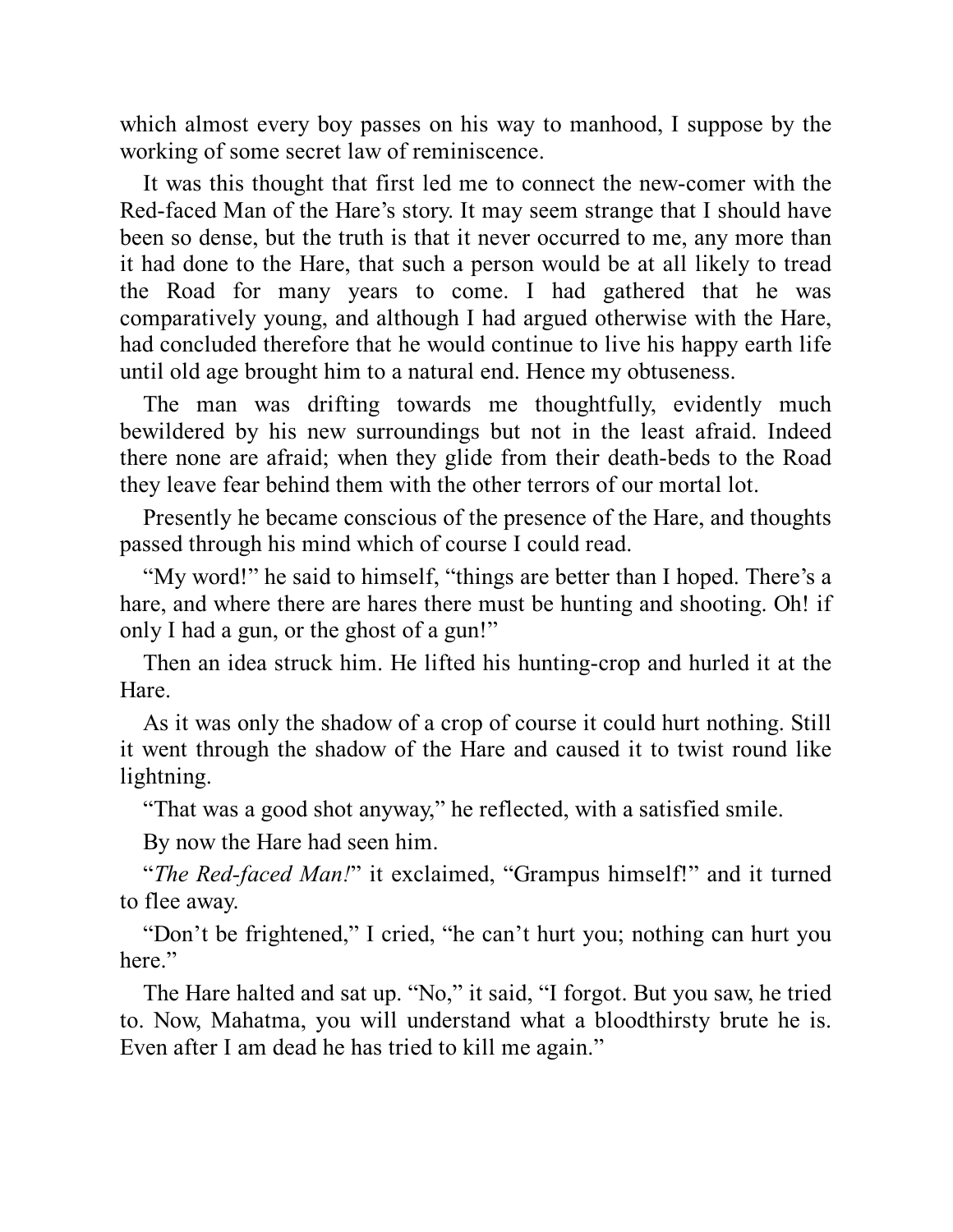which almost every boy passes on his way to manhood, I suppose by the working of some secret law of reminiscence.

It was this thought that first led me to connect the new-comer with the Red-faced Man of the Hare's story. It may seem strange that I should have been so dense, but the truth is that it never occurred to me, any more than it had done to the Hare, that such a person would be at all likely to tread the Road for many years to come. I had gathered that he was comparatively young, and although I had argued otherwise with the Hare, had concluded therefore that he would continue to live his happy earth life until old age brought him to a natural end. Hence my obtuseness.

The man was drifting towards me thoughtfully, evidently much bewildered by his new surroundings but not in the least afraid. Indeed there none are afraid; when they glide from their death-beds to the Road they leave fear behind them with the other terrors of our mortal lot.

Presently he became conscious of the presence of the Hare, and thoughts passed through his mind which of course I could read.

"My word!" he said to himself, "things are better than I hoped. There's a hare, and where there are hares there must be hunting and shooting. Oh! if only I had a gun, or the ghost of a gun!"

Then an idea struck him. He lifted his hunting-crop and hurled it at the Hare.

As it was only the shadow of a crop of course it could hurt nothing. Still it went through the shadow of the Hare and caused it to twist round like lightning.

"That was a good shot anyway," he reflected, with a satisfied smile.

By now the Hare had seen him.

"*The Red-faced Man!*" it exclaimed, "Grampus himself!" and it turned to flee away.

"Don't be frightened," I cried, "he can't hurt you; nothing can hurt you here."

The Hare halted and sat up. "No," it said, "I forgot. But you saw, he tried to. Now, Mahatma, you will understand what a bloodthirsty brute he is. Even after I am dead he has tried to kill me again."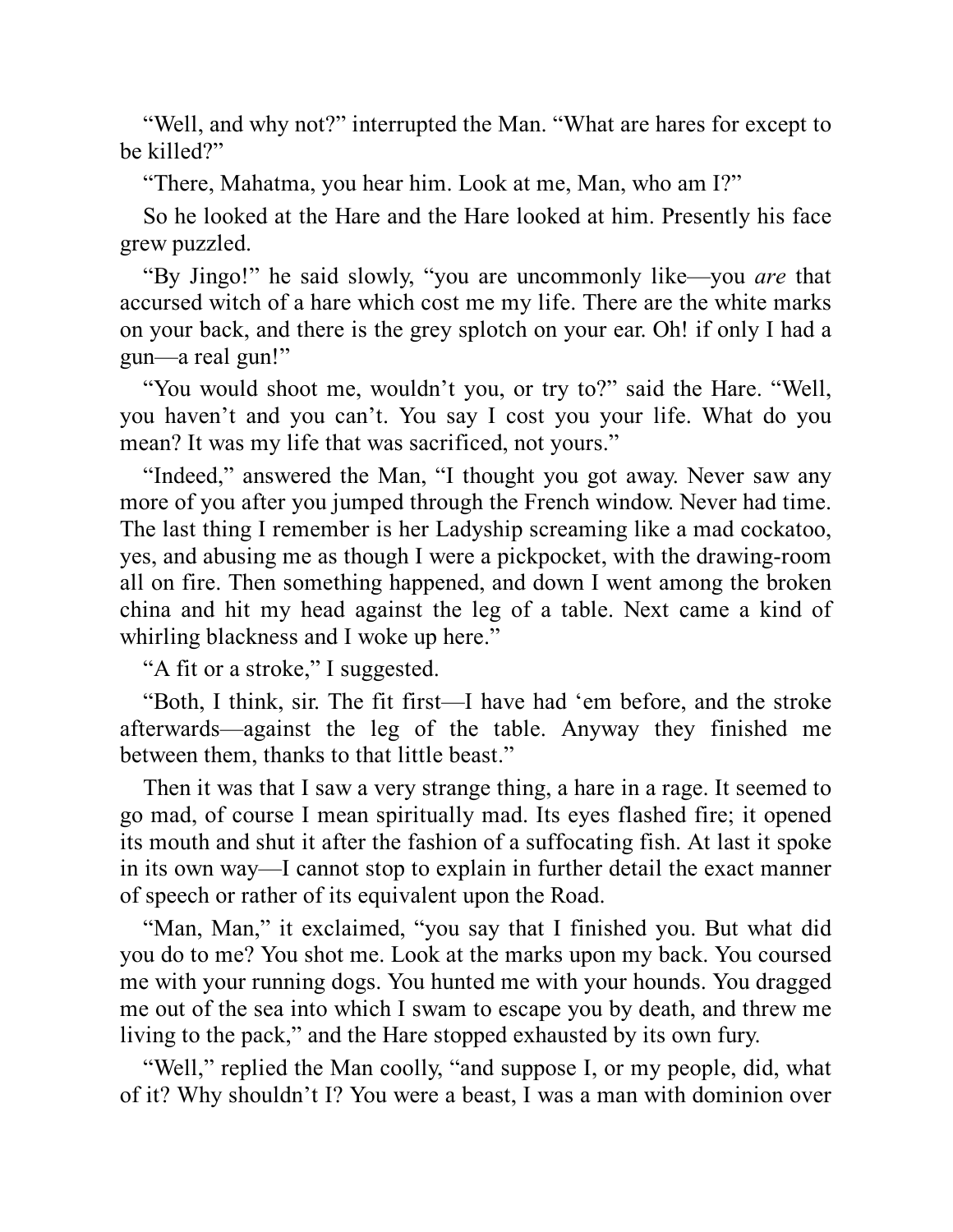"Well, and why not?" interrupted the Man. "What are hares for except to be killed?"

"There, Mahatma, you hear him. Look at me, Man, who am I?"

So he looked at the Hare and the Hare looked at him. Presently his face grew puzzled.

"By Jingo!" he said slowly, "you are uncommonly like—you *are* that accursed witch of a hare which cost me my life. There are the white marks on your back, and there is the grey splotch on your ear. Oh! if only I had a gun—a real gun!"

"You would shoot me, wouldn't you, or try to?" said the Hare. "Well, you haven't and you can't. You say I cost you your life. What do you mean? It was my life that was sacrificed, not yours."

"Indeed," answered the Man, "I thought you got away. Never saw any more of you after you jumped through the French window. Never had time. The last thing I remember is her Ladyship screaming like a mad cockatoo, yes, and abusing me as though I were a pickpocket, with the drawing-room all on fire. Then something happened, and down I went among the broken china and hit my head against the leg of a table. Next came a kind of whirling blackness and I woke up here."

"A fit or a stroke," I suggested.

"Both, I think, sir. The fit first—I have had 'em before, and the stroke afterwards—against the leg of the table. Anyway they finished me between them, thanks to that little beast."

Then it was that I saw a very strange thing, a hare in a rage. It seemed to go mad, of course I mean spiritually mad. Its eyes flashed fire; it opened its mouth and shut it after the fashion of a suffocating fish. At last it spoke in its own way—I cannot stop to explain in further detail the exact manner of speech or rather of its equivalent upon the Road.

"Man, Man," it exclaimed, "you say that I finished you. But what did you do to me? You shot me. Look at the marks upon my back. You coursed me with your running dogs. You hunted me with your hounds. You dragged me out of the sea into which I swam to escape you by death, and threw me living to the pack," and the Hare stopped exhausted by its own fury.

"Well," replied the Man coolly, "and suppose I, or my people, did, what of it? Why shouldn't I? You were a beast, I was a man with dominion over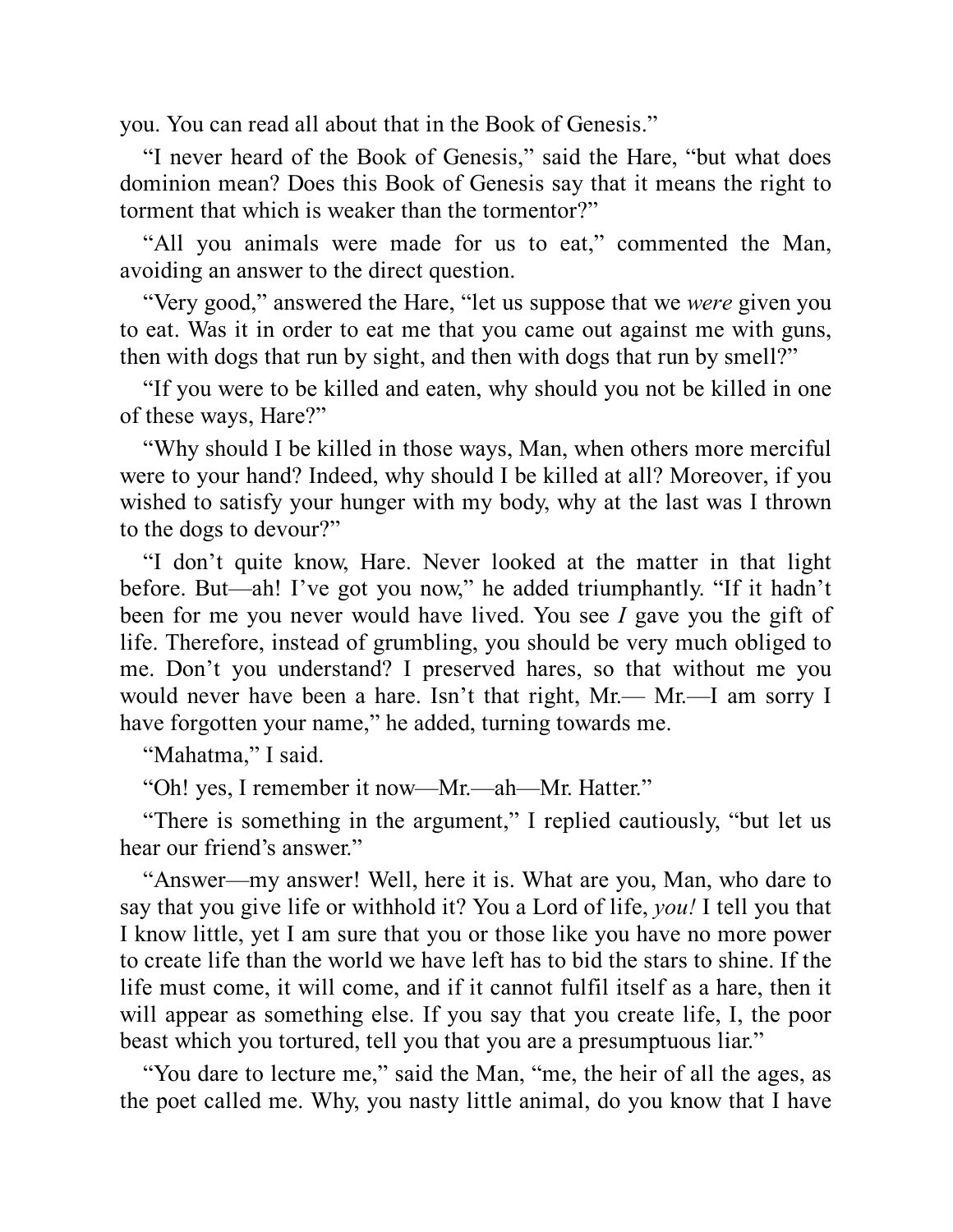you. You can read all about that in the Book of Genesis."

"I never heard of the Book of Genesis," said the Hare, "but what does dominion mean? Does this Book of Genesis say that it means the right to torment that which is weaker than the tormentor?"

"All you animals were made for us to eat," commented the Man, avoiding an answer to the direct question.

"Very good," answered the Hare, "let us suppose that we *were* given you to eat. Was it in order to eat me that you came out against me with guns, then with dogs that run by sight, and then with dogs that run by smell?"

"If you were to be killed and eaten, why should you not be killed in one of these ways, Hare?"

"Why should I be killed in those ways, Man, when others more merciful were to your hand? Indeed, why should I be killed at all? Moreover, if you wished to satisfy your hunger with my body, why at the last was I thrown to the dogs to devour?"

"I don't quite know, Hare. Never looked at the matter in that light before. But—ah! I've got you now," he added triumphantly. "If it hadn't been for me you never would have lived. You see *I* gave you the gift of life. Therefore, instead of grumbling, you should be very much obliged to me. Don't you understand? I preserved hares, so that without me you would never have been a hare. Isn't that right, Mr.— Mr.—I am sorry I have forgotten your name," he added, turning towards me.

"Mahatma," I said.

"Oh! yes, I remember it now—Mr.—ah—Mr. Hatter."

"There is something in the argument," I replied cautiously, "but let us hear our friend's answer."

"Answer—my answer! Well, here it is. What are you, Man, who dare to say that you give life or withhold it? You a Lord of life, *you!* I tell you that I know little, yet I am sure that you or those like you have no more power to create life than the world we have left has to bid the stars to shine. If the life must come, it will come, and if it cannot fulfil itself as a hare, then it will appear as something else. If you say that you create life, I, the poor beast which you tortured, tell you that you are a presumptuous liar."

"You dare to lecture me," said the Man, "me, the heir of all the ages, as the poet called me. Why, you nasty little animal, do you know that I have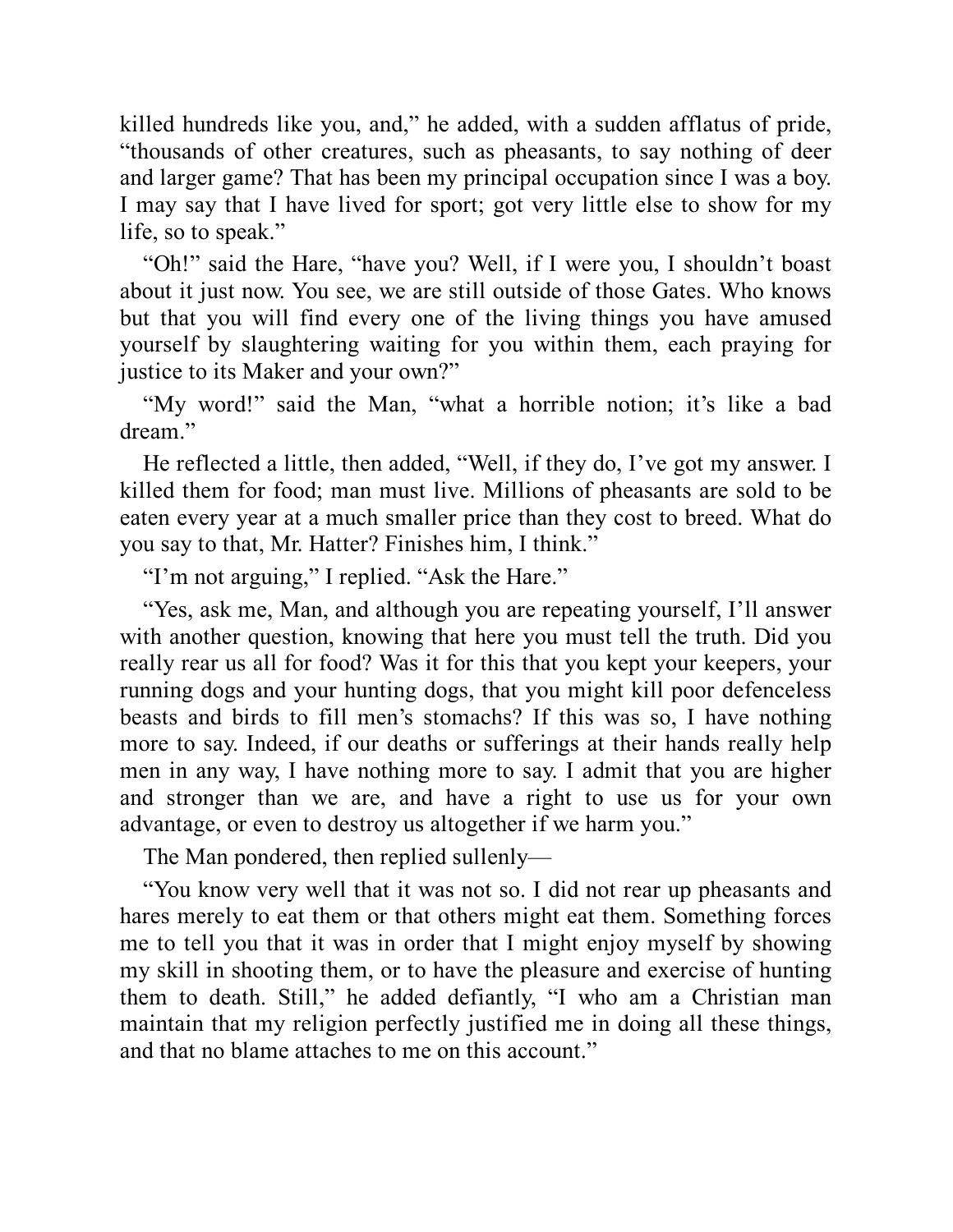killed hundreds like you, and," he added, with a sudden afflatus of pride, "thousands of other creatures, such as pheasants, to say nothing of deer and larger game? That has been my principal occupation since I was a boy. I may say that I have lived for sport; got very little else to show for my life, so to speak."

"Oh!" said the Hare, "have you? Well, if I were you, I shouldn't boast about it just now. You see, we are still outside of those Gates. Who knows but that you will find every one of the living things you have amused yourself by slaughtering waiting for you within them, each praying for justice to its Maker and your own?"

"My word!" said the Man, "what a horrible notion; it's like a bad dream"

He reflected a little, then added, "Well, if they do, I've got my answer. I killed them for food; man must live. Millions of pheasants are sold to be eaten every year at a much smaller price than they cost to breed. What do you say to that, Mr. Hatter? Finishes him, I think."

"I'm not arguing," I replied. "Ask the Hare."

"Yes, ask me, Man, and although you are repeating yourself, I'll answer with another question, knowing that here you must tell the truth. Did you really rear us all for food? Was it for this that you kept your keepers, your running dogs and your hunting dogs, that you might kill poor defenceless beasts and birds to fill men's stomachs? If this was so, I have nothing more to say. Indeed, if our deaths or sufferings at their hands really help men in any way, I have nothing more to say. I admit that you are higher and stronger than we are, and have a right to use us for your own advantage, or even to destroy us altogether if we harm you."

The Man pondered, then replied sullenly—

"You know very well that it was not so. I did not rear up pheasants and hares merely to eat them or that others might eat them. Something forces me to tell you that it was in order that I might enjoy myself by showing my skill in shooting them, or to have the pleasure and exercise of hunting them to death. Still," he added defiantly, "I who am a Christian man maintain that my religion perfectly justified me in doing all these things, and that no blame attaches to me on this account."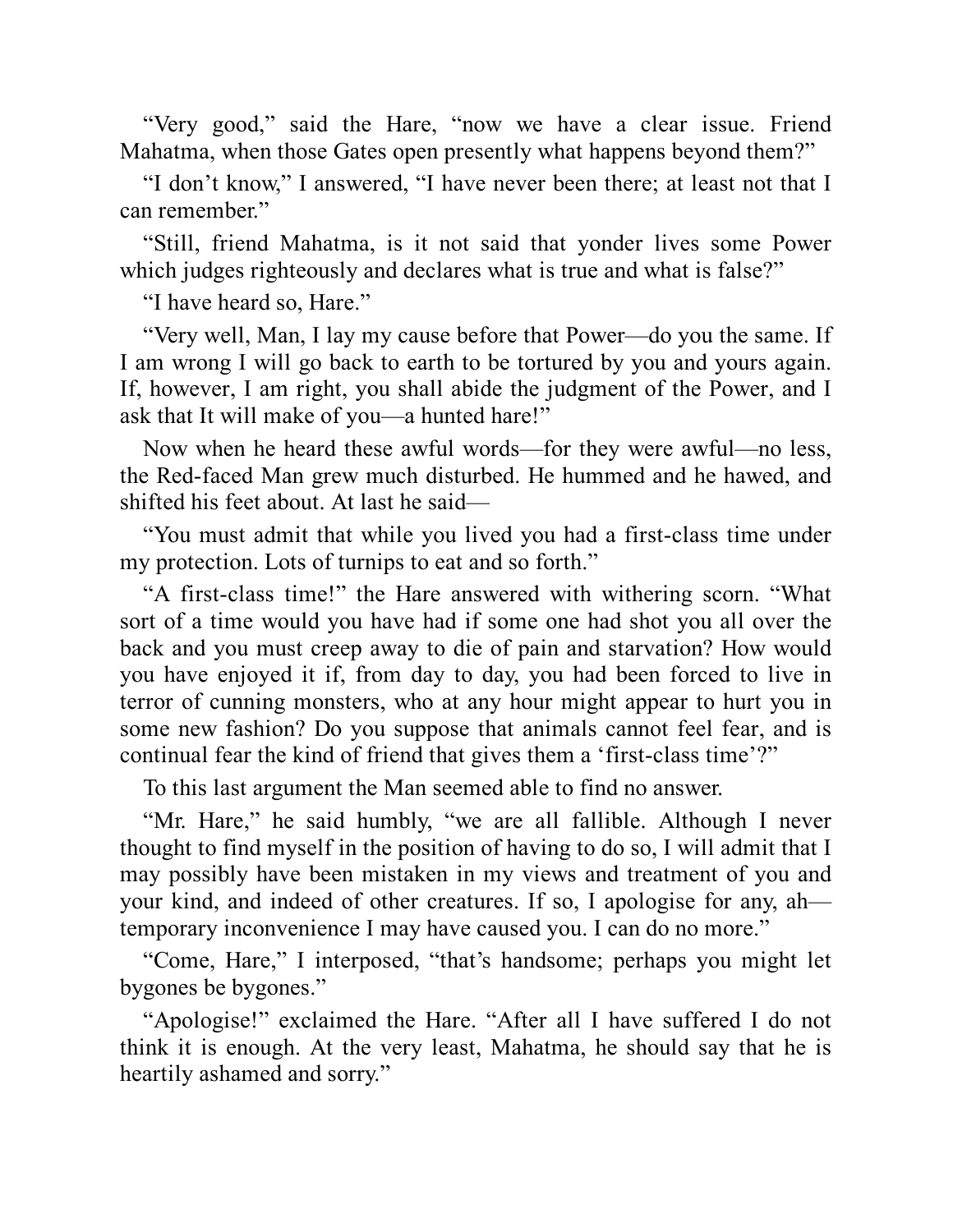"Very good," said the Hare, "now we have a clear issue. Friend Mahatma, when those Gates open presently what happens beyond them?"

"I don't know," I answered, "I have never been there; at least not that I can remember."

"Still, friend Mahatma, is it not said that yonder lives some Power which judges righteously and declares what is true and what is false?"

"I have heard so, Hare."

"Very well, Man, I lay my cause before that Power—do you the same. If I am wrong I will go back to earth to be tortured by you and yours again. If, however, I am right, you shall abide the judgment of the Power, and I ask that It will make of you—a hunted hare!"

Now when he heard these awful words—for they were awful—no less, the Red-faced Man grew much disturbed. He hummed and he hawed, and shifted his feet about. At last he said—

"You must admit that while you lived you had a first-class time under my protection. Lots of turnips to eat and so forth."

"A first-class time!" the Hare answered with withering scorn. "What sort of a time would you have had if some one had shot you all over the back and you must creep away to die of pain and starvation? How would you have enjoyed it if, from day to day, you had been forced to live in terror of cunning monsters, who at any hour might appear to hurt you in some new fashion? Do you suppose that animals cannot feel fear, and is continual fear the kind of friend that gives them a 'first-class time'?"

To this last argument the Man seemed able to find no answer.

"Mr. Hare," he said humbly, "we are all fallible. Although I never thought to find myself in the position of having to do so, I will admit that I may possibly have been mistaken in my views and treatment of you and your kind, and indeed of other creatures. If so, I apologise for any, ah temporary inconvenience I may have caused you. I can do no more."

"Come, Hare," I interposed, "that's handsome; perhaps you might let bygones be bygones."

"Apologise!" exclaimed the Hare. "After all I have suffered I do not think it is enough. At the very least, Mahatma, he should say that he is heartily ashamed and sorry."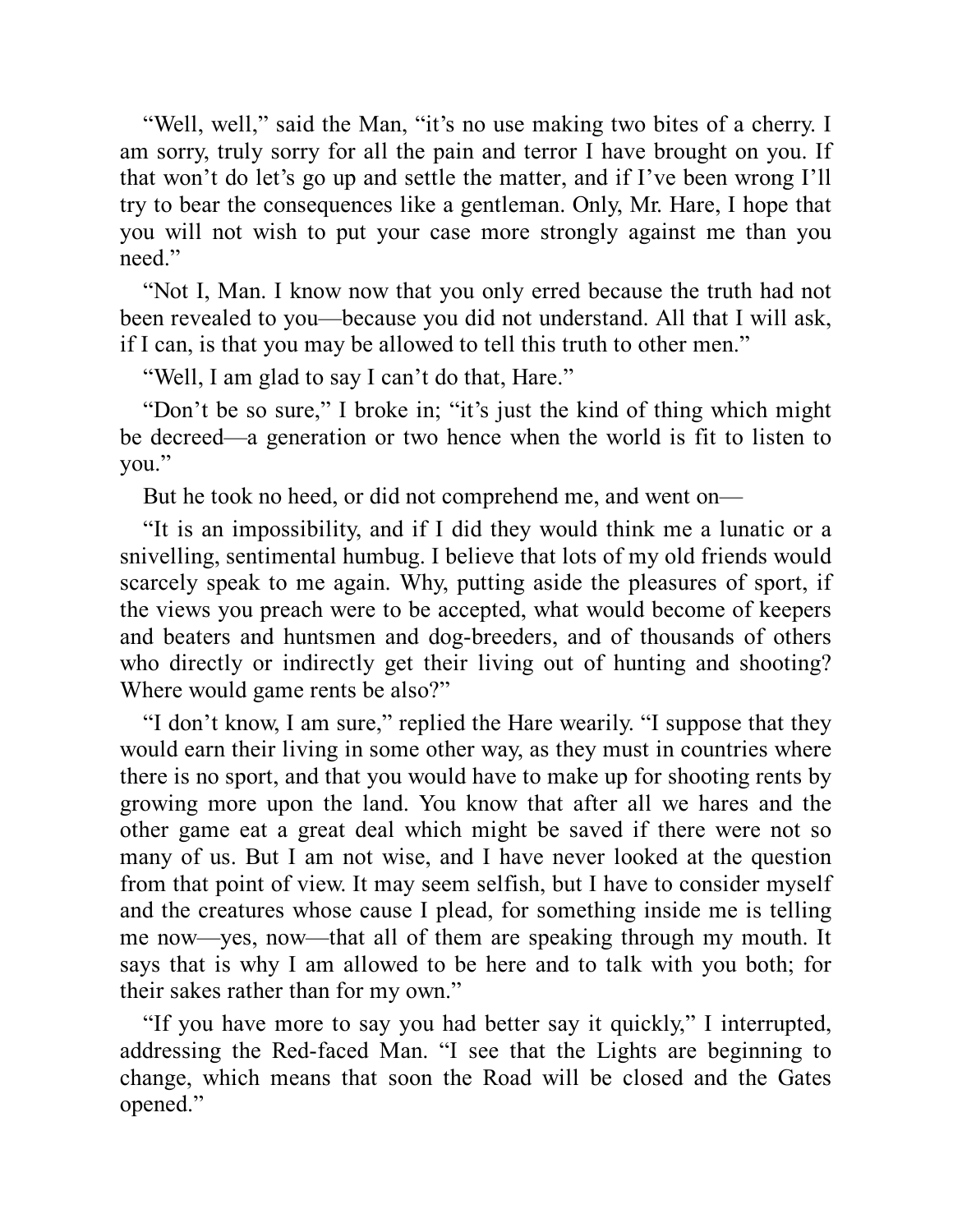"Well, well," said the Man, "it's no use making two bites of a cherry. I am sorry, truly sorry for all the pain and terror I have brought on you. If that won't do let's go up and settle the matter, and if I've been wrong I'll try to bear the consequences like a gentleman. Only, Mr. Hare, I hope that you will not wish to put your case more strongly against me than you need."

"Not I, Man. I know now that you only erred because the truth had not been revealed to you—because you did not understand. All that I will ask, if I can, is that you may be allowed to tell this truth to other men."

"Well, I am glad to say I can't do that, Hare."

"Don't be so sure," I broke in; "it's just the kind of thing which might be decreed—a generation or two hence when the world is fit to listen to you."

But he took no heed, or did not comprehend me, and went on—

"It is an impossibility, and if I did they would think me a lunatic or a snivelling, sentimental humbug. I believe that lots of my old friends would scarcely speak to me again. Why, putting aside the pleasures of sport, if the views you preach were to be accepted, what would become of keepers and beaters and huntsmen and dog-breeders, and of thousands of others who directly or indirectly get their living out of hunting and shooting? Where would game rents be also?"

"I don't know, I am sure," replied the Hare wearily. "I suppose that they would earn their living in some other way, as they must in countries where there is no sport, and that you would have to make up for shooting rents by growing more upon the land. You know that after all we hares and the other game eat a great deal which might be saved if there were not so many of us. But I am not wise, and I have never looked at the question from that point of view. It may seem selfish, but I have to consider myself and the creatures whose cause I plead, for something inside me is telling me now—yes, now—that all of them are speaking through my mouth. It says that is why I am allowed to be here and to talk with you both; for their sakes rather than for my own."

"If you have more to say you had better say it quickly," I interrupted, addressing the Red-faced Man. "I see that the Lights are beginning to change, which means that soon the Road will be closed and the Gates opened."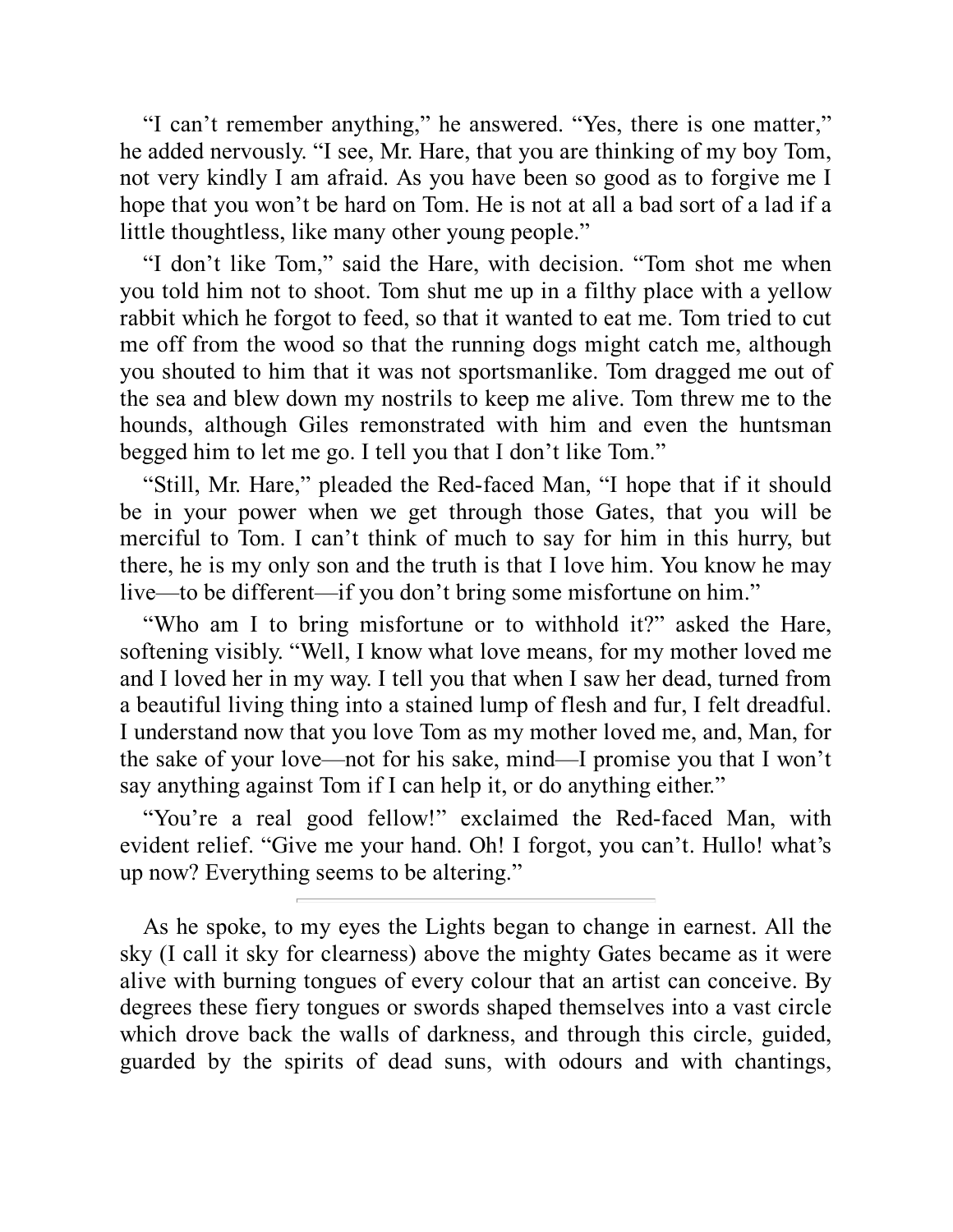"I can't remember anything," he answered. "Yes, there is one matter," he added nervously. "I see, Mr. Hare, that you are thinking of my boy Tom, not very kindly I am afraid. As you have been so good as to forgive me I hope that you won't be hard on Tom. He is not at all a bad sort of a lad if a little thoughtless, like many other young people."

"I don't like Tom," said the Hare, with decision. "Tom shot me when you told him not to shoot. Tom shut me up in a filthy place with a yellow rabbit which he forgot to feed, so that it wanted to eat me. Tom tried to cut me off from the wood so that the running dogs might catch me, although you shouted to him that it was not sportsmanlike. Tom dragged me out of the sea and blew down my nostrils to keep me alive. Tom threw me to the hounds, although Giles remonstrated with him and even the huntsman begged him to let me go. I tell you that I don't like Tom."

"Still, Mr. Hare," pleaded the Red-faced Man, "I hope that if it should be in your power when we get through those Gates, that you will be merciful to Tom. I can't think of much to say for him in this hurry, but there, he is my only son and the truth is that I love him. You know he may live—to be different—if you don't bring some misfortune on him."

"Who am I to bring misfortune or to withhold it?" asked the Hare, softening visibly. "Well, I know what love means, for my mother loved me and I loved her in my way. I tell you that when I saw her dead, turned from a beautiful living thing into a stained lump of flesh and fur, I felt dreadful. I understand now that you love Tom as my mother loved me, and, Man, for the sake of your love—not for his sake, mind—I promise you that I won't say anything against Tom if I can help it, or do anything either."

"You're a real good fellow!" exclaimed the Red-faced Man, with evident relief. "Give me your hand. Oh! I forgot, you can't. Hullo! what's up now? Everything seems to be altering."

As he spoke, to my eyes the Lights began to change in earnest. All the sky (I call it sky for clearness) above the mighty Gates became as it were alive with burning tongues of every colour that an artist can conceive. By degrees these fiery tongues or swords shaped themselves into a vast circle which drove back the walls of darkness, and through this circle, guided, guarded by the spirits of dead suns, with odours and with chantings,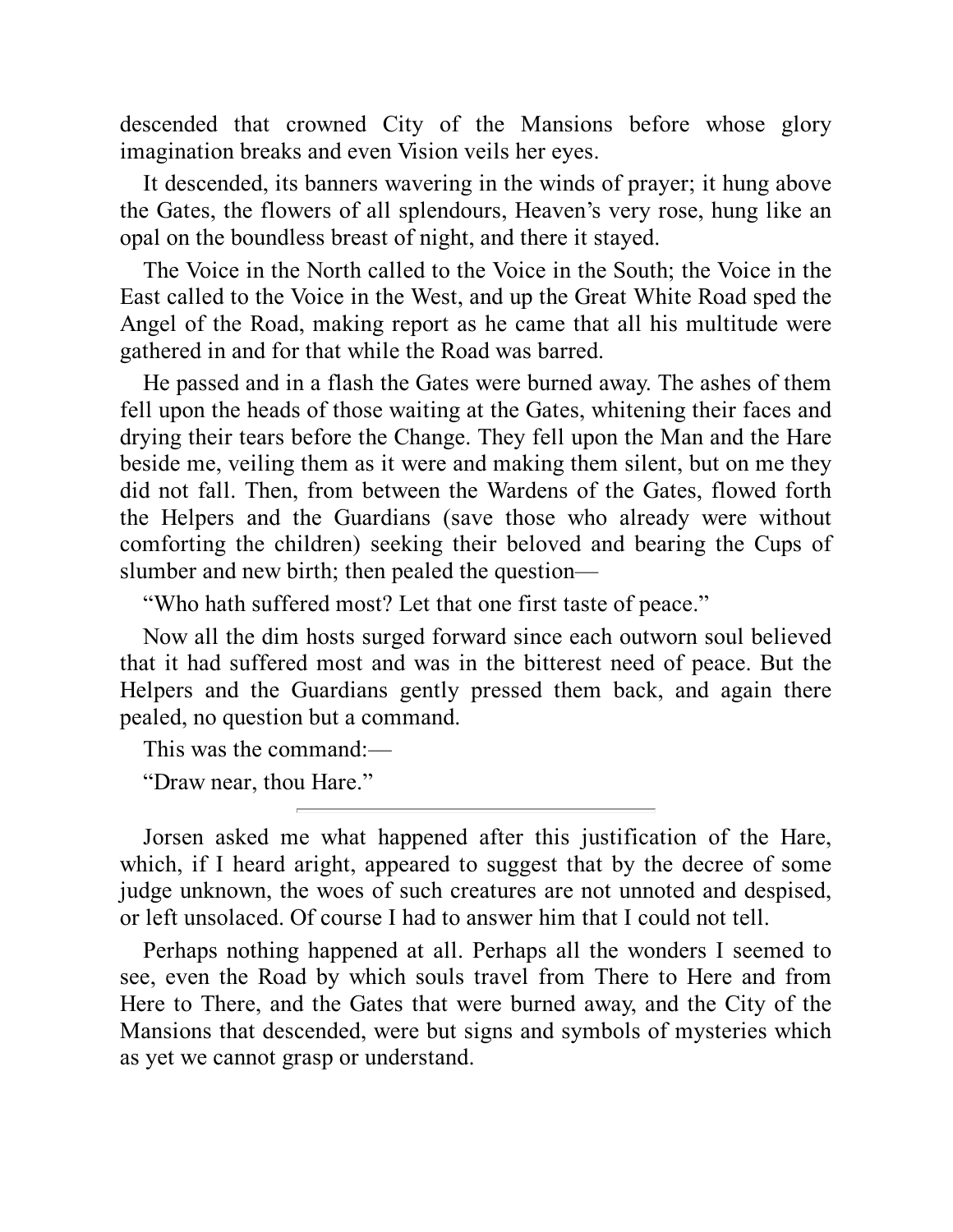descended that crowned City of the Mansions before whose glory imagination breaks and even Vision veils her eyes.

It descended, its banners wavering in the winds of prayer; it hung above the Gates, the flowers of all splendours, Heaven's very rose, hung like an opal on the boundless breast of night, and there it stayed.

The Voice in the North called to the Voice in the South; the Voice in the East called to the Voice in the West, and up the Great White Road sped the Angel of the Road, making report as he came that all his multitude were gathered in and for that while the Road was barred.

He passed and in a flash the Gates were burned away. The ashes of them fell upon the heads of those waiting at the Gates, whitening their faces and drying their tears before the Change. They fell upon the Man and the Hare beside me, veiling them as it were and making them silent, but on me they did not fall. Then, from between the Wardens of the Gates, flowed forth the Helpers and the Guardians (save those who already were without comforting the children) seeking their beloved and bearing the Cups of slumber and new birth; then pealed the question—

"Who hath suffered most? Let that one first taste of peace."

Now all the dim hosts surged forward since each outworn soul believed that it had suffered most and was in the bitterest need of peace. But the Helpers and the Guardians gently pressed them back, and again there pealed, no question but a command.

This was the command:—

"Draw near, thou Hare."

Jorsen asked me what happened after this justification of the Hare, which, if I heard aright, appeared to suggest that by the decree of some judge unknown, the woes of such creatures are not unnoted and despised, or left unsolaced. Of course I had to answer him that I could not tell.

Perhaps nothing happened at all. Perhaps all the wonders I seemed to see, even the Road by which souls travel from There to Here and from Here to There, and the Gates that were burned away, and the City of the Mansions that descended, were but signs and symbols of mysteries which as yet we cannot grasp or understand.